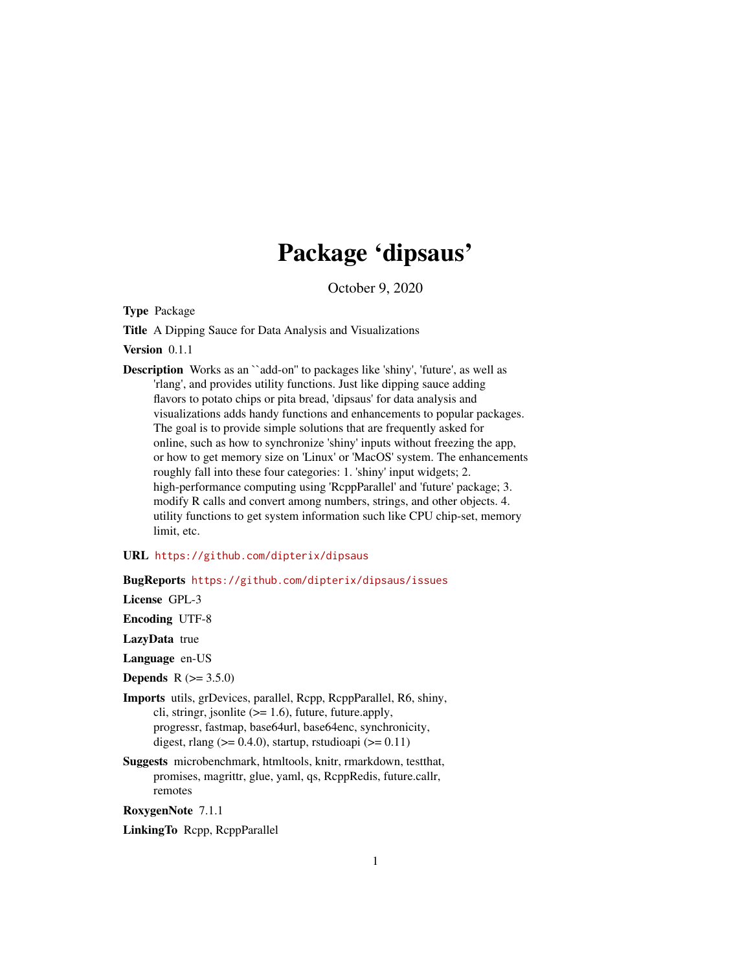# Package 'dipsaus'

October 9, 2020

<span id="page-0-0"></span>Type Package

Title A Dipping Sauce for Data Analysis and Visualizations

Version 0.1.1

Description Works as an ``add-on'' to packages like 'shiny', 'future', as well as 'rlang', and provides utility functions. Just like dipping sauce adding flavors to potato chips or pita bread, 'dipsaus' for data analysis and visualizations adds handy functions and enhancements to popular packages. The goal is to provide simple solutions that are frequently asked for online, such as how to synchronize 'shiny' inputs without freezing the app, or how to get memory size on 'Linux' or 'MacOS' system. The enhancements roughly fall into these four categories: 1. 'shiny' input widgets; 2. high-performance computing using 'RcppParallel' and 'future' package; 3. modify R calls and convert among numbers, strings, and other objects. 4. utility functions to get system information such like CPU chip-set, memory limit, etc.

# URL <https://github.com/dipterix/dipsaus>

# BugReports <https://github.com/dipterix/dipsaus/issues>

License GPL-3

Encoding UTF-8

LazyData true

Language en-US

**Depends**  $R (= 3.5.0)$ 

- Imports utils, grDevices, parallel, Rcpp, RcppParallel, R6, shiny, cli, stringr, jsonlite  $(>= 1.6)$ , future, future.apply, progressr, fastmap, base64url, base64enc, synchronicity, digest, rlang ( $> = 0.4.0$ ), startup, rstudioapi ( $> = 0.11$ )
- Suggests microbenchmark, htmltools, knitr, rmarkdown, testthat, promises, magrittr, glue, yaml, qs, RcppRedis, future.callr, remotes

RoxygenNote 7.1.1

LinkingTo Rcpp, RcppParallel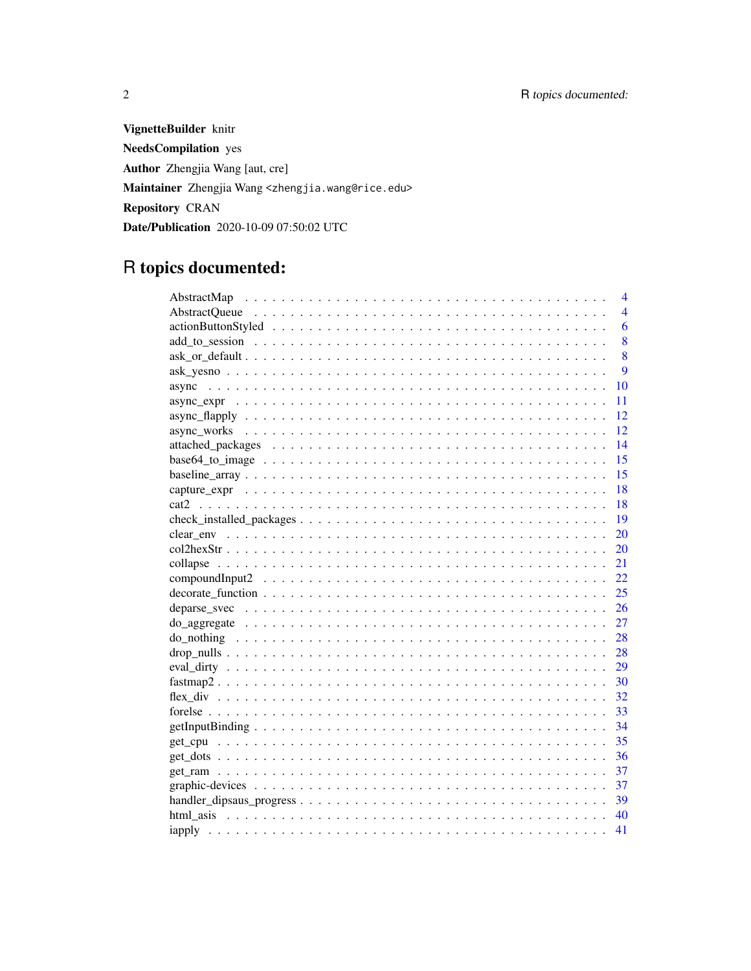VignetteBuilder knitr **NeedsCompilation** yes Author Zhengjia Wang [aut, cre] Maintainer Zhengjia Wang <zhengjia.wang@rice.edu> Repository CRAN Date/Publication 2020-10-09 07:50:02 UTC

# R topics documented:

|                         | $\overline{\mathcal{A}}$ |
|-------------------------|--------------------------|
|                         | $\overline{4}$           |
|                         | 6                        |
|                         | 8                        |
|                         | 8                        |
|                         | 9                        |
| 10<br>async             |                          |
| 11                      |                          |
| 12                      |                          |
| 12                      |                          |
| 14                      |                          |
| 15<br>$base64_to_i = 0$ |                          |
| 15                      |                          |
| 18                      |                          |
| 18                      |                          |
| 19                      |                          |
| 20                      |                          |
| 20                      |                          |
| 21                      |                          |
| 22                      |                          |
| 25                      |                          |
| 26                      |                          |
| 27                      |                          |
| 28                      |                          |
| 28                      |                          |
| 29                      |                          |
| -30                     |                          |
| 32                      |                          |
| 33                      |                          |
| 34                      |                          |
| 35                      |                          |
| - 36                    |                          |
| 37                      |                          |
| 37                      |                          |
| 39                      |                          |
| 40                      |                          |
| 41                      |                          |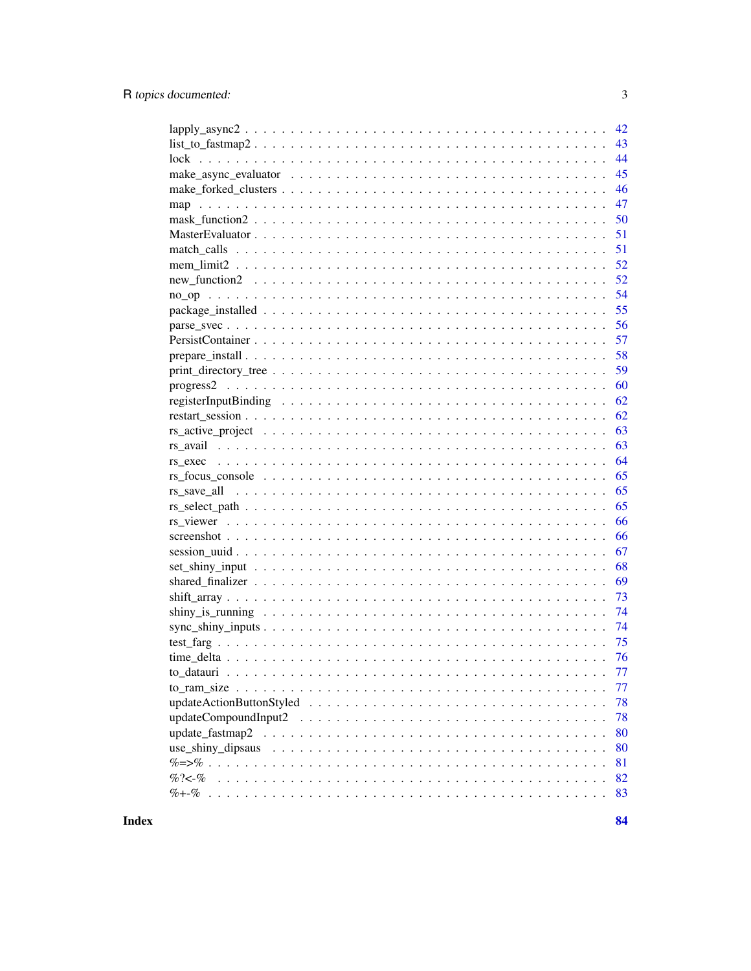| 42                                                                                                                           |
|------------------------------------------------------------------------------------------------------------------------------|
| $list_to_fastmap2 \ldots \ldots \ldots \ldots \ldots \ldots \ldots \ldots \ldots \ldots \ldots \ldots \ldots$<br>43          |
| 44                                                                                                                           |
| 45                                                                                                                           |
| 46                                                                                                                           |
| 47                                                                                                                           |
| 50                                                                                                                           |
| 51                                                                                                                           |
| 51                                                                                                                           |
| 52                                                                                                                           |
| $new_function2 \dots \dots \dots \dots \dots \dots \dots \dots \dots \dots \dots \dots \dots \dots \dots \dots \dots$<br>52  |
| 54                                                                                                                           |
| 55                                                                                                                           |
| 56                                                                                                                           |
| 57                                                                                                                           |
| 58                                                                                                                           |
| 59                                                                                                                           |
| 60                                                                                                                           |
| 62                                                                                                                           |
| 62                                                                                                                           |
| 63                                                                                                                           |
| 63                                                                                                                           |
| 64<br>$rs\_exec \dots \dots \dots \dots \dots \dots \dots \dots \dots \dots \dots \dots \dots \dots \dots \dots \dots \dots$ |
| 65                                                                                                                           |
| 65                                                                                                                           |
| 65                                                                                                                           |
| 66                                                                                                                           |
| 66                                                                                                                           |
| 67                                                                                                                           |
| 68                                                                                                                           |
| 69                                                                                                                           |
| 73                                                                                                                           |
| 74                                                                                                                           |
| 74                                                                                                                           |
| 75                                                                                                                           |
| - 76                                                                                                                         |
| 77                                                                                                                           |
| 77                                                                                                                           |
| 78                                                                                                                           |
| 78                                                                                                                           |
| 80                                                                                                                           |
| 80                                                                                                                           |
| 81                                                                                                                           |
| $% ? < -%$<br>82                                                                                                             |
| 83                                                                                                                           |
|                                                                                                                              |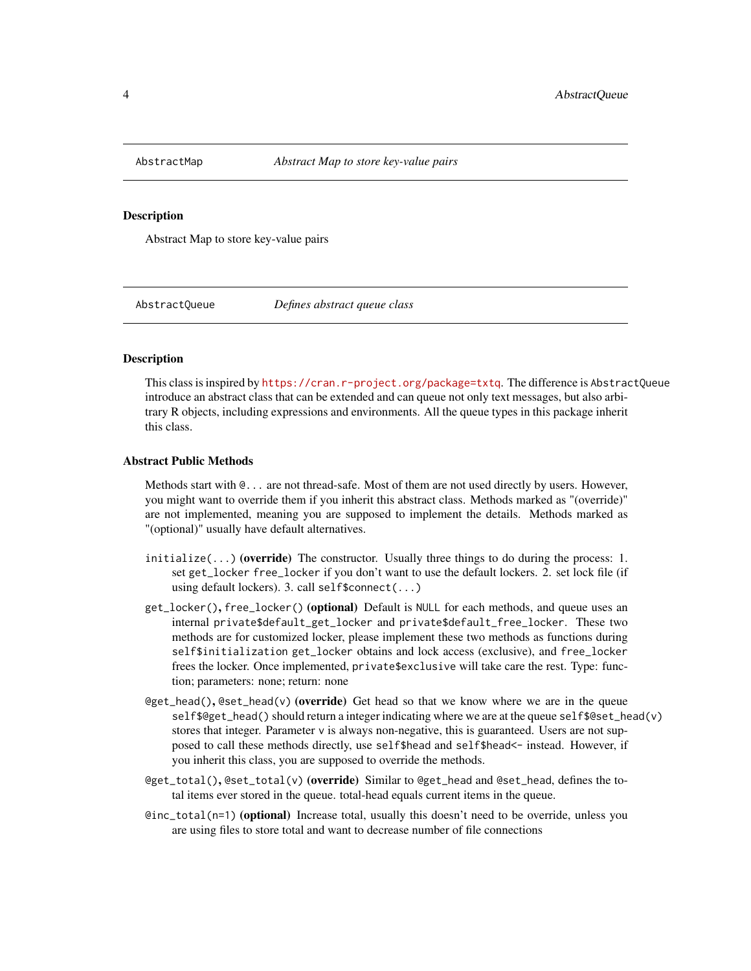<span id="page-3-0"></span>

Abstract Map to store key-value pairs

AbstractQueue *Defines abstract queue class*

#### Description

This class is inspired by <https://cran.r-project.org/package=txtq>. The difference is AbstractQueue introduce an abstract class that can be extended and can queue not only text messages, but also arbitrary R objects, including expressions and environments. All the queue types in this package inherit this class.

#### Abstract Public Methods

Methods start with  $\mathcal{Q}$ ... are not thread-safe. Most of them are not used directly by users. However, you might want to override them if you inherit this abstract class. Methods marked as "(override)" are not implemented, meaning you are supposed to implement the details. Methods marked as "(optional)" usually have default alternatives.

- $initialize(...)$  (override) The constructor. Usually three things to do during the process: 1. set get\_locker free\_locker if you don't want to use the default lockers. 2. set lock file (if using default lockers). 3. call self\$connect(...)
- get\_locker(), free\_locker() (optional) Default is NULL for each methods, and queue uses an internal private\$default\_get\_locker and private\$default\_free\_locker. These two methods are for customized locker, please implement these two methods as functions during self\$initialization get\_locker obtains and lock access (exclusive), and free\_locker frees the locker. Once implemented, private\$exclusive will take care the rest. Type: function; parameters: none; return: none
- @get\_head(), @set\_head(v) (override) Get head so that we know where we are in the queue self\$@get\_head() should return a integer indicating where we are at the queue self\$@set\_head(v) stores that integer. Parameter v is always non-negative, this is guaranteed. Users are not supposed to call these methods directly, use self\$head and self\$head<- instead. However, if you inherit this class, you are supposed to override the methods.
- @get\_total(), @set\_total(v) (override) Similar to @get\_head and @set\_head, defines the total items ever stored in the queue. total-head equals current items in the queue.
- @inc\_total(n=1) (optional) Increase total, usually this doesn't need to be override, unless you are using files to store total and want to decrease number of file connections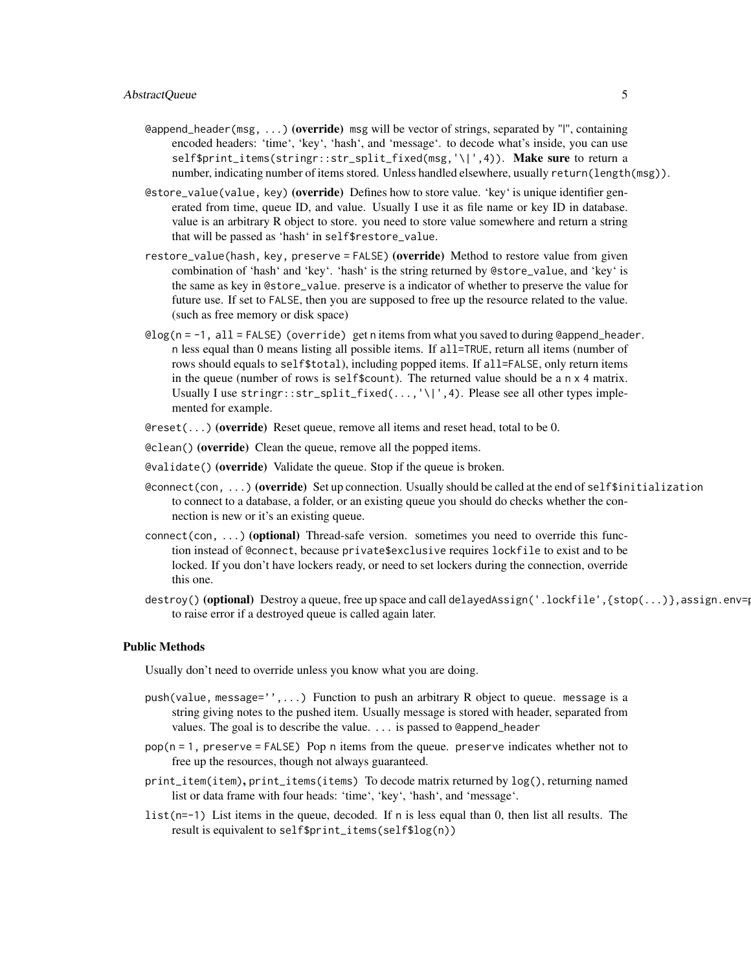- eappend\_header(msg, ...) (override) msg will be vector of strings, separated by "|", containing encoded headers: 'time', 'key', 'hash', and 'message'. to decode what's inside, you can use self\$print\_items(stringr::str\_split\_fixed(msg,'\|',4)). Make sure to return a number, indicating number of items stored. Unless handled elsewhere, usually return(length(msg)).
- @store\_value(value, key) (**override**) Defines how to store value. 'key' is unique identifier generated from time, queue ID, and value. Usually I use it as file name or key ID in database. value is an arbitrary R object to store. you need to store value somewhere and return a string that will be passed as 'hash' in self\$restore\_value.
- restore\_value(hash, key, preserve = FALSE) (override) Method to restore value from given combination of 'hash' and 'key'. 'hash' is the string returned by @store\_value, and 'key' is the same as key in @store\_value. preserve is a indicator of whether to preserve the value for future use. If set to FALSE, then you are supposed to free up the resource related to the value. (such as free memory or disk space)
- @log(n = -1, all = FALSE) (override) get n items from what you saved to during @append\_header. n less equal than 0 means listing all possible items. If all=TRUE, return all items (number of rows should equals to self\$total), including popped items. If all=FALSE, only return items in the queue (number of rows is self\$count). The returned value should be a n x 4 matrix. Usually I use stringr::str\_split\_fixed(...,'\|',4). Please see all other types implemented for example.
- $\Theta$  reset(...) (override) Reset queue, remove all items and reset head, total to be 0.
- @clean() (override) Clean the queue, remove all the popped items.
- @validate() (override) Validate the queue. Stop if the queue is broken.
- econnect(con, ...) (override) Set up connection. Usually should be called at the end of self\$initialization to connect to a database, a folder, or an existing queue you should do checks whether the connection is new or it's an existing queue.
- connect(con, ...) (optional) Thread-safe version. sometimes you need to override this function instead of @connect, because private\$exclusive requires lockfile to exist and to be locked. If you don't have lockers ready, or need to set lockers during the connection, override this one.
- destroy() (optional) Destroy a queue, free up space and call delayedAssign('.lockfile', {stop(...)}, assign.env= to raise error if a destroyed queue is called again later.

#### Public Methods

Usually don't need to override unless you know what you are doing.

- push(value, message='',...) Function to push an arbitrary R object to queue. message is a string giving notes to the pushed item. Usually message is stored with header, separated from values. The goal is to describe the value. ... is passed to @append\_header
- pop(n = 1, preserve = FALSE) Pop n items from the queue. preserve indicates whether not to free up the resources, though not always guaranteed.
- print\_item(item), print\_items(items) To decode matrix returned by log(), returning named list or data frame with four heads: 'time', 'key', 'hash', and 'message'.
- list(n=-1) List items in the queue, decoded. If n is less equal than 0, then list all results. The result is equivalent to self\$print\_items(self\$log(n))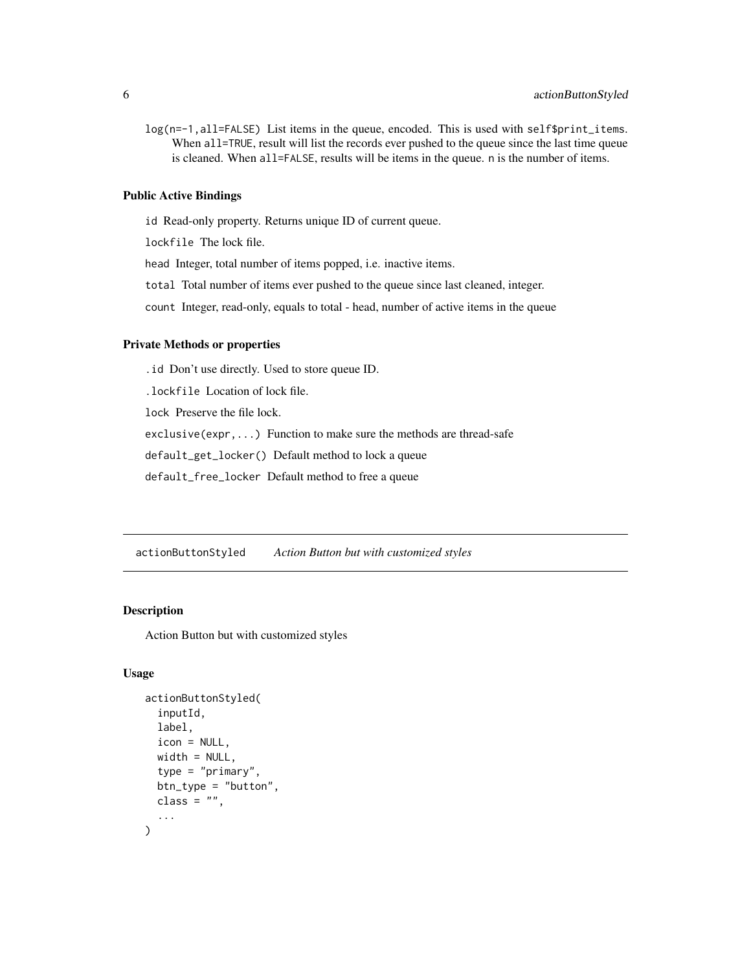<span id="page-5-0"></span>log(n=-1,all=FALSE) List items in the queue, encoded. This is used with self\$print\_items. When all=TRUE, result will list the records ever pushed to the queue since the last time queue is cleaned. When all=FALSE, results will be items in the queue. n is the number of items.

#### Public Active Bindings

id Read-only property. Returns unique ID of current queue.

lockfile The lock file.

head Integer, total number of items popped, i.e. inactive items.

total Total number of items ever pushed to the queue since last cleaned, integer.

count Integer, read-only, equals to total - head, number of active items in the queue

#### Private Methods or properties

.id Don't use directly. Used to store queue ID.

.lockfile Location of lock file.

lock Preserve the file lock.

exclusive(expr,...) Function to make sure the methods are thread-safe

default\_get\_locker() Default method to lock a queue

default\_free\_locker Default method to free a queue

actionButtonStyled *Action Button but with customized styles*

#### Description

Action Button but with customized styles

# Usage

```
actionButtonStyled(
  inputId,
  label,
  icon = NULL,
  width = NULL,type = "primary",
 btn_type = "button",
 class = ",
  ...
)
```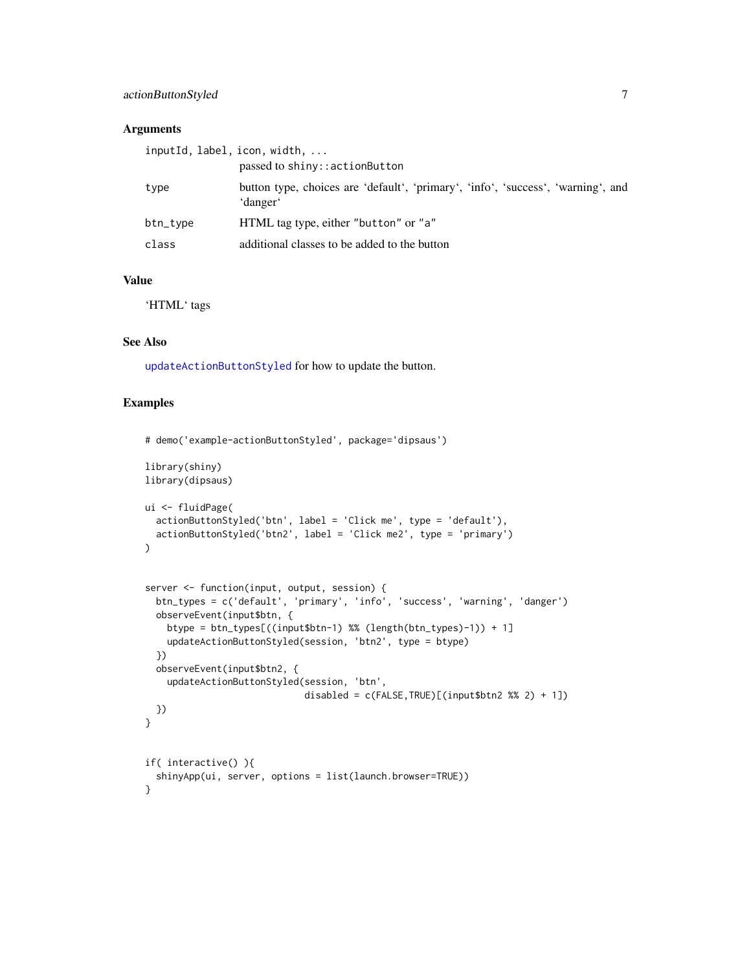# actionButtonStyled 7

#### Arguments

|          | inputId, label, icon, width,                                                                 |
|----------|----------------------------------------------------------------------------------------------|
|          | passed to shiny::actionButton                                                                |
| type     | button type, choices are 'default', 'primary', 'info', 'success', 'warning', and<br>'danger' |
| btn_type | HTML tag type, either "button" or "a"                                                        |
| class    | additional classes to be added to the button                                                 |

#### Value

'HTML' tags

# See Also

[updateActionButtonStyled](#page-77-1) for how to update the button.

```
# demo('example-actionButtonStyled', package='dipsaus')
library(shiny)
library(dipsaus)
ui <- fluidPage(
  actionButtonStyled('btn', label = 'Click me', type = 'default'),
  actionButtonStyled('btn2', label = 'Click me2', type = 'primary')
\lambdaserver <- function(input, output, session) {
  btn_types = c('default', 'primary', 'info', 'success', 'warning', 'danger')
  observeEvent(input$btn, {
    btype = btn_types[((input$btn-1) %% (length(btn_types)-1)) + 1]
    updateActionButtonStyled(session, 'btn2', type = btype)
  })
  observeEvent(input$btn2, {
    updateActionButtonStyled(session, 'btn',
                             disabled = c(FALSE, TRUE)[(input$btn2 % 2) + 1])})
}
if( interactive() ){
  shinyApp(ui, server, options = list(launch.browser=TRUE))
}
```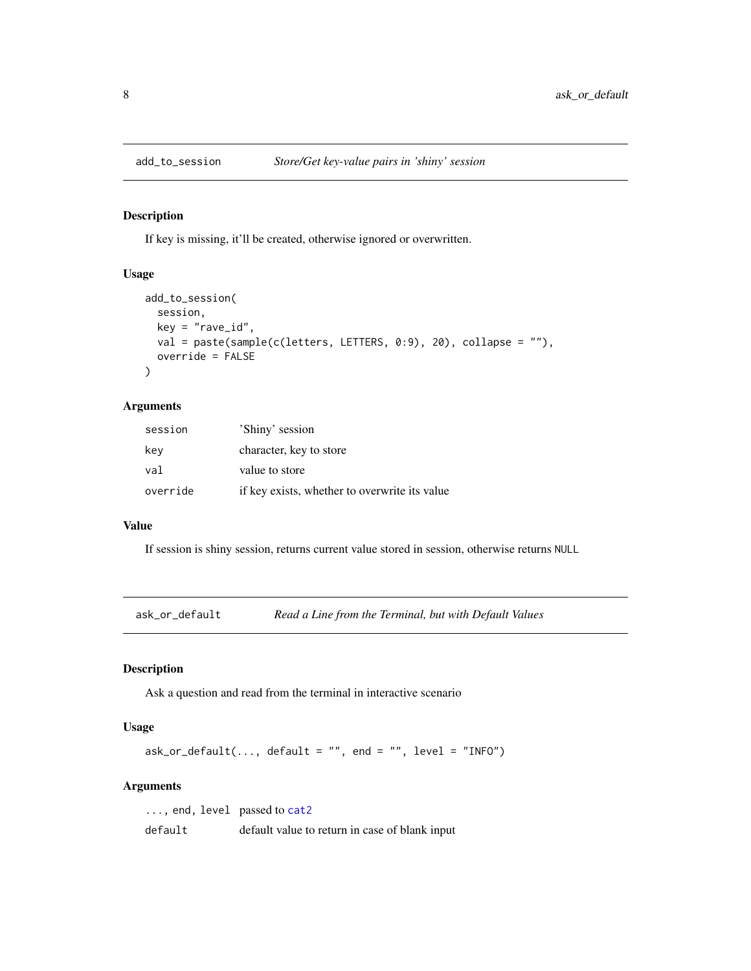<span id="page-7-0"></span>

If key is missing, it'll be created, otherwise ignored or overwritten.

#### Usage

```
add_to_session(
 session,
 key = "rave_id",val = paste(sample(c(letters, LETTERS, 0:9), 20), collapse = ""),
 override = FALSE
)
```
# Arguments

| session  | 'Shiny' session                               |
|----------|-----------------------------------------------|
| kev      | character, key to store                       |
| val      | value to store                                |
| override | if key exists, whether to overwrite its value |

# Value

If session is shiny session, returns current value stored in session, otherwise returns NULL

<span id="page-7-1"></span>ask\_or\_default *Read a Line from the Terminal, but with Default Values*

# Description

Ask a question and read from the terminal in interactive scenario

# Usage

```
ask_or_default(..., default = "", end = "", level = "INFO")
```
#### Arguments

| $\ldots$ , end, level passed to cat2 |                                                |
|--------------------------------------|------------------------------------------------|
| default                              | default value to return in case of blank input |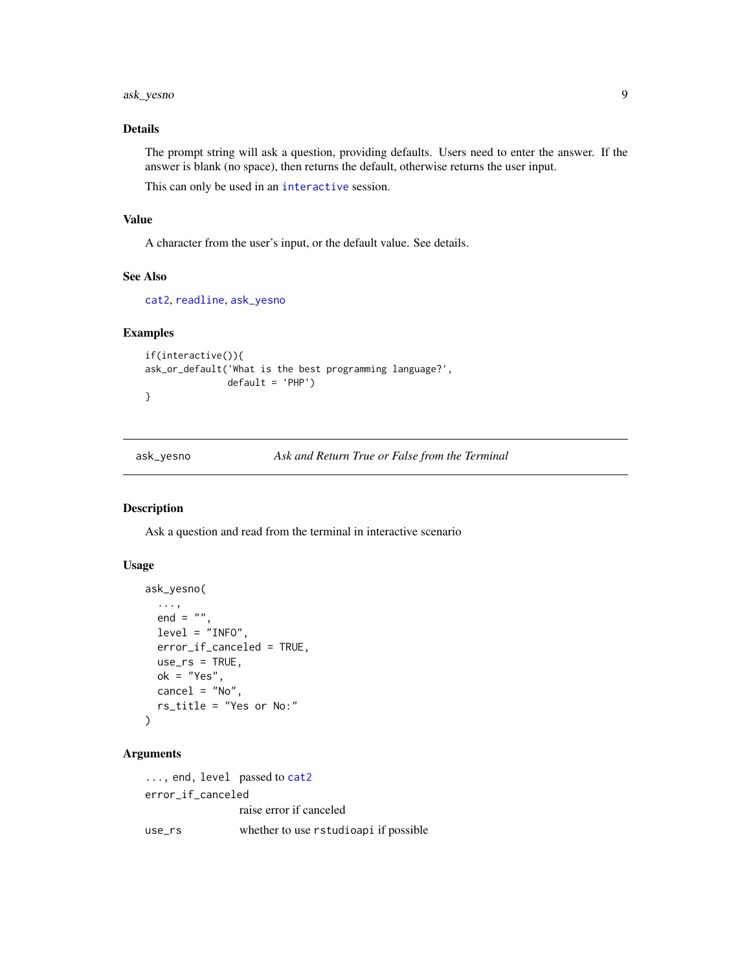<span id="page-8-0"></span>ask\_yesno 9

#### Details

The prompt string will ask a question, providing defaults. Users need to enter the answer. If the answer is blank (no space), then returns the default, otherwise returns the user input.

This can only be used in an [interactive](#page-0-0) session.

#### Value

A character from the user's input, or the default value. See details.

# See Also

```
cat2, readline, ask_yesno
```
#### Examples

```
if(interactive()){
ask_or_default('What is the best programming language?',
               default = 'PHP')
}
```
<span id="page-8-1"></span>ask\_yesno *Ask and Return True or False from the Terminal*

#### Description

Ask a question and read from the terminal in interactive scenario

#### Usage

```
ask_yesno(
  ...,
  end = ",
 level = "INFO",
  error_if_canceled = TRUE,
 use\_rs = TRUE,ok = "Yes",
  cancel = "No",rs_title = "Yes or No:"
)
```
### Arguments

```
cat2
error_if_canceled
            raise error if canceled
use_rs whether to use rstudioapi if possible
```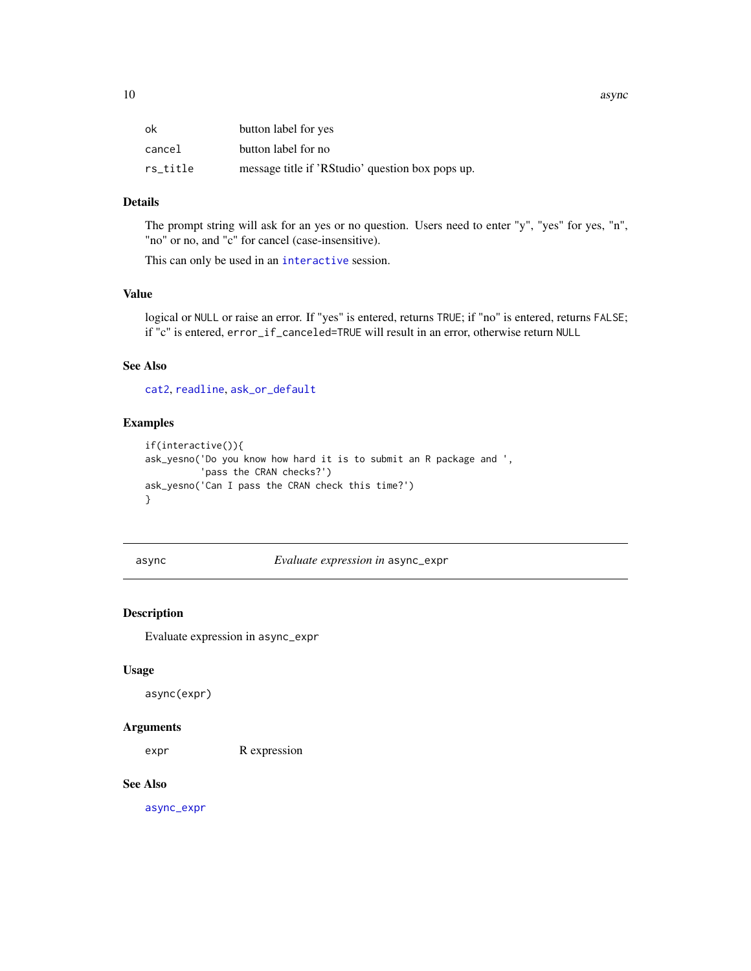<span id="page-9-0"></span>10 async

| ok       | button label for yes                             |
|----------|--------------------------------------------------|
| cancel   | button label for no                              |
| rs_title | message title if 'RStudio' question box pops up. |

# Details

The prompt string will ask for an yes or no question. Users need to enter "y", "yes" for yes, "n", "no" or no, and "c" for cancel (case-insensitive).

This can only be used in an [interactive](#page-0-0) session.

#### Value

logical or NULL or raise an error. If "yes" is entered, returns TRUE; if "no" is entered, returns FALSE; if "c" is entered, error\_if\_canceled=TRUE will result in an error, otherwise return NULL

#### See Also

[cat2](#page-17-1), [readline](#page-0-0), [ask\\_or\\_default](#page-7-1)

# Examples

```
if(interactive()){
ask_yesno('Do you know how hard it is to submit an R package and ',
          'pass the CRAN checks?')
ask_yesno('Can I pass the CRAN check this time?')
}
```
async *Evaluate expression in* async\_expr

# Description

Evaluate expression in async\_expr

#### Usage

async(expr)

#### Arguments

expr R expression

#### See Also

[async\\_expr](#page-10-1)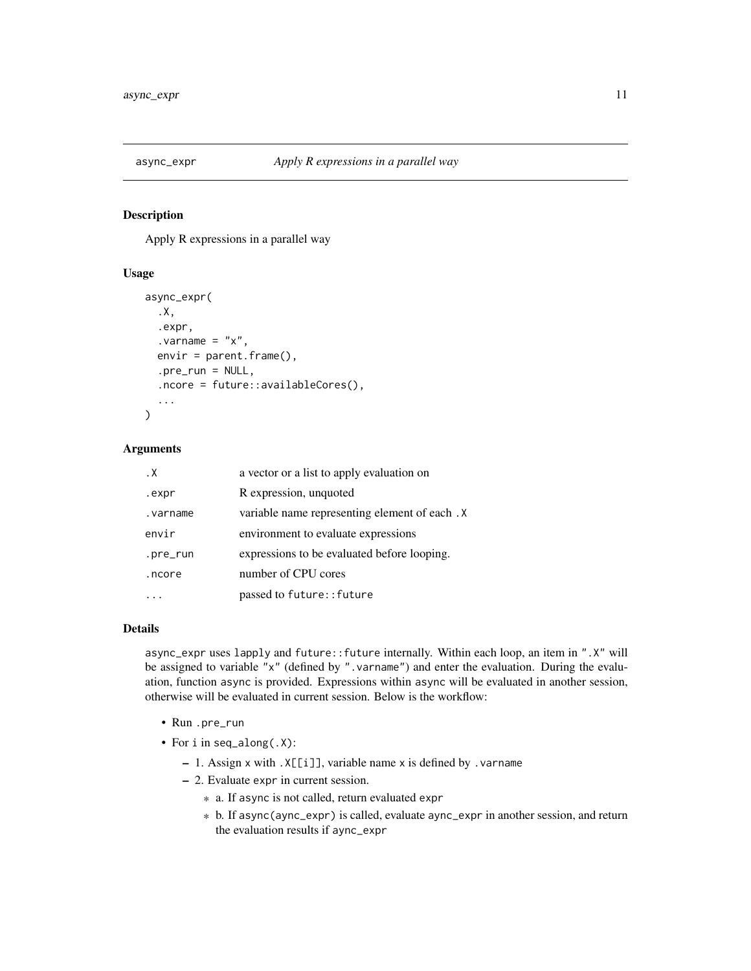<span id="page-10-1"></span><span id="page-10-0"></span>

Apply R expressions in a parallel way

#### Usage

```
async_expr(
  .X,
  .expr,
  varrow = "x",envir = parent.frame(),.pre_run = NULL,
  .ncore = future::availableCores(),
  ...
)
```
#### Arguments

| . $\times$ | a vector or a list to apply evaluation on     |
|------------|-----------------------------------------------|
| .expr      | R expression, unquoted                        |
| .varname   | variable name representing element of each. X |
| envir      | environment to evaluate expressions           |
| .pre_run   | expressions to be evaluated before looping.   |
| .ncore     | number of CPU cores                           |
|            | passed to future:: future                     |

#### Details

async\_expr uses lapply and future::future internally. Within each loop, an item in ".X" will be assigned to variable "x" (defined by ". varname") and enter the evaluation. During the evaluation, function async is provided. Expressions within async will be evaluated in another session, otherwise will be evaluated in current session. Below is the workflow:

- Run .pre\_run
- For i in seq\_along(.X):
	- 1. Assign x with .X[[i]], variable name x is defined by .varname
	- 2. Evaluate expr in current session.
		- \* a. If async is not called, return evaluated expr
		- \* b. If async(aync\_expr) is called, evaluate aync\_expr in another session, and return the evaluation results if aync\_expr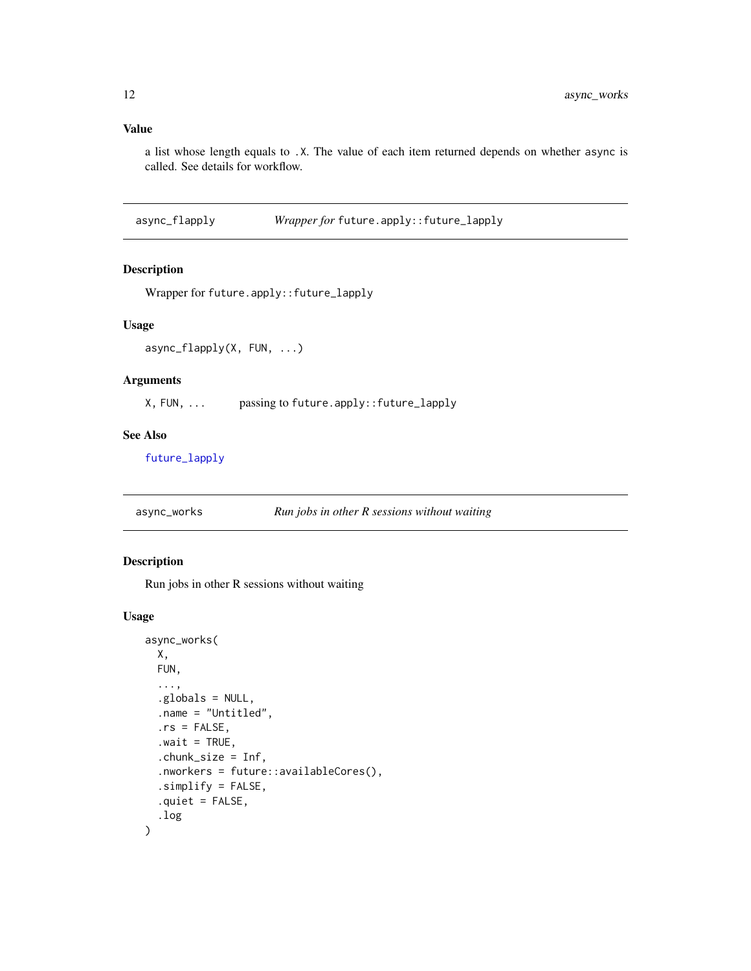#### <span id="page-11-0"></span>Value

a list whose length equals to .X. The value of each item returned depends on whether async is called. See details for workflow.

async\_flapply *Wrapper for* future.apply::future\_lapply

### Description

Wrapper for future.apply::future\_lapply

#### Usage

async\_flapply(X, FUN, ...)

#### Arguments

X, FUN, ... passing to future.apply::future\_lapply

#### See Also

[future\\_lapply](#page-0-0)

async\_works *Run jobs in other R sessions without waiting*

#### Description

Run jobs in other R sessions without waiting

#### Usage

```
async_works(
 X,
 FUN,
  ...,
  .globals = NULL,
  .name = "Untitled",
  rs = FALSE,value = TRUE,.chunk_size = Inf,
  .nworkers = future::availableCores(),
  .simplify = FALSE,
  .quiet = FALSE,
  .log
)
```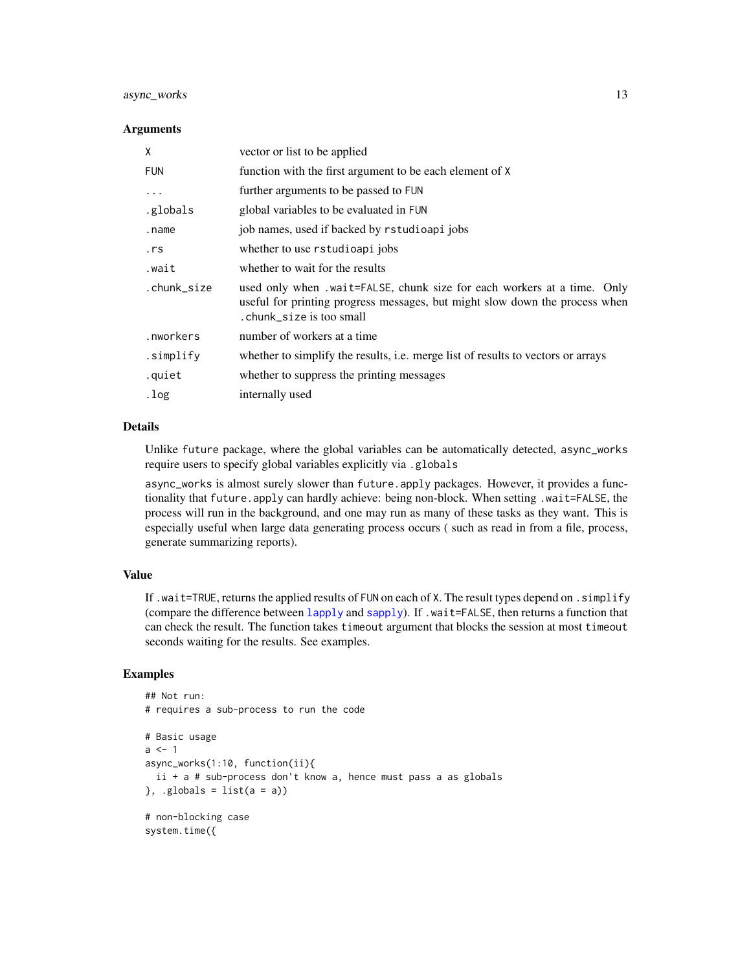# async\_works 13

#### **Arguments**

| vector or list to be applied                                                                                                                                                        |
|-------------------------------------------------------------------------------------------------------------------------------------------------------------------------------------|
| function with the first argument to be each element of X                                                                                                                            |
| further arguments to be passed to FUN                                                                                                                                               |
| global variables to be evaluated in FUN                                                                                                                                             |
| job names, used if backed by rstudioapi jobs                                                                                                                                        |
| whether to use rstudioapi jobs                                                                                                                                                      |
| whether to wait for the results                                                                                                                                                     |
| used only when .wait=FALSE, chunk size for each workers at a time. Only<br>useful for printing progress messages, but might slow down the process when<br>. chunk size is too small |
| number of workers at a time                                                                                                                                                         |
| whether to simplify the results, <i>i.e.</i> merge list of results to vectors or arrays                                                                                             |
| whether to suppress the printing messages                                                                                                                                           |
| internally used                                                                                                                                                                     |
|                                                                                                                                                                                     |

# Details

Unlike future package, where the global variables can be automatically detected, async\_works require users to specify global variables explicitly via .globals

async\_works is almost surely slower than future.apply packages. However, it provides a functionality that future.apply can hardly achieve: being non-block. When setting .wait=FALSE, the process will run in the background, and one may run as many of these tasks as they want. This is especially useful when large data generating process occurs ( such as read in from a file, process, generate summarizing reports).

# Value

If .wait=TRUE, returns the applied results of FUN on each of X. The result types depend on . simplify (compare the difference between [lapply](#page-0-0) and [sapply](#page-0-0)). If .wait=FALSE, then returns a function that can check the result. The function takes timeout argument that blocks the session at most timeout seconds waiting for the results. See examples.

```
## Not run:
# requires a sub-process to run the code
# Basic usage
a < -1async_works(1:10, function(ii){
 ii + a # sub-process don't know a, hence must pass a as globals
}, .globals = list(a = a))
# non-blocking case
system.time({
```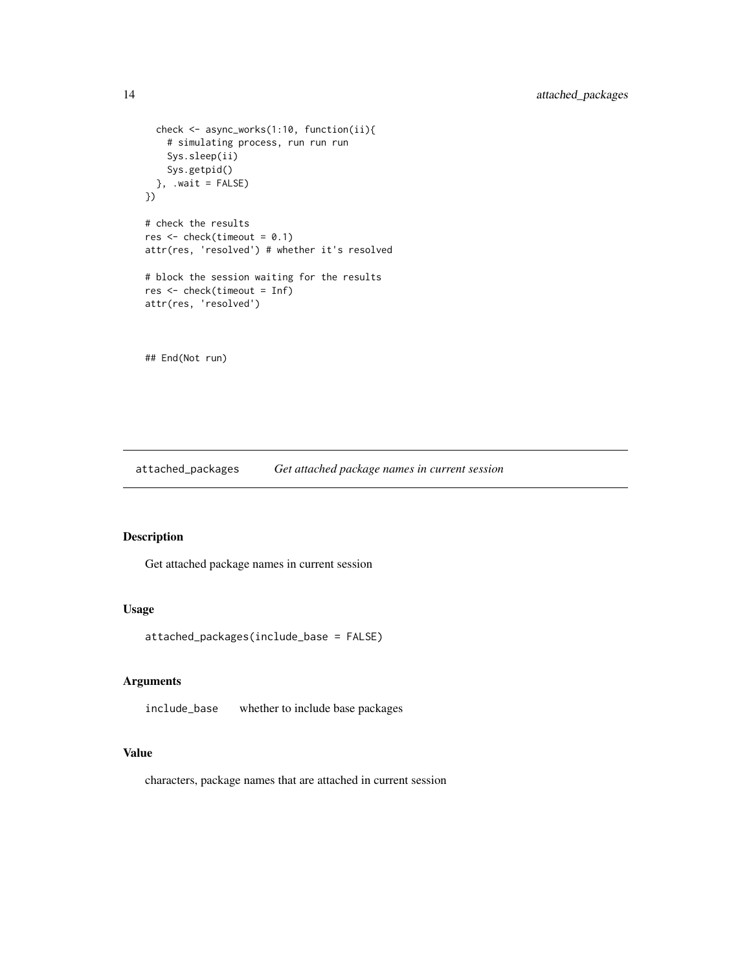```
check <- async_works(1:10, function(ii){
    # simulating process, run run run
    Sys.sleep(ii)
    Sys.getpid()
  }, \dotswait = FALSE)
})
# check the results
res < -</math> check(timeout = 0.1)attr(res, 'resolved') # whether it's resolved
# block the session waiting for the results
res <- check(timeout = Inf)
attr(res, 'resolved')
```
## End(Not run)

attached\_packages *Get attached package names in current session*

# Description

Get attached package names in current session

#### Usage

attached\_packages(include\_base = FALSE)

# Arguments

include\_base whether to include base packages

#### Value

characters, package names that are attached in current session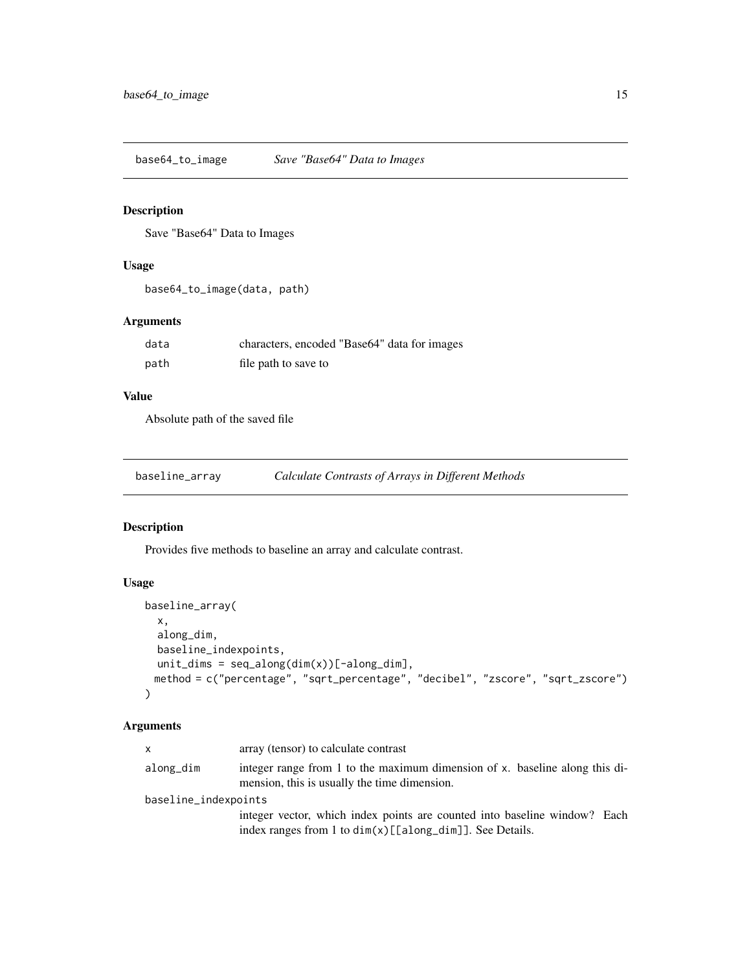<span id="page-14-0"></span>base64\_to\_image *Save "Base64" Data to Images*

# Description

Save "Base64" Data to Images

#### Usage

```
base64_to_image(data, path)
```
# Arguments

| data | characters, encoded "Base64" data for images |
|------|----------------------------------------------|
| path | file path to save to                         |

#### Value

Absolute path of the saved file

| baseline_array | Calculate Contrasts of Arrays in Different Methods |  |
|----------------|----------------------------------------------------|--|
|                |                                                    |  |

# Description

Provides five methods to baseline an array and calculate contrast.

# Usage

```
baseline_array(
  x,
  along_dim,
 baseline_indexpoints,
 unit\_dims = seq\_along(dim(x))[-along\_dim],method = c("percentage", "sqrt_percentage", "decibel", "zscore", "sqrt_zscore")
)
```
# Arguments

| x.                   | array (tensor) to calculate contrast                                                                                        |  |  |
|----------------------|-----------------------------------------------------------------------------------------------------------------------------|--|--|
| along_dim            | integer range from 1 to the maximum dimension of x. baseline along this di-<br>mension, this is usually the time dimension. |  |  |
| baseline_indexpoints |                                                                                                                             |  |  |
|                      | integer vector, which index points are counted into baseline window? Each                                                   |  |  |
|                      | index ranges from 1 to $dim(x)[[along_dim]]$ . See Details.                                                                 |  |  |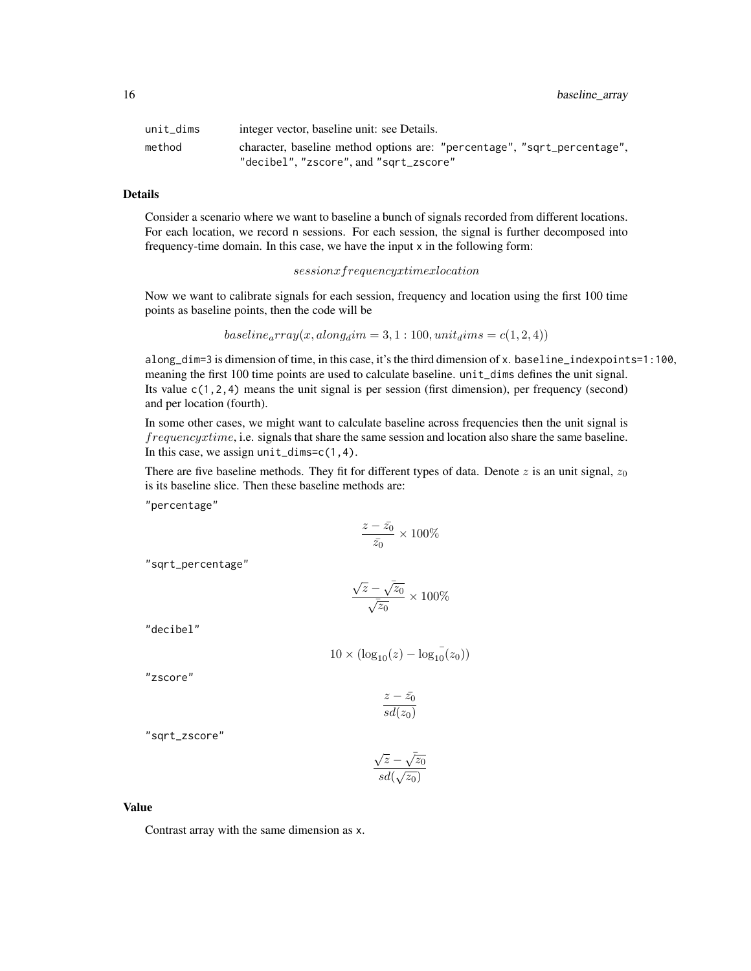16 baseline\_array

| unit dims | integer vector, baseline unit: see Details.                                                                        |
|-----------|--------------------------------------------------------------------------------------------------------------------|
| method    | character, baseline method options are: "percentage", "sqrt_percentage",<br>"decibel", "zscore", and "sqrt_zscore" |

# Details

Consider a scenario where we want to baseline a bunch of signals recorded from different locations. For each location, we record n sessions. For each session, the signal is further decomposed into frequency-time domain. In this case, we have the input x in the following form:

#### sessionxfrequencyxtimexlocation

Now we want to calibrate signals for each session, frequency and location using the first 100 time points as baseline points, then the code will be

$$
baseline_{a}rray(x,along_{d}im=3,1:100, unit_{d}ims=c(1,2,4))
$$

along\_dim=3 is dimension of time, in this case, it's the third dimension of x. baseline\_indexpoints=1:100, meaning the first 100 time points are used to calculate baseline. unit\_dims defines the unit signal. Its value  $c(1,2,4)$  means the unit signal is per session (first dimension), per frequency (second) and per location (fourth).

In some other cases, we might want to calculate baseline across frequencies then the unit signal is frequencyxtime, i.e. signals that share the same session and location also share the same baseline. In this case, we assign  $unit\_dims = c(1, 4)$ .

There are five baseline methods. They fit for different types of data. Denote  $z$  is an unit signal,  $z_0$ is its baseline slice. Then these baseline methods are:

"percentage"

$$
\frac{z-\bar{z_0}}{\bar{z_0}}\times 100\%
$$

"sqrt\_percentage"

$$
\frac{\sqrt{\bar{z}}-\bar{\sqrt{z_0}}}{\sqrt{\bar{z_0}}}\times 100\%
$$

"decibel"

$$
10 \times (\log_{10}(z) - \log_{10}^{-}(z_0))
$$

"zscore"

$$
\frac{z-\bar{z_0}}{sd(z_0)}
$$

"sqrt\_zscore"

$$
\frac{\sqrt{z}-\sqrt{z_0}}{sd(\sqrt{z_0})}
$$

#### Value

Contrast array with the same dimension as x.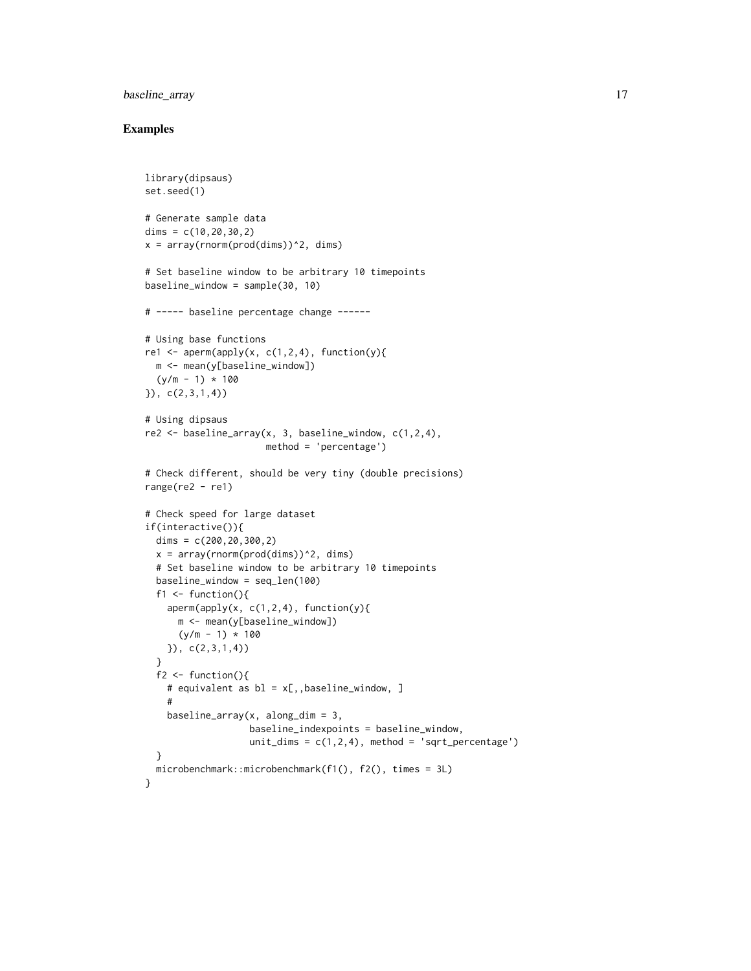# baseline\_array 17

```
library(dipsaus)
set.seed(1)
# Generate sample data
dims = c(10, 20, 30, 2)x = array(rnorm(prod(dims))^2, dims)# Set baseline window to be arbitrary 10 timepoints
baseline_window = sample(30, 10)
# ----- baseline percentage change ------
# Using base functions
re1 <- aperm(apply(x, c(1,2,4), function(y){
 m <- mean(y[baseline_window])
  (y/m - 1) * 100}), c(2,3,1,4))
# Using dipsaus
re2 \leq baseline_array(x, 3, baseline_window, c(1,2,4),
                      method = 'percentage')
# Check different, should be very tiny (double precisions)
range(re2 - re1)
# Check speed for large dataset
if(interactive()){
  dims = c(200, 20, 300, 2)x = array(rnorm(pred(dims))^2, dims)# Set baseline window to be arbitrary 10 timepoints
  baseline_window = seq_len(100)
  f1 \leftarrow function(){
   aperm(apply(x, c(1,2,4), function(y))m <- mean(y[baseline_window])
      (y/m - 1) * 100}), c(2,3,1,4))
  }
  f2 \leftarrow function()# equivalent as bl = x[,,baseline_window, ]
    #
   baseline_array(x, along_dim = 3,
                   baseline_indexpoints = baseline_window,
                   unit\_dims = c(1,2,4), method = 'sqrt_percentage')
  }
  microbenchmark::microbenchmark(f1(), f2(), times = 3L)
}
```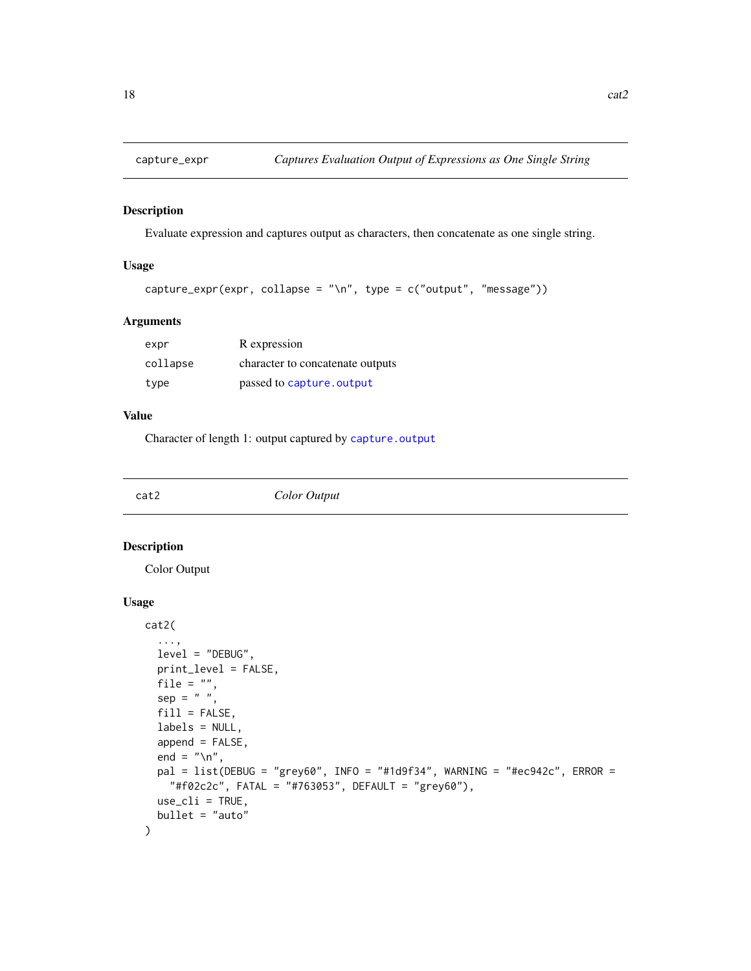<span id="page-17-0"></span>

Evaluate expression and captures output as characters, then concatenate as one single string.

#### Usage

```
capture_expr(expr, collapse = "\n", type = c("output", "message"))
```
# Arguments

| expr     | R expression                     |
|----------|----------------------------------|
| collapse | character to concatenate outputs |
| type     | passed to capture, output        |

#### Value

Character of length 1: output captured by [capture.output](#page-0-0)

#### <span id="page-17-1"></span>cat2 *Color Output*

# Description

Color Output

#### Usage

```
cat2(
  ...,
 level = "DEBUG",
 print_level = FALSE,
 file = ",
  sep = " " "fill = FALSE,labels = NULL,
  append = FALSE,
  end = ''\n\cdot".
 pal = list(DEBUG = "grey60", INFO = "#1d9f34", WARNING = "#ec942c", ERROR =
    "#f02c2c", FATAL = "#763053", DEFAULT = "grey60"),
  use_cli = TRUE,bullet = "auto"
)
```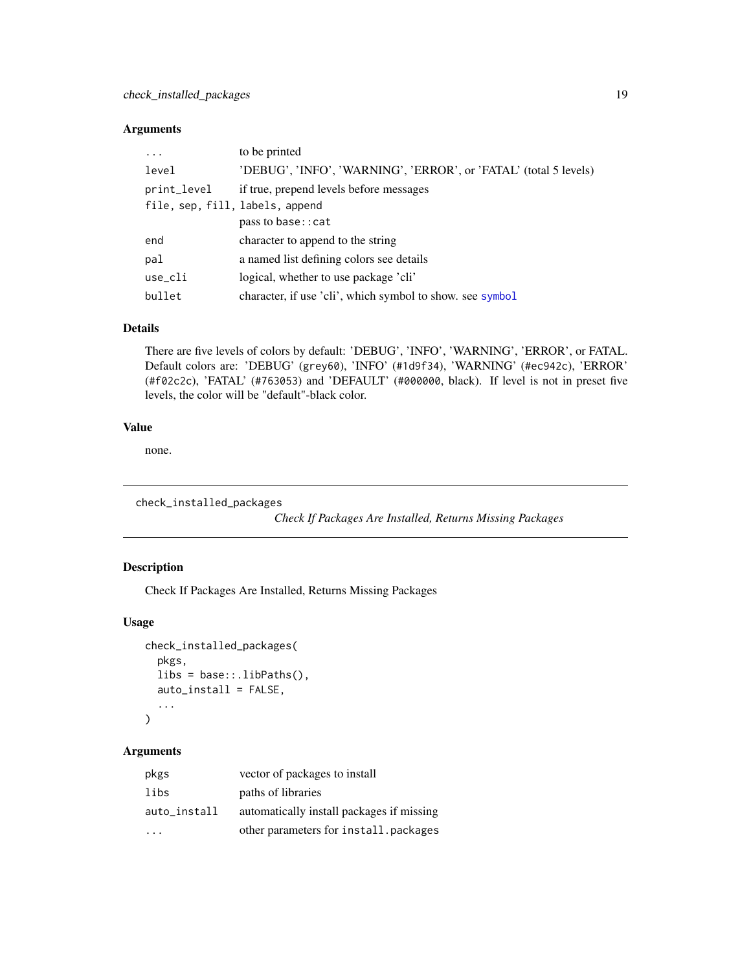# <span id="page-18-0"></span>Arguments

| $\ddots$ .                      | to be printed                                                    |
|---------------------------------|------------------------------------------------------------------|
| level                           | 'DEBUG', 'INFO', 'WARNING', 'ERROR', or 'FATAL' (total 5 levels) |
| print_level                     | if true, prepend levels before messages                          |
| file, sep, fill, labels, append |                                                                  |
|                                 | pass to base:: cat                                               |
| end                             | character to append to the string                                |
| pal                             | a named list defining colors see details                         |
| use_cli                         | logical, whether to use package 'cli'                            |
| bullet                          | character, if use 'cli', which symbol to show, see symbol        |

# Details

There are five levels of colors by default: 'DEBUG', 'INFO', 'WARNING', 'ERROR', or FATAL. Default colors are: 'DEBUG' (grey60), 'INFO' (#1d9f34), 'WARNING' (#ec942c), 'ERROR' (#f02c2c), 'FATAL' (#763053) and 'DEFAULT' (#000000, black). If level is not in preset five levels, the color will be "default"-black color.

# Value

none.

check\_installed\_packages

*Check If Packages Are Installed, Returns Missing Packages*

# Description

Check If Packages Are Installed, Returns Missing Packages

# Usage

```
check_installed_packages(
  pkgs,
  libs = base::.libPaths(),
  auto_install = FALSE,
  ...
```
# $\mathcal{L}$

# Arguments

| pkgs         | vector of packages to install             |
|--------------|-------------------------------------------|
| libs         | paths of libraries                        |
| auto_install | automatically install packages if missing |
|              | other parameters for install.packages     |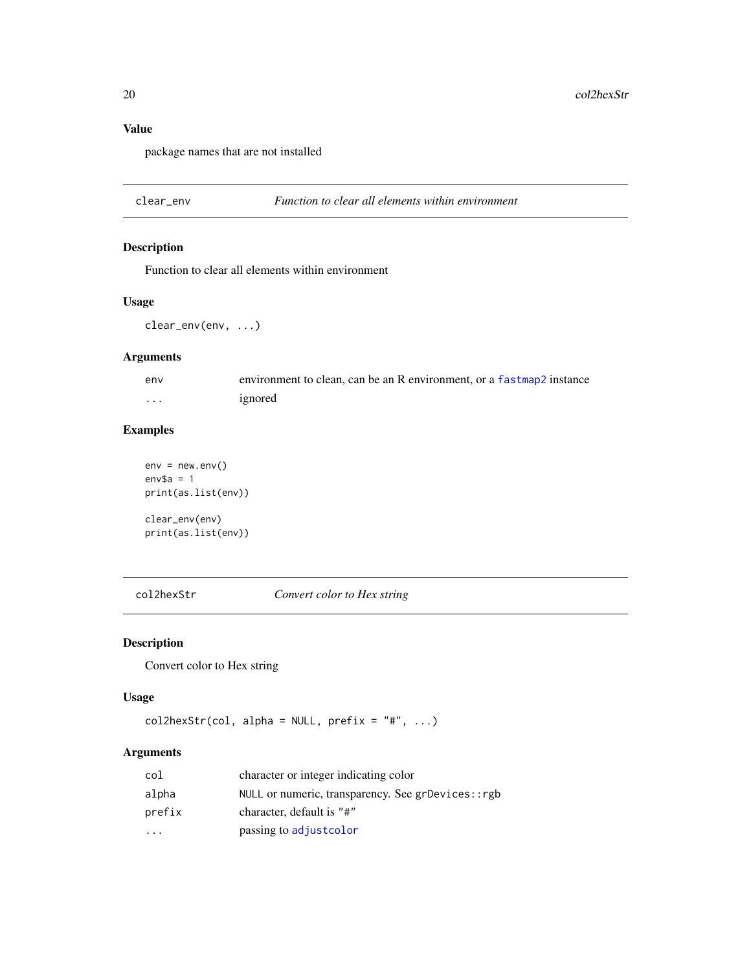# Value

package names that are not installed

clear\_env *Function to clear all elements within environment*

# Description

Function to clear all elements within environment

# Usage

clear\_env(env, ...)

# Arguments

| env | environment to clean, can be an R environment, or a fastmap? instance |
|-----|-----------------------------------------------------------------------|
| .   | ignored                                                               |

# Examples

 $env = newenv()$ env\$a =  $1$ print(as.list(env))

clear\_env(env) print(as.list(env))

col2hexStr *Convert color to Hex string*

# Description

Convert color to Hex string

#### Usage

```
col2hexStr(col, alpha = NULL, prefix = "#", ...)
```
# Arguments

| col                     | character or integer indicating color             |
|-------------------------|---------------------------------------------------|
| alpha                   | NULL or numeric, transparency. See grDevices::rgb |
| prefix                  | character, default is "#"                         |
| $\cdot$ $\cdot$ $\cdot$ | passing to adjustcolor                            |

<span id="page-19-0"></span>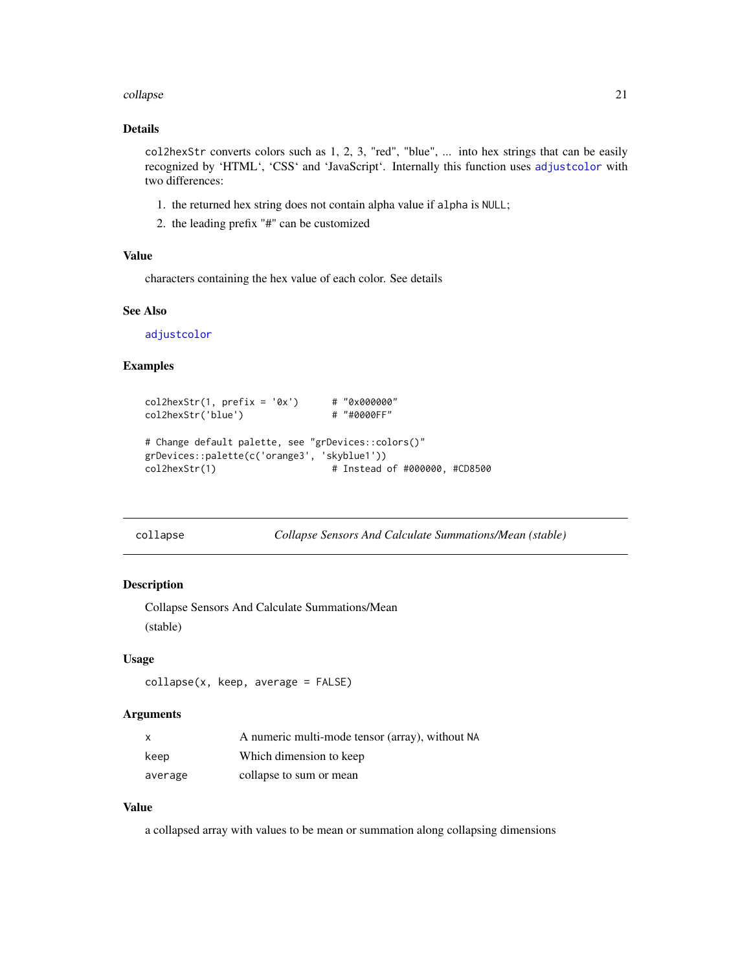#### <span id="page-20-0"></span>collapse 21

#### Details

col2hexStr converts colors such as 1, 2, 3, "red", "blue", ... into hex strings that can be easily recognized by 'HTML', 'CSS' and 'JavaScript'. Internally this function uses [adjustcolor](#page-0-0) with two differences:

- 1. the returned hex string does not contain alpha value if alpha is NULL;
- 2. the leading prefix "#" can be customized

# Value

characters containing the hex value of each color. See details

# See Also

[adjustcolor](#page-0-0)

#### Examples

```
col2hexStr(1, prefix = '0x') # "0x000000"
col2hexStr('blue') # "#0000FF"
# Change default palette, see "grDevices::colors()"
grDevices::palette(c('orange3', 'skyblue1'))
col2hexStr(1) \qquad \qquad \qquad # Instead of #000000, #CD8500
```
collapse *Collapse Sensors And Calculate Summations/Mean (stable)*

#### Description

Collapse Sensors And Calculate Summations/Mean (stable)

#### Usage

```
collapse(x, keep, average = FALSE)
```
# Arguments

| X       | A numeric multi-mode tensor (array), without NA |
|---------|-------------------------------------------------|
| keep    | Which dimension to keep                         |
| average | collapse to sum or mean                         |

# Value

a collapsed array with values to be mean or summation along collapsing dimensions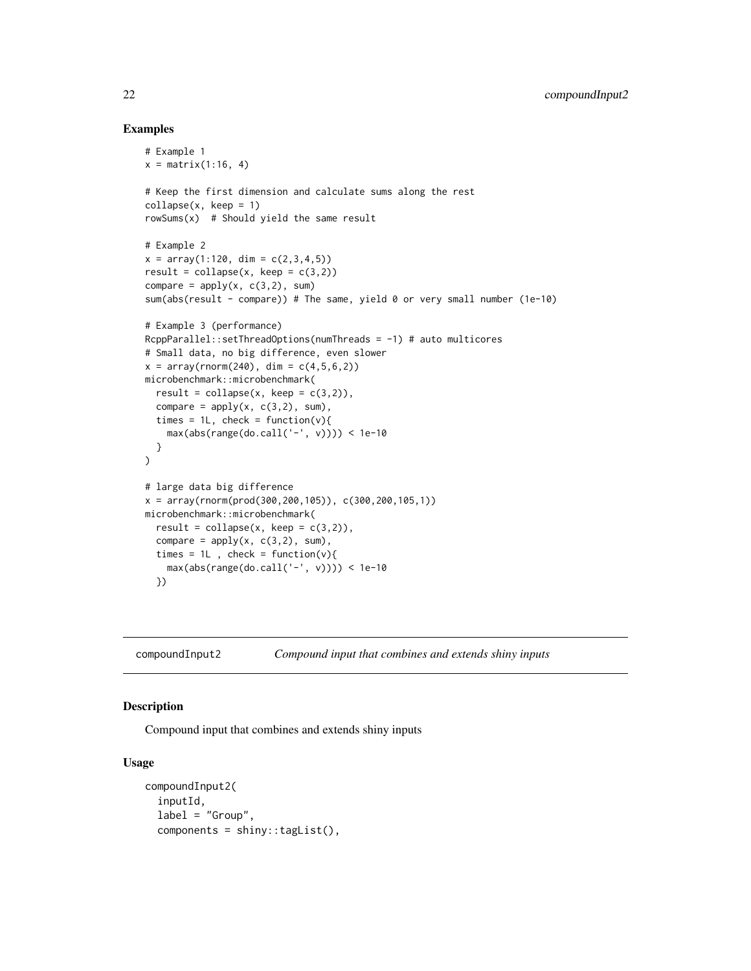#### Examples

```
# Example 1
x = matrix(1:16, 4)# Keep the first dimension and calculate sums along the rest
collapse(x, keep = 1)
rowsums(x) # Should yield the same result
# Example 2
x = array(1:120, dim = c(2,3,4,5))result = collapse(x, keep = c(3,2))compare = apply(x, c(3,2), sum)sum(abs(result - compare)) # The same, yield 0 or very small number (1e-10)
# Example 3 (performance)
RcppParallel::setThreadOptions(numThreads = -1) # auto multicores
# Small data, no big difference, even slower
x = \arctan((\text{norm}(240), \text{dim} = c(4, 5, 6, 2))microbenchmark::microbenchmark(
  result = collapse(x, keep = c(3,2)),compare = apply(x, c(3,2), sum),
  times = 1L, check = function(v){
    max(abs(range(do.call('-', v)))) < 1e-10
  }
\mathcal{L}# large data big difference
x = array(rnorm(prod(300, 200, 105)), c(300, 200, 105, 1))microbenchmark::microbenchmark(
  result = collapse(x, keep = c(3,2)),compare = apply(x, c(3,2), sum),
  times = 1L, check = function(v){
    max(abs(range(do-call('-'', v)))) < 1e-10})
```
compoundInput2 *Compound input that combines and extends shiny inputs*

# Description

Compound input that combines and extends shiny inputs

#### Usage

```
compoundInput2(
  inputId,
  label = "Group",
  components = shiny::tagList(),
```
<span id="page-21-0"></span>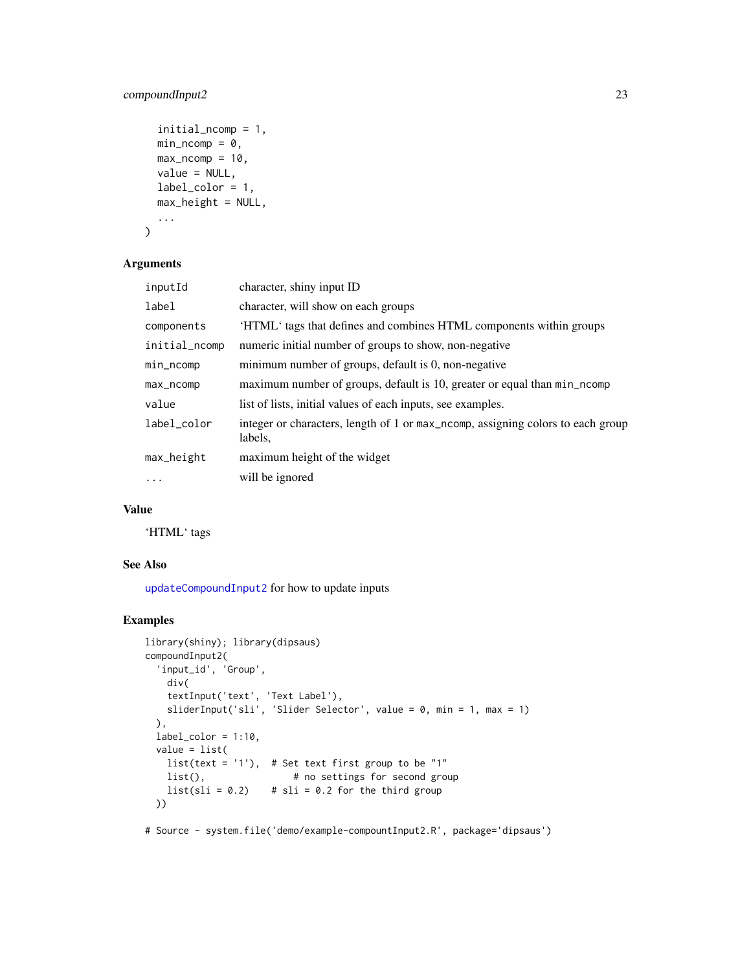# compoundInput2 23

```
initial_ncomp = 1,
  min\_ncomp = 0,
  max\_ncomp = 10,
  value = NULL,
  label_color = 1,
  max_height = NULL,
  ...
\mathcal{L}
```
# Arguments

| inputId       | character, shiny input ID                                                                  |
|---------------|--------------------------------------------------------------------------------------------|
| label         | character, will show on each groups                                                        |
| components    | 'HTML' tags that defines and combines HTML components within groups                        |
| initial_ncomp | numeric initial number of groups to show, non-negative                                     |
| min_ncomp     | minimum number of groups, default is 0, non-negative                                       |
| max_ncomp     | maximum number of groups, default is 10, greater or equal than min_ncomp                   |
| value         | list of lists, initial values of each inputs, see examples.                                |
| label_color   | integer or characters, length of 1 or max_ncomp, assigning colors to each group<br>labels, |
| max_height    | maximum height of the widget                                                               |
| $\ddots$ .    | will be ignored                                                                            |

# Value

'HTML' tags

# See Also

[updateCompoundInput2](#page-77-2) for how to update inputs

```
library(shiny); library(dipsaus)
compoundInput2(
 'input_id', 'Group',
   div(
   textInput('text', 'Text Label'),
   sliderInput('sli', 'Slider Selector', value = 0, min = 1, max = 1)
 ),
 label\_color = 1:10,value = list(
   list(text = '1'), # Set text first group to be "1"
   list(), \# no settings for second group
   list( s1i = 0.2) # s1i = 0.2 for the third group
 ))
```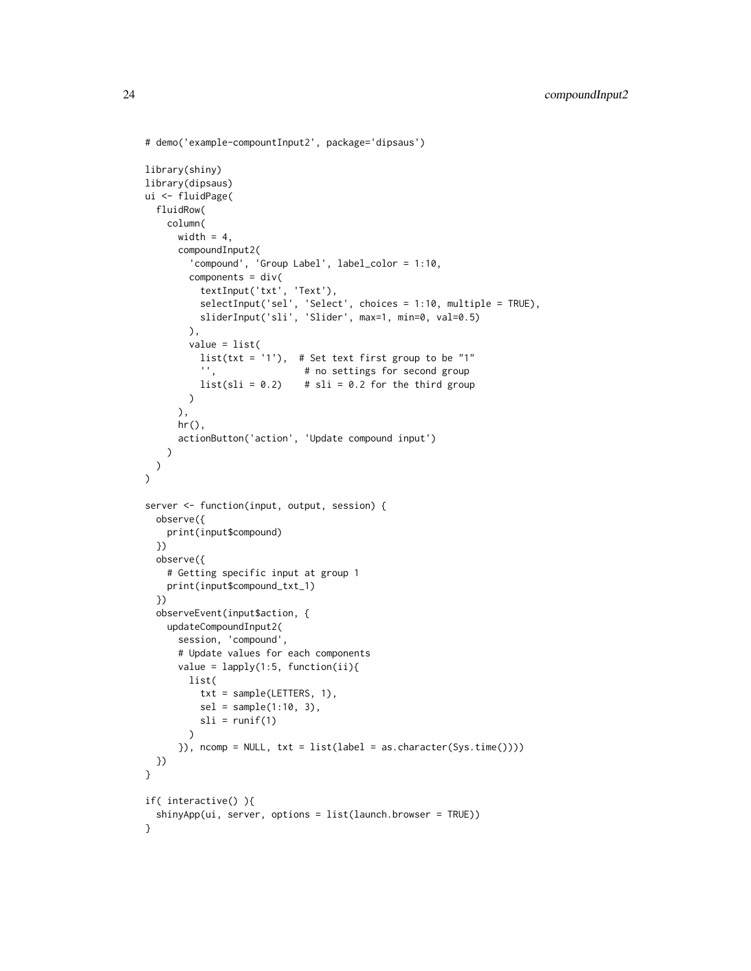```
# demo('example-compountInput2', package='dipsaus')
library(shiny)
library(dipsaus)
ui <- fluidPage(
  fluidRow(
    column(
      width = 4,
      compoundInput2(
        'compound', 'Group Label', label_color = 1:10,
        components = div(textInput('txt', 'Text'),
           selectInput('sel', 'Select', choices = 1:10, multiple = TRUE),
           sliderInput('sli', 'Slider', max=1, min=0, val=0.5)
        ),
        value = list(
          list(txt = '1'), # Set text first group to be "1"<br>", # no settings for second group
                              # no settings for second group
          list( s1i = 0.2) # s1i = 0.2 for the third group
        )
      ),
      hr(),
      actionButton('action', 'Update compound input')
    )
 )
\mathcal{L}server <- function(input, output, session) {
  observe({
    print(input$compound)
  })
  observe({
    # Getting specific input at group 1
    print(input$compound_txt_1)
  })
  observeEvent(input$action, {
    updateCompoundInput2(
      session, 'compound',
      # Update values for each components
      value = lapply(1:5, function(ii))list(
          txt = sample(LETTERS, 1),
          sel = sample(1:10, 3),sli = runif(1))
      }), ncomp = NULL, txt = list(label = as.character(Sys.time())))
  })
}
if( interactive() ){
  shinyApp(ui, server, options = list(launch.browser = TRUE))
}
```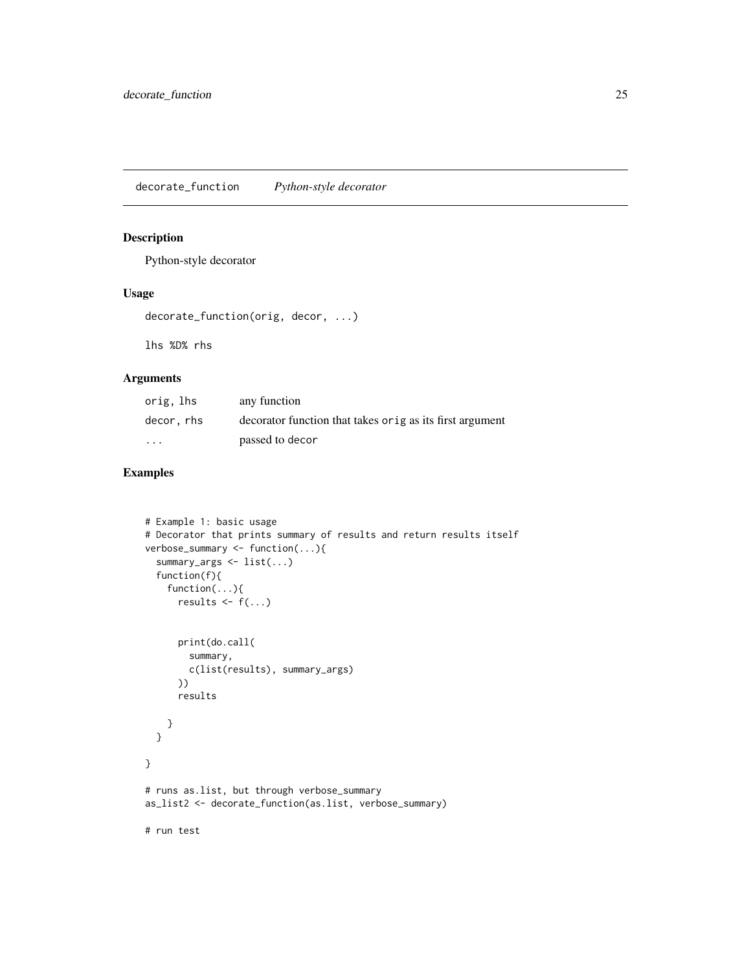<span id="page-24-0"></span>decorate\_function *Python-style decorator*

#### Description

Python-style decorator

### Usage

decorate\_function(orig, decor, ...)

lhs %D% rhs

# Arguments

| orig, lhs               | any function                                             |
|-------------------------|----------------------------------------------------------|
| decor, rhs              | decorator function that takes orig as its first argument |
| $\cdot$ $\cdot$ $\cdot$ | passed to decor                                          |

```
# Example 1: basic usage
# Decorator that prints summary of results and return results itself
verbose_summary <- function(...){
  summary_args <- list(...)
  function(f){
    function(...){
      results \leq f(\ldots)print(do.call(
        summary,
        c(list(results), summary_args)
      ))
      results
    }
  }
}
# runs as.list, but through verbose_summary
as_list2 <- decorate_function(as.list, verbose_summary)
# run test
```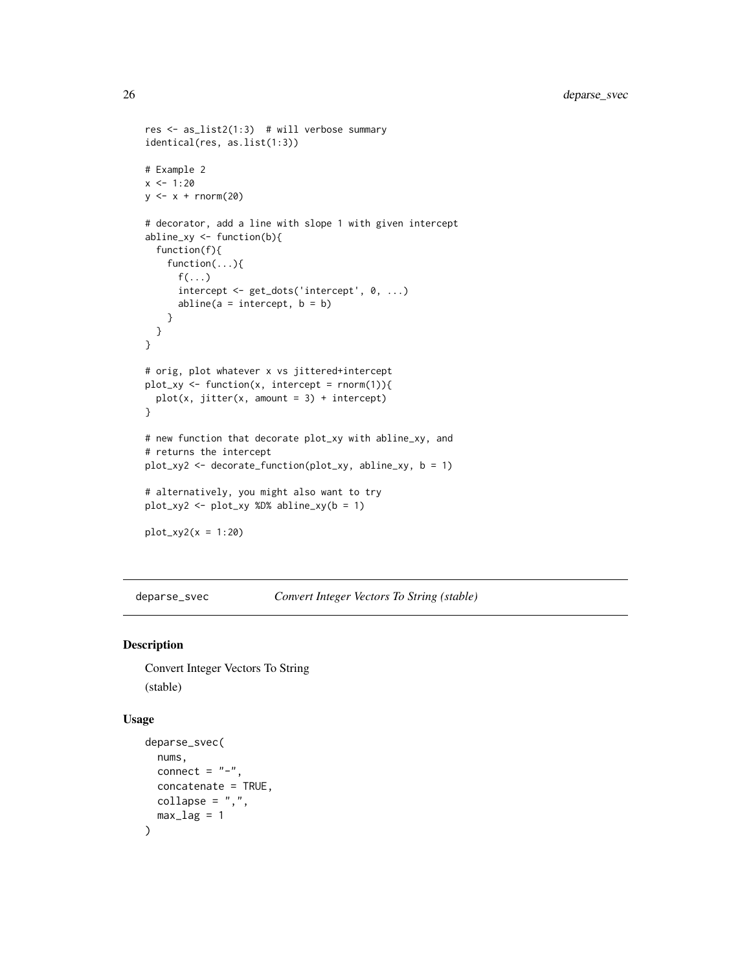```
res <- as_list2(1:3) # will verbose summary
identical(res, as.list(1:3))
# Example 2
x < -1:20y \leftarrow x + \text{norm}(20)# decorator, add a line with slope 1 with given intercept
abline_xy <- function(b){
  function(f){
    function(...){
      f(\ldots)intercept <- get_dots('intercept', 0, ...)
      abline(a = intercept, b = b)}
 }
}
# orig, plot whatever x vs jittered+intercept
plot_{xy} \leftarrow function(x, intercept = rnorm(1)){
  plot(x, jitter(x, amount = 3) + intercept)}
# new function that decorate plot_xy with abline_xy, and
# returns the intercept
plot_xy2 <- decorate_function(plot_xy, abline_xy, b = 1)
# alternatively, you might also want to try
plot_xy2 <- plot_xy %D% abline_xy(b = 1)
plot_{xy2}(x = 1:20)
```
deparse\_svec *Convert Integer Vectors To String (stable)*

#### Description

Convert Integer Vectors To String (stable)

#### Usage

```
deparse_svec(
 nums,
 connect = "-",
 concatenate = TRUE,
 collapse = ","max\_lag = 1)
```
<span id="page-25-0"></span>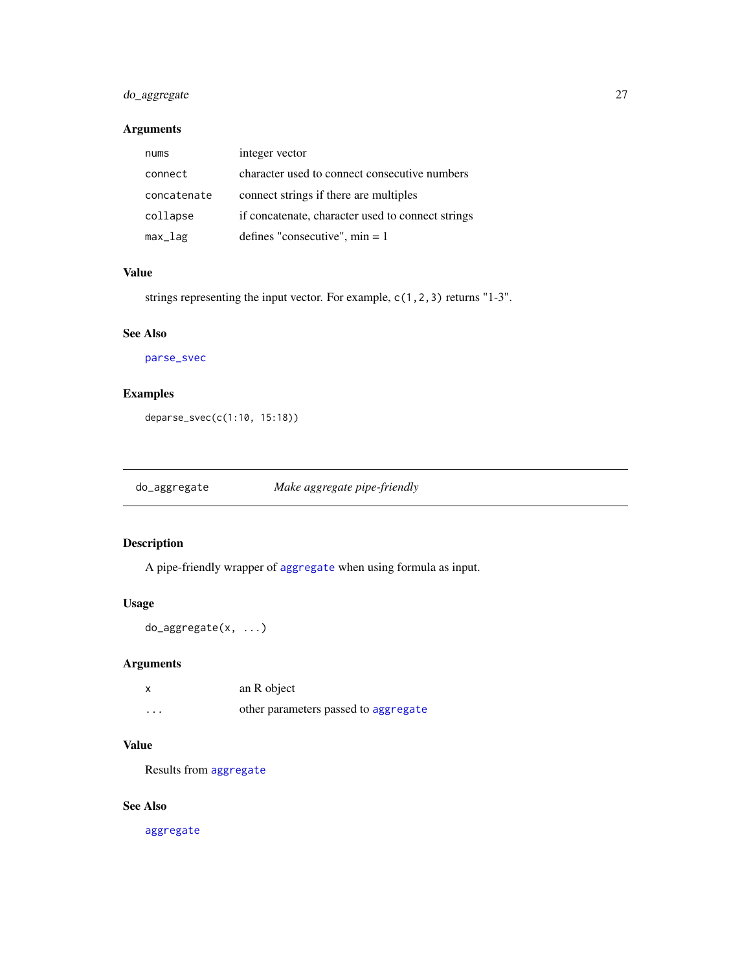# <span id="page-26-0"></span>do\_aggregate 27

# Arguments

| nums        | integer vector                                    |
|-------------|---------------------------------------------------|
| connect     | character used to connect consecutive numbers     |
| concatenate | connect strings if there are multiples            |
| collapse    | if concatenate, character used to connect strings |
| max_lag     | defines "consecutive", $min = 1$                  |

# Value

strings representing the input vector. For example, c(1,2,3) returns "1-3".

#### See Also

[parse\\_svec](#page-55-1)

# Examples

deparse\_svec(c(1:10, 15:18))

do\_aggregate *Make aggregate pipe-friendly*

# Description

A pipe-friendly wrapper of [aggregate](#page-0-0) when using formula as input.

# Usage

do\_aggregate(x, ...)

# Arguments

| x        | an R object                          |
|----------|--------------------------------------|
| $\cdots$ | other parameters passed to aggregate |

# Value

Results from [aggregate](#page-0-0)

# See Also

[aggregate](#page-0-0)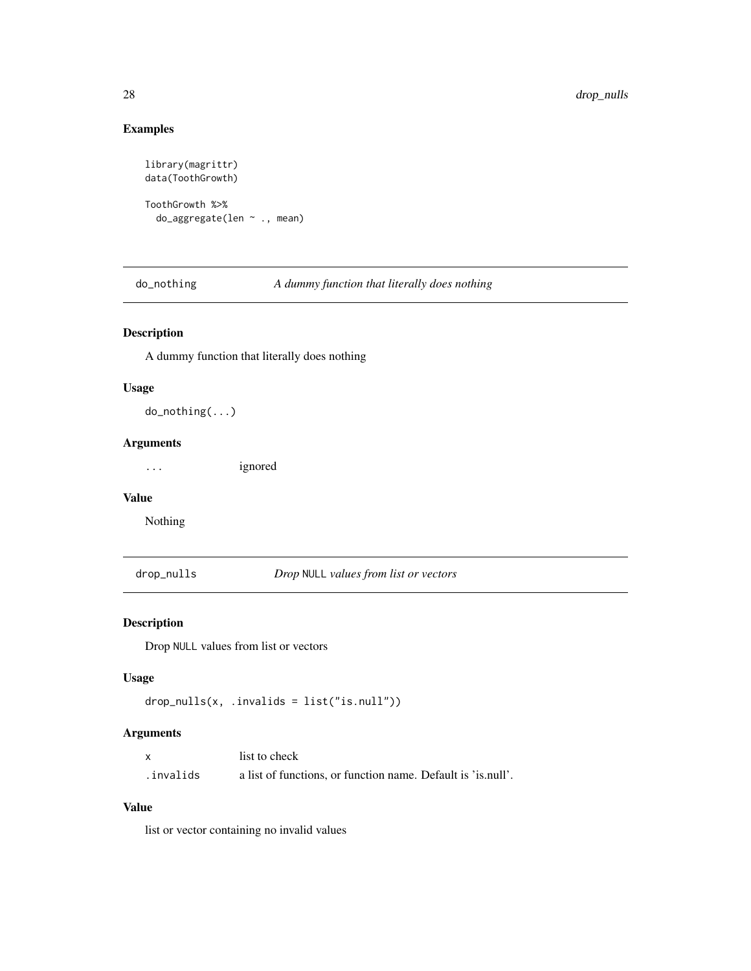# Examples

```
library(magrittr)
data(ToothGrowth)
ToothGrowth %>%
  do_aggregate(len ~ ., mean)
```
do\_nothing *A dummy function that literally does nothing*

# Description

A dummy function that literally does nothing

#### Usage

do\_nothing(...)

#### Arguments

... ignored

#### Value

Nothing

drop\_nulls *Drop* NULL *values from list or vectors*

# Description

Drop NULL values from list or vectors

# Usage

```
drop_nulls(x, .invalids = list("is.null"))
```
# Arguments

|            | list to check                                                |
|------------|--------------------------------------------------------------|
| .invalids. | a list of functions, or function name. Default is 'is.null'. |

#### Value

list or vector containing no invalid values

<span id="page-27-0"></span>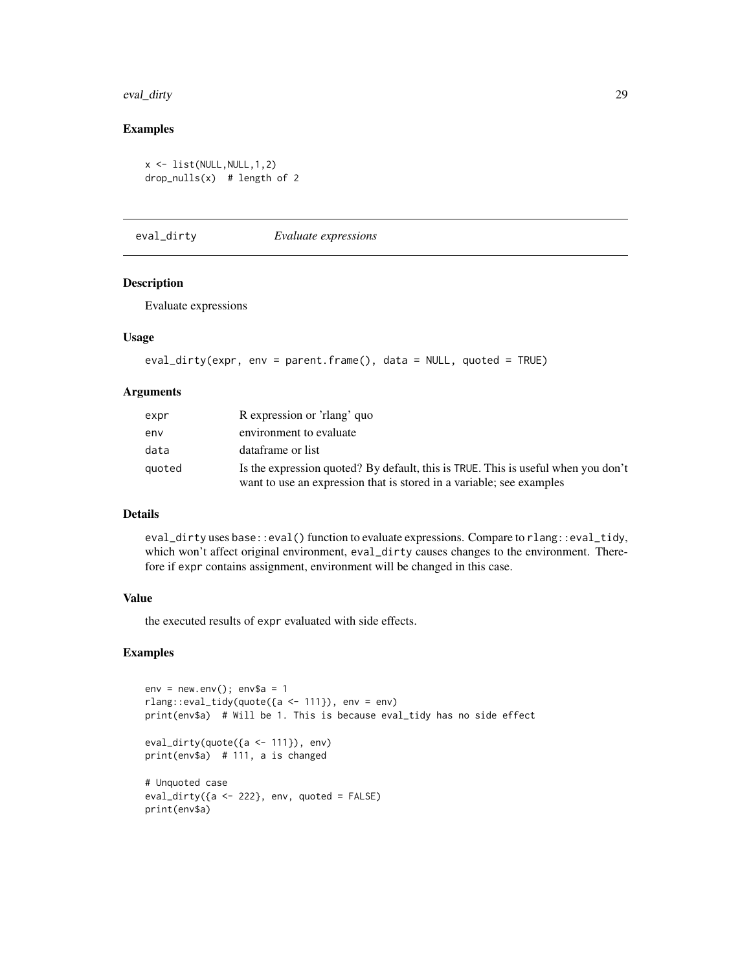#### <span id="page-28-0"></span>eval\_dirty 29

#### Examples

```
x \leftarrow list(NULL, NULL, 1, 2)
drop_nulls(x) # length of 2
```
eval\_dirty *Evaluate expressions*

# Description

Evaluate expressions

#### Usage

```
eval_dirty(expr, env = parent.frame(), data = NULL, quoted = TRUE)
```
#### Arguments

| expr   | R expression or 'rlang' quo                                                                                                                               |
|--------|-----------------------------------------------------------------------------------------------------------------------------------------------------------|
| env    | environment to evaluate                                                                                                                                   |
| data   | dataframe or list                                                                                                                                         |
| quoted | Is the expression quoted? By default, this is TRUE. This is useful when you don't<br>want to use an expression that is stored in a variable; see examples |

# Details

eval\_dirty uses base::eval() function to evaluate expressions. Compare to rlang::eval\_tidy, which won't affect original environment, eval\_dirty causes changes to the environment. Therefore if expr contains assignment, environment will be changed in this case.

#### Value

the executed results of expr evaluated with side effects.

```
env = newenv(); env$a = 1
rlang::eval_tidy(quote({a <- 111}), env = env)
print(env$a) # Will be 1. This is because eval_tidy has no side effect
eval_dirty(quote({a <- 111}), env)
print(env$a) # 111, a is changed
# Unquoted case
eval_dirty({a <- 222}, env, quoted = FALSE)
print(env$a)
```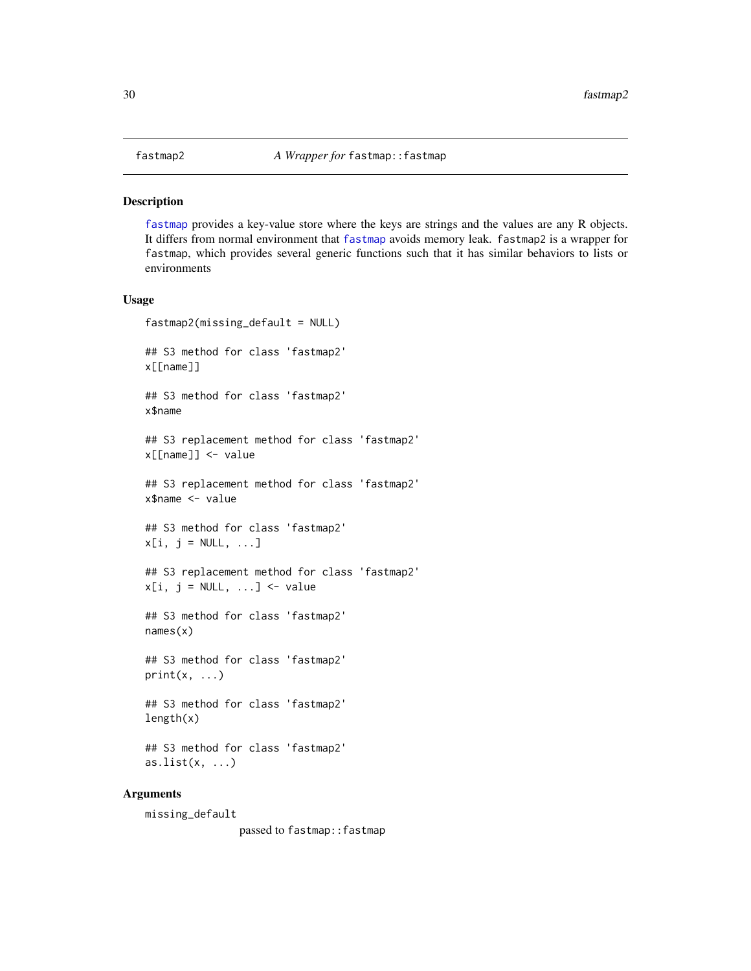<span id="page-29-1"></span><span id="page-29-0"></span>[fastmap](#page-0-0) provides a key-value store where the keys are strings and the values are any R objects. It differs from normal environment that [fastmap](#page-0-0) avoids memory leak. fastmap2 is a wrapper for fastmap, which provides several generic functions such that it has similar behaviors to lists or environments

#### Usage

```
fastmap2(missing_default = NULL)
## S3 method for class 'fastmap2'
x[[name]]
## S3 method for class 'fastmap2'
x$name
## S3 replacement method for class 'fastmap2'
x[[name]] <- value
## S3 replacement method for class 'fastmap2'
x$name <- value
## S3 method for class 'fastmap2'
x[i, j = NULL, ...]## S3 replacement method for class 'fastmap2'
x[i, j = NULL, ...] <- value
## S3 method for class 'fastmap2'
names(x)
## S3 method for class 'fastmap2'
print(x, \ldots)## S3 method for class 'fastmap2'
length(x)
## S3 method for class 'fastmap2'
as.list(x, \ldots)
```
#### Arguments

missing\_default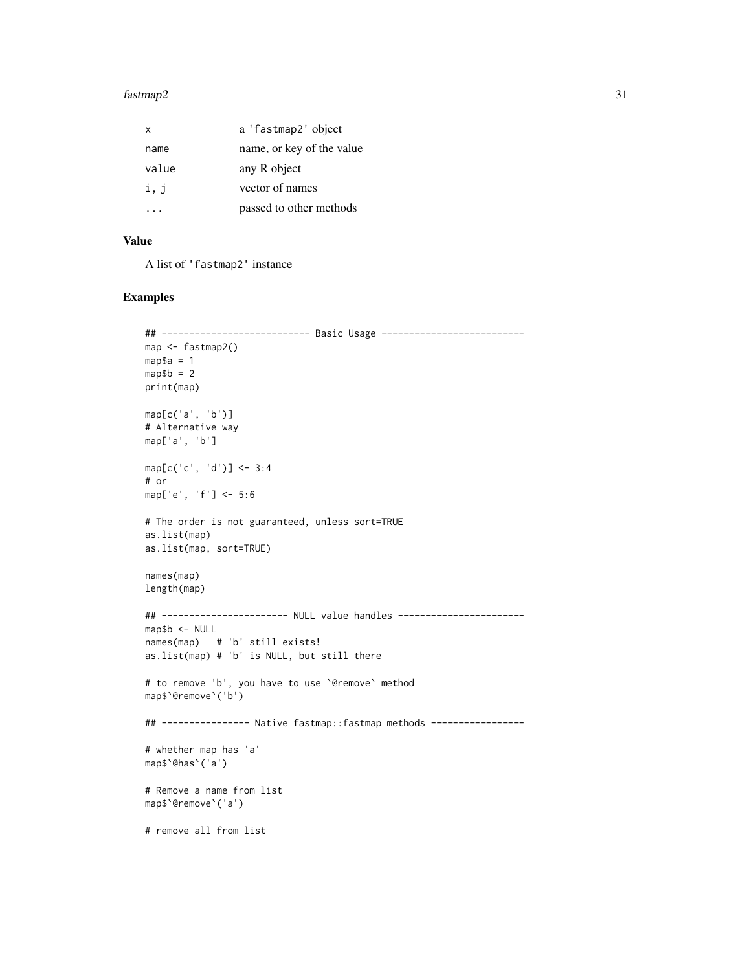#### $f$ astmap2 31

| x     | a 'fastmap2' object       |
|-------|---------------------------|
| name  | name, or key of the value |
| value | any R object              |
| i, j  | vector of names           |
|       | passed to other methods   |

# Value

A list of 'fastmap2' instance

```
## --------------------------- Basic Usage --------------------------
map <- fastmap2()
map$a = 1
map$b = 2
print(map)
map[c('a', 'b')]
# Alternative way
map['a', 'b']
map[c('c', 'd')] <- 3:4
# or
map['e', 'f'] <- 5:6
# The order is not guaranteed, unless sort=TRUE
as.list(map)
as.list(map, sort=TRUE)
names(map)
length(map)
## ----------------------- NULL value handles -----------------------
map$b <- NULL
names(map) # 'b' still exists!
as.list(map) # 'b' is NULL, but still there
# to remove 'b', you have to use `@remove` method
map$`@remove`('b')
## ---------------- Native fastmap::fastmap methods -----------------
# whether map has 'a'
map$`@has`('a')
# Remove a name from list
map$`@remove`('a')
# remove all from list
```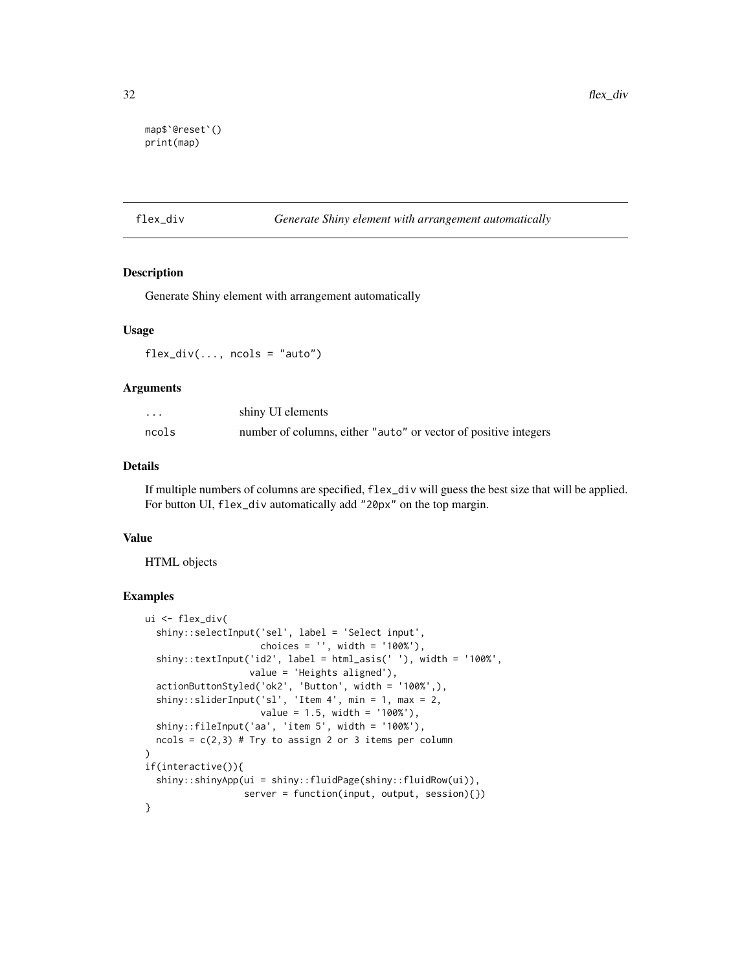```
map$`@reset`()
print(map)
```
flex\_div *Generate Shiny element with arrangement automatically*

# Description

Generate Shiny element with arrangement automatically

#### Usage

 $flex\_div(..., \text{ ncols} = "auto")$ 

#### **Arguments**

| .     | shiny UI elements                                               |
|-------|-----------------------------------------------------------------|
| ncols | number of columns, either "auto" or vector of positive integers |

#### Details

If multiple numbers of columns are specified, flex\_div will guess the best size that will be applied. For button UI, flex\_div automatically add "20px" on the top margin.

#### Value

HTML objects

```
ui <- flex_div(
 shiny::selectInput('sel', label = 'Select input',
                     choices = '', width = '100%'),
 shiny::textInput('id2', label = html_asis(' '), width = '100%',
                  value = 'Heights aligned'),
  actionButtonStyled('ok2', 'Button', width = '100%',),
  shiny::sliderInput('sl', 'Item 4', min = 1, max = 2,
                    value = 1.5, width = '100%'),
 shiny::fileInput('aa', 'item 5', width = '100%'),
 ncols = c(2,3) # Try to assign 2 or 3 items per column
)
if(interactive()){
 shiny::shinyApp(ui = shiny::fluidPage(shiny::fluidRow(ui)),
                  server = function(input, output, session){})
}
```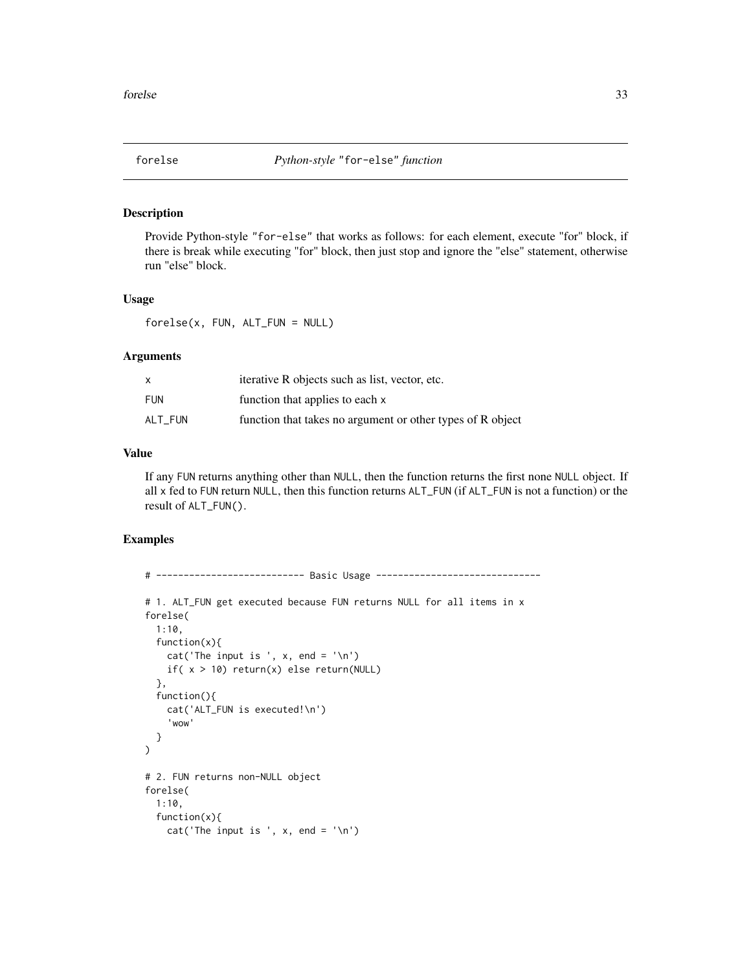<span id="page-32-0"></span>

Provide Python-style "for-else" that works as follows: for each element, execute "for" block, if there is break while executing "for" block, then just stop and ignore the "else" statement, otherwise run "else" block.

#### Usage

forelse(x, FUN, ALT\_FUN = NULL)

# Arguments

|         | iterative R objects such as list, vector, etc.             |
|---------|------------------------------------------------------------|
| FUN     | function that applies to each x                            |
| ALT FUN | function that takes no argument or other types of R object |

# Value

If any FUN returns anything other than NULL, then the function returns the first none NULL object. If all x fed to FUN return NULL, then this function returns ALT\_FUN (if ALT\_FUN is not a function) or the result of ALT\_FUN().

```
# --------------------------- Basic Usage ------------------------------
# 1. ALT_FUN get executed because FUN returns NULL for all items in x
forelse(
 1:10,
 function(x){
   cat('The input is', x, end = '\n')if(x > 10) return(x) else return(NULL)
 },
 function(){
   cat('ALT_FUN is executed!\n')
    'wow'
 }
\mathcal{L}# 2. FUN returns non-NULL object
forelse(
 1:10,
 function(x){
   cat('The input is ', x, end = '\n')
```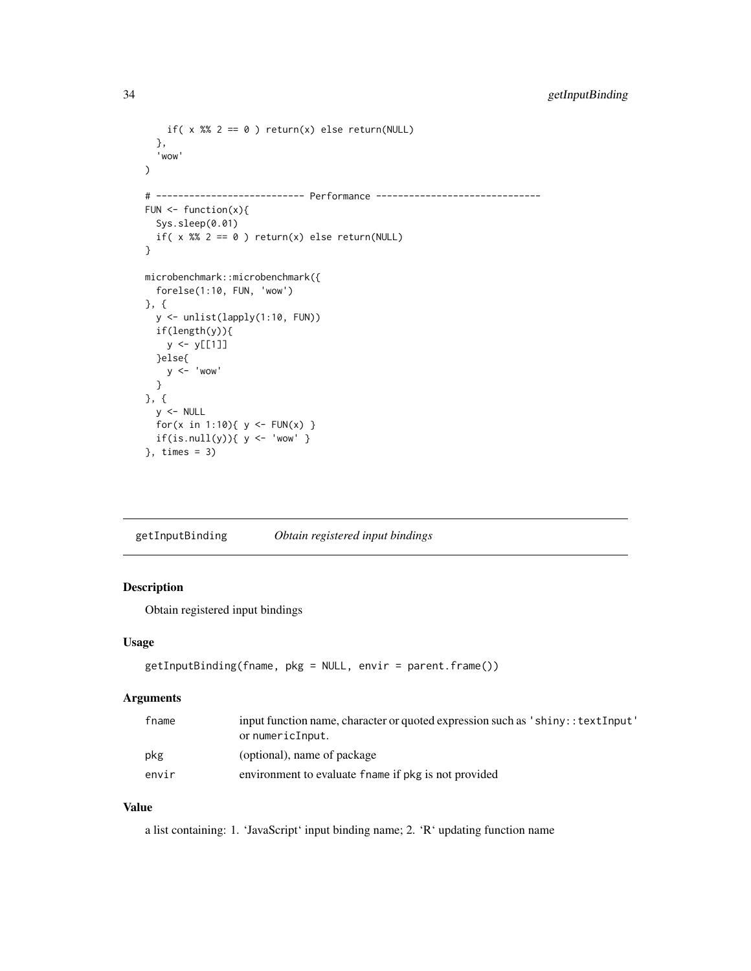```
if( x %% 2 == 0 ) return(x) else return(NULL)
  },
  'wow'
\mathcal{L}# --------------------------- Performance ------------------------------
FUN \leq function(x){
  Sys.sleep(0.01)
  if( x %% 2 == 0 ) return(x) else return(NULL)
}
microbenchmark::microbenchmark({
  forelse(1:10, FUN, 'wow')
}, {
  y <- unlist(lapply(1:10, FUN))
  if(length(y)){
    y <- y[[1]]
  }else{
    y < - 'wow'
  }
}, {
  y <- NULL
 for(x in 1:10){ y \leq FUN(x) }
 if(is.null(y)){ y <- 'wow' }}, times = 3)
```
getInputBinding *Obtain registered input bindings*

# Description

Obtain registered input bindings

#### Usage

```
getInputBinding(fname, pkg = NULL, envir = parent.frame())
```
#### Arguments

| fname | input function name, character or quoted expression such as 'shiny:: textInput'<br>or numericInput. |
|-------|-----------------------------------------------------------------------------------------------------|
| pkg   | (optional), name of package                                                                         |
| envir | environment to evaluate fname if pkg is not provided                                                |

# Value

a list containing: 1. 'JavaScript' input binding name; 2. 'R' updating function name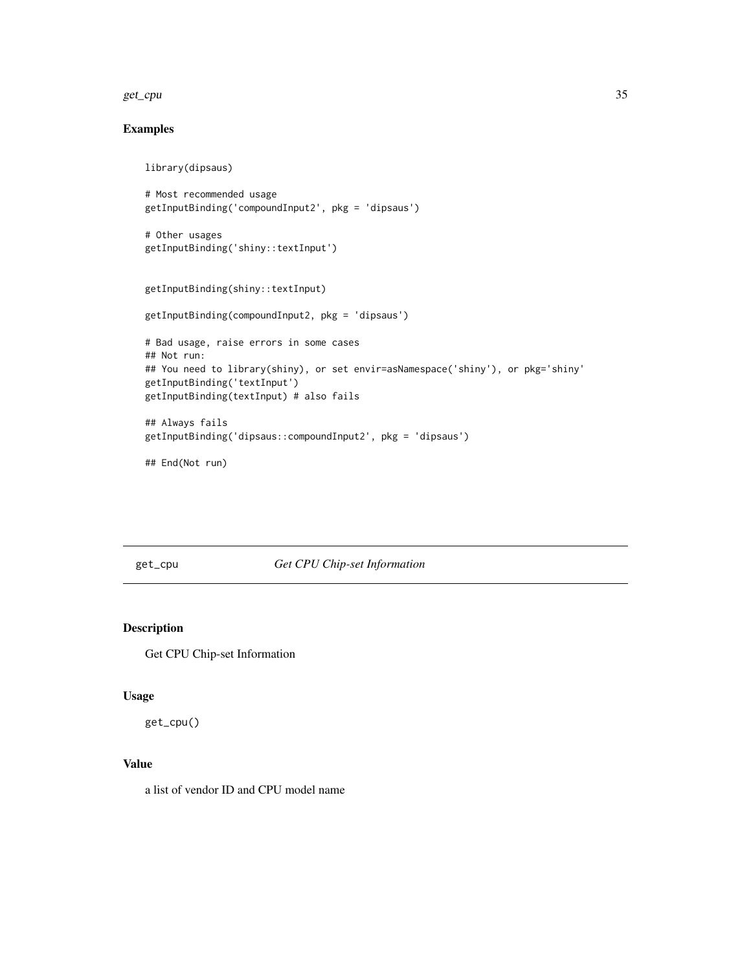<span id="page-34-0"></span>get\_cpu 35

# Examples

```
library(dipsaus)
# Most recommended usage
getInputBinding('compoundInput2', pkg = 'dipsaus')
# Other usages
getInputBinding('shiny::textInput')
getInputBinding(shiny::textInput)
getInputBinding(compoundInput2, pkg = 'dipsaus')
# Bad usage, raise errors in some cases
## Not run:
## You need to library(shiny), or set envir=asNamespace('shiny'), or pkg='shiny'
getInputBinding('textInput')
getInputBinding(textInput) # also fails
## Always fails
getInputBinding('dipsaus::compoundInput2', pkg = 'dipsaus')
```
## End(Not run)

get\_cpu *Get CPU Chip-set Information*

# Description

Get CPU Chip-set Information

# Usage

get\_cpu()

# Value

a list of vendor ID and CPU model name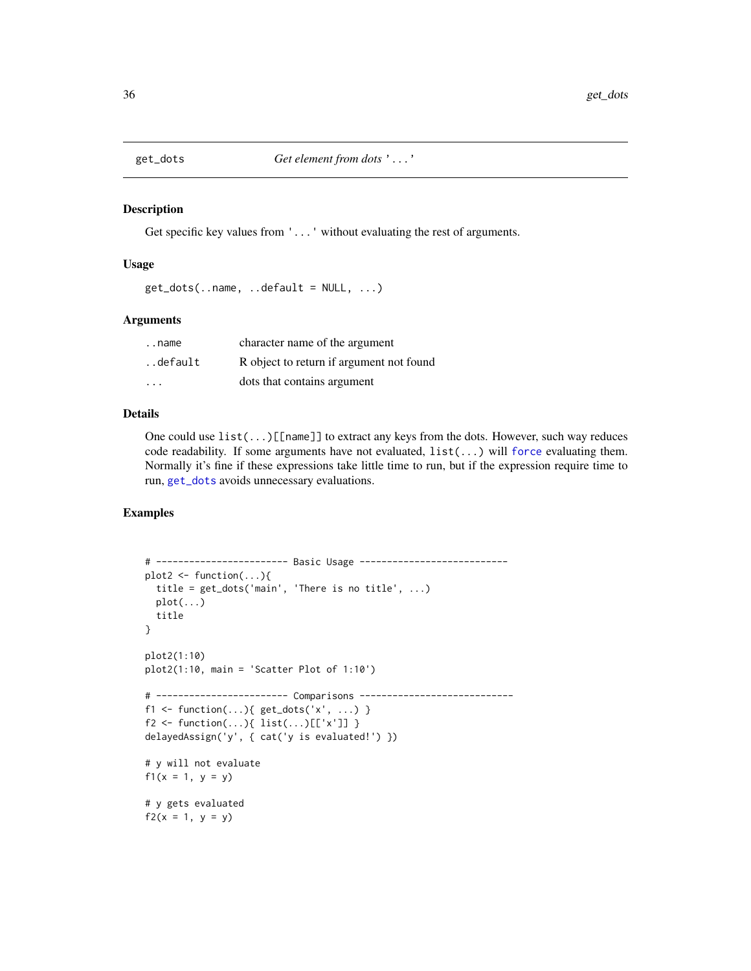<span id="page-35-1"></span><span id="page-35-0"></span>

Get specific key values from '...' without evaluating the rest of arguments.

#### Usage

```
get\_dots(..name, ..default = NULL, ...)
```
#### Arguments

| name                    | character name of the argument           |
|-------------------------|------------------------------------------|
| default.                | R object to return if argument not found |
| $\cdot$ $\cdot$ $\cdot$ | dots that contains argument              |

### Details

One could use list(...)[[name]] to extract any keys from the dots. However, such way reduces code readability. If some arguments have not evaluated, list(...) will [force](#page-0-0) evaluating them. Normally it's fine if these expressions take little time to run, but if the expression require time to run, [get\\_dots](#page-35-1) avoids unnecessary evaluations.

```
# ------------------------ Basic Usage ---------------------------
plot2 \leftarrow function(...)\{title = get_dots('main', 'There is no title', ...)
  plot(...)title
}
plot2(1:10)
plot2(1:10, main = 'Scatter Plot of 1:10')
# ------------------------ Comparisons ----------------------------
f1 <- function(...){ get\_dots('x', ...) }
f2 <- function(...){ list(...)[['x']] }
delayedAssign('y', { cat('y is evaluated!') })
# y will not evaluate
f1(x = 1, y = y)# y gets evaluated
f2(x = 1, y = y)
```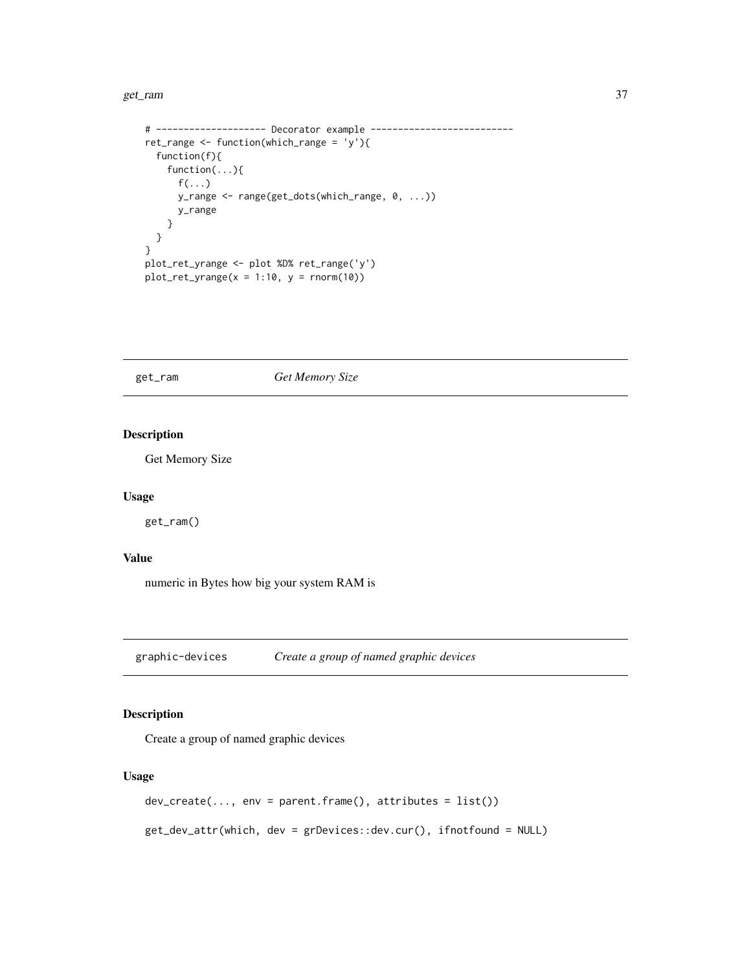#### get\_ram 37

```
# -------------------- Decorator example --------------------------
ret_range <- function(which_range = 'y'){
  function(f){
   function(...){
     f(\ldots)y_range <- range(get_dots(which_range, 0, ...))
     y_range
   }
 }
}
plot_ret_yrange <- plot %D% ret_range('y')
plot_ret_yrange(x = 1:10, y = rnorm(10))
```
# get\_ram *Get Memory Size*

# Description

Get Memory Size

#### Usage

get\_ram()

## Value

numeric in Bytes how big your system RAM is

graphic-devices *Create a group of named graphic devices*

# Description

Create a group of named graphic devices

## Usage

```
dev_create(..., env = parent.frame(), attributes = list())
```
get\_dev\_attr(which, dev = grDevices::dev.cur(), ifnotfound = NULL)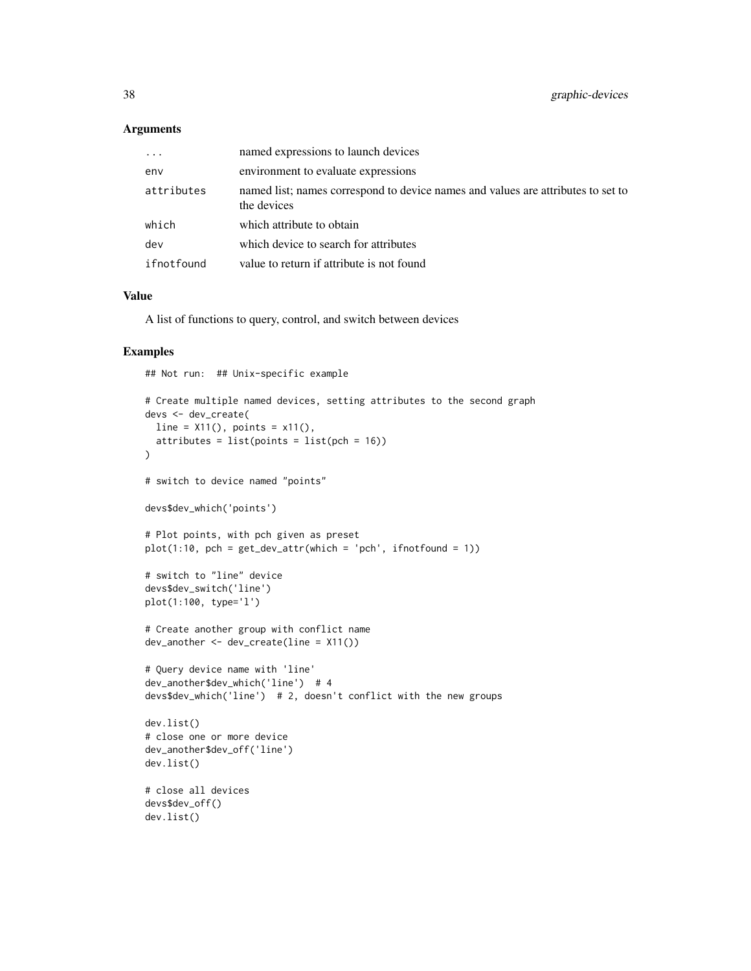#### Arguments

| $\ddots$   | named expressions to launch devices                                                             |
|------------|-------------------------------------------------------------------------------------------------|
| env        | environment to evaluate expressions                                                             |
| attributes | named list; names correspond to device names and values are attributes to set to<br>the devices |
| which      | which attribute to obtain                                                                       |
| dev        | which device to search for attributes                                                           |
| ifnotfound | value to return if attribute is not found                                                       |

## Value

A list of functions to query, control, and switch between devices

# Examples

## Not run: ## Unix-specific example

```
# Create multiple named devices, setting attributes to the second graph
devs <- dev_create(
 line = X11(), points = x11(),
  atributes = list(points = list(pch = 16)))
# switch to device named "points"
devs$dev_which('points')
# Plot points, with pch given as preset
plot(1:10, pch = get\_dev\_attr(which = 'pch', ifnotfound = 1))# switch to "line" device
devs$dev_switch('line')
plot(1:100, type='l')
# Create another group with conflict name
dev_another <- dev_create(line = X11())
# Query device name with 'line'
dev_another$dev_which('line') # 4
devs$dev_which('line') # 2, doesn't conflict with the new groups
dev.list()
# close one or more device
dev_another$dev_off('line')
dev.list()
# close all devices
devs$dev_off()
dev.list()
```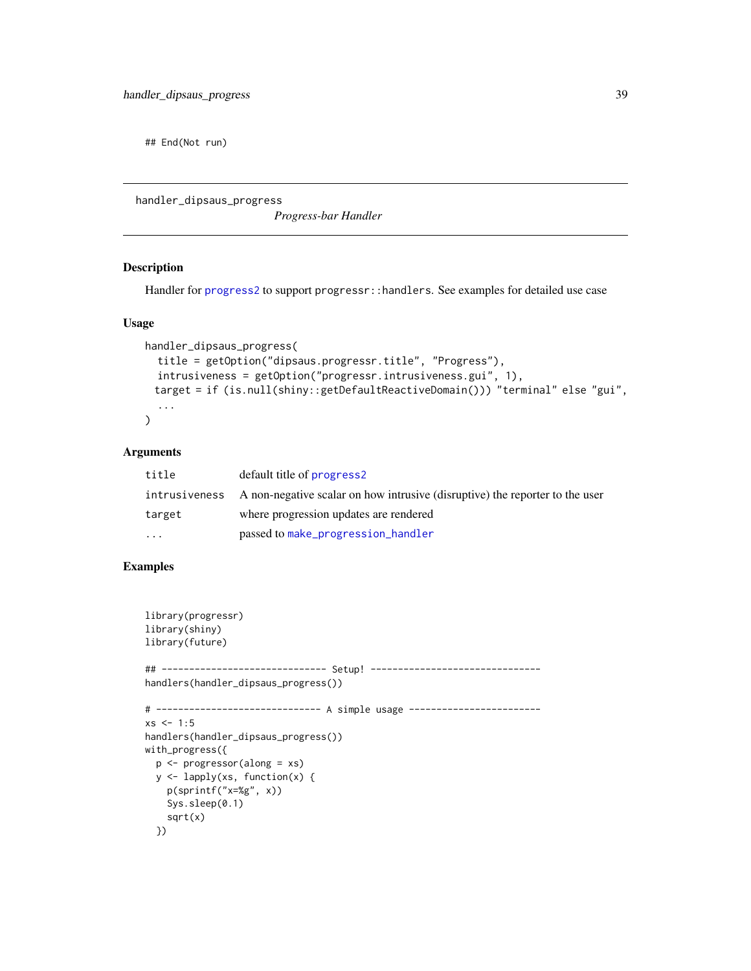## End(Not run)

handler\_dipsaus\_progress

*Progress-bar Handler*

# Description

Handler for [progress2](#page-59-0) to support progressr::handlers. See examples for detailed use case

# Usage

```
handler_dipsaus_progress(
  title = getOption("dipsaus.progressr.title", "Progress"),
  intrusiveness = getOption("progressr.intrusiveness.gui", 1),
 target = if (is.null(shiny::getDefaultReactiveDomain())) "terminal" else "gui",
  ...
\mathcal{L}
```
# Arguments

| title    | default title of progress2                                                                 |
|----------|--------------------------------------------------------------------------------------------|
|          | intrusiveness A non-negative scalar on how intrusive (disruptive) the reporter to the user |
| target   | where progression updates are rendered                                                     |
| $\cdots$ | passed to make_progression_handler                                                         |

# Examples

```
library(progressr)
library(shiny)
library(future)
## ------------------------------ Setup! -------------------------------
handlers(handler_dipsaus_progress())
# ------------------------------ A simple usage ------------------------
xs < -1:5handlers(handler_dipsaus_progress())
with_progress({
  p <- progressor(along = xs)
  y <- lapply(xs, function(x) {
   p(sprintf("x=%g", x))
   Sys.sleep(0.1)
   sqrt(x)
  })
```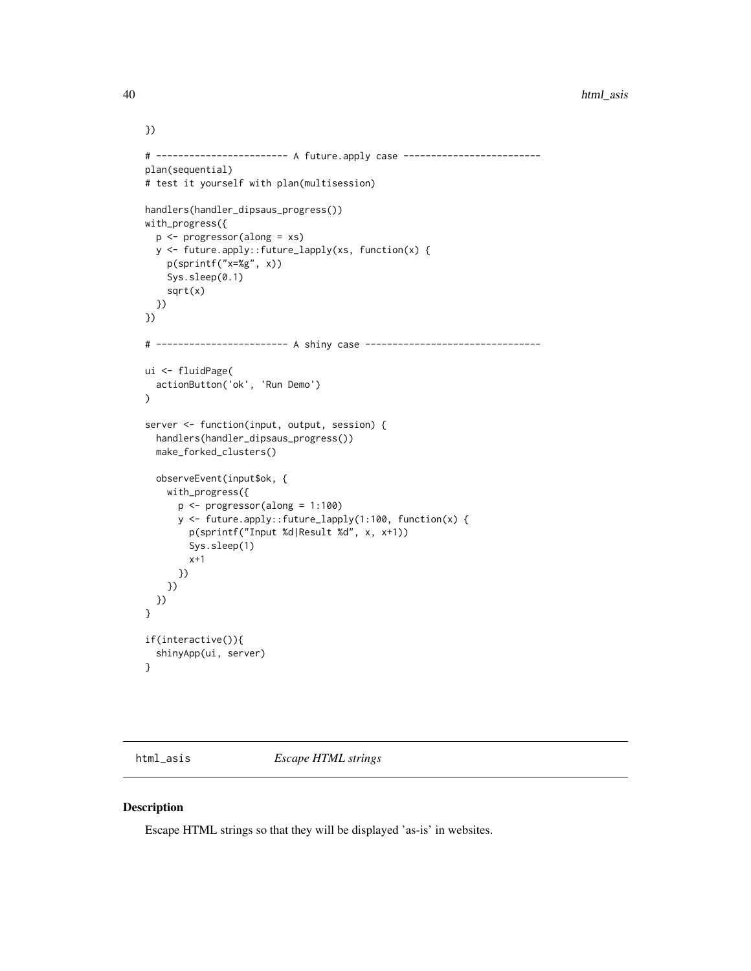```
# ------------------------ A future.apply case -------------------------
plan(sequential)
# test it yourself with plan(multisession)
handlers(handler_dipsaus_progress())
with_progress({
  p <- progressor(along = xs)
  y <- future.apply::future_lapply(xs, function(x) {
    p(sprintf("x=%g", x))
   Sys.sleep(0.1)
    sqrt(x)
  })
})
# ------------------------ A shiny case --------------------------------
ui <- fluidPage(
  actionButton('ok', 'Run Demo')
)
server <- function(input, output, session) {
  handlers(handler_dipsaus_progress())
  make_forked_clusters()
  observeEvent(input$ok, {
   with_progress({
      p <- progressor(along = 1:100)
      y <- future.apply::future_lapply(1:100, function(x) {
        p(sprintf("Input %d|Result %d", x, x+1))
        Sys.sleep(1)
        x+1
     })
   })
 })
}
if(interactive()){
  shinyApp(ui, server)
}
```
html\_asis *Escape HTML strings*

## Description

Escape HTML strings so that they will be displayed 'as-is' in websites.

})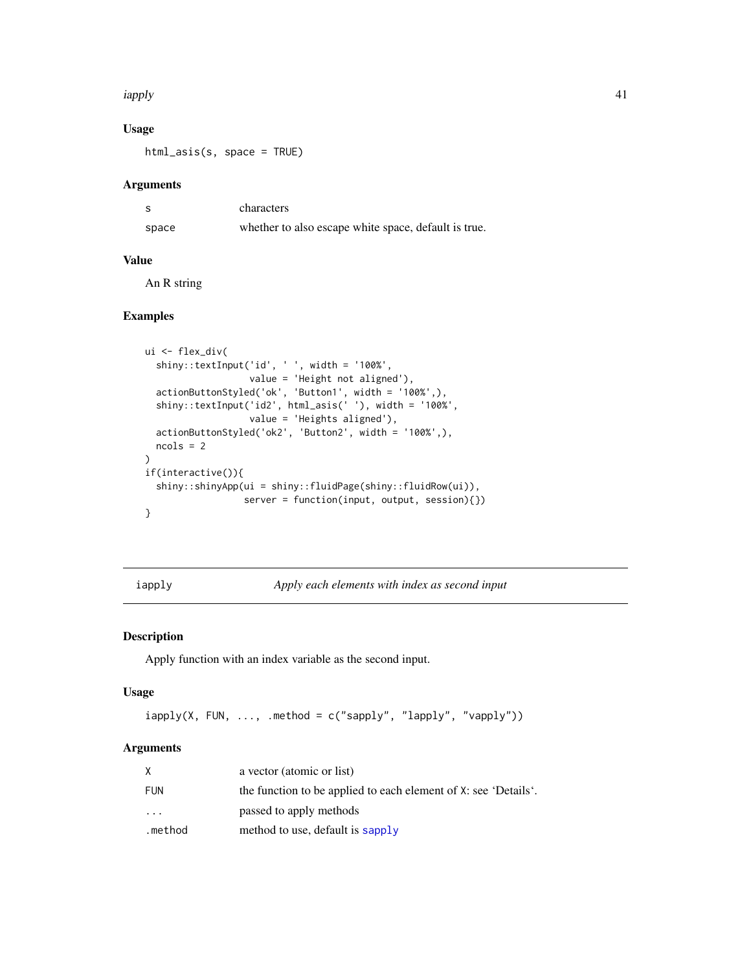#### iapply that the contract of the contract of the contract of the contract of the contract of the contract of the contract of the contract of the contract of the contract of the contract of the contract of the contract of th

# Usage

html\_asis(s, space = TRUE)

## Arguments

|       | characters                                           |
|-------|------------------------------------------------------|
| space | whether to also escape white space, default is true. |

## Value

An R string

# Examples

```
ui <- flex_div(
  shiny::textInput('id', ' ', width = '100%',
                   value = 'Height not aligned'),
  actionButtonStyled('ok', 'Button1', width = '100%',),
  shiny::textInput('id2', html_asis(' '), width = '100%',
                   value = 'Heights aligned'),
  actionButtonStyled('ok2', 'Button2', width = '100%',),
  ncols = 2
\mathcal{L}if(interactive()){
  shiny::shinyApp(ui = shiny::fluidPage(shiny::fluidRow(ui)),
                  server = function(input, output, session){})
}
```
iapply *Apply each elements with index as second input*

## Description

Apply function with an index variable as the second input.

# Usage

```
iapply(X, FUN, ..., method = c("sapply", "lapply", "vapply")
```
# Arguments

|           | a vector (atomic or list)                                       |
|-----------|-----------------------------------------------------------------|
| FUN       | the function to be applied to each element of X: see 'Details'. |
| $\ddotsc$ | passed to apply methods                                         |
| .method   | method to use, default is sapply                                |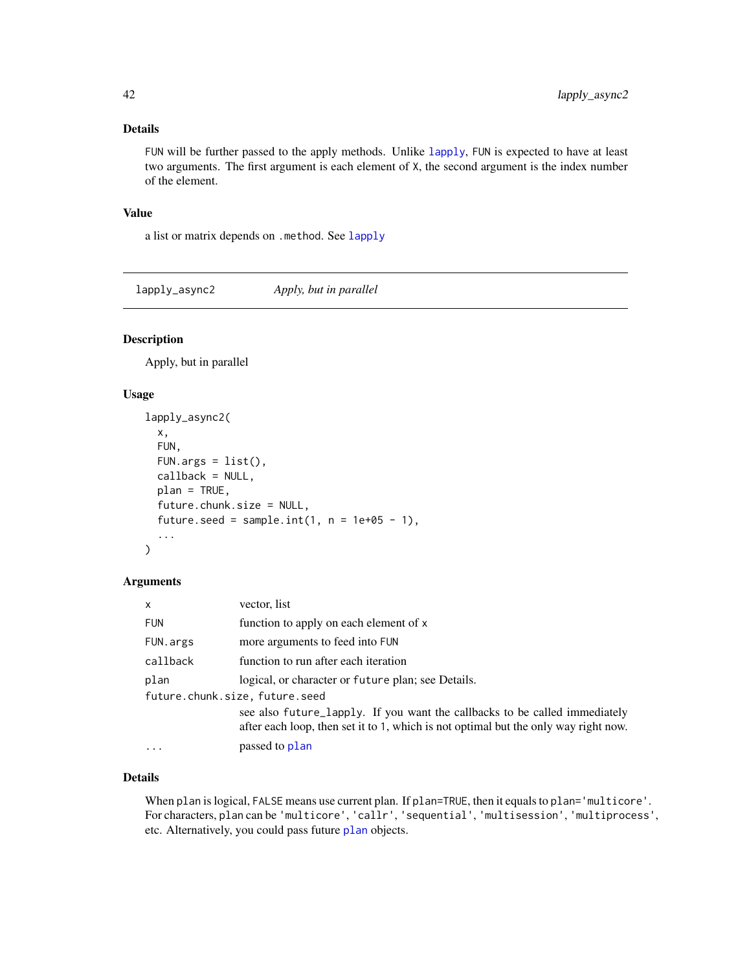## Details

FUN will be further passed to the apply methods. Unlike [lapply](#page-0-0), FUN is expected to have at least two arguments. The first argument is each element of X, the second argument is the index number of the element.

#### Value

a list or matrix depends on .method. See [lapply](#page-0-0)

lapply\_async2 *Apply, but in parallel*

## Description

Apply, but in parallel

## Usage

```
lapply_async2(
  x,
 FUN,
 FUN.args = list(),callback = NULL,
 plan = TRUE,
  future.chunk.size = NULL,
  future.seed = sample.int(1, n = 1e+05 - 1),
  ...
\mathcal{L}
```
## Arguments

| $\mathsf{x}$                   | vector, list                                                                                                                                                      |  |
|--------------------------------|-------------------------------------------------------------------------------------------------------------------------------------------------------------------|--|
| <b>FUN</b>                     | function to apply on each element of x                                                                                                                            |  |
| FUN.args                       | more arguments to feed into FUN                                                                                                                                   |  |
| callback                       | function to run after each iteration                                                                                                                              |  |
| plan                           | logical, or character or future plan; see Details.                                                                                                                |  |
| future.chunk.size, future.seed |                                                                                                                                                                   |  |
|                                | see also future_lapply. If you want the callbacks to be called immediately<br>after each loop, then set it to 1, which is not optimal but the only way right now. |  |
| $\ddotsc$                      | passed to plan                                                                                                                                                    |  |

# Details

When plan is logical, FALSE means use current plan. If plan=TRUE, then it equals to plan='multicore'. For characters, plan can be 'multicore', 'callr', 'sequential', 'multisession', 'multiprocess', etc. Alternatively, you could pass future [plan](#page-0-0) objects.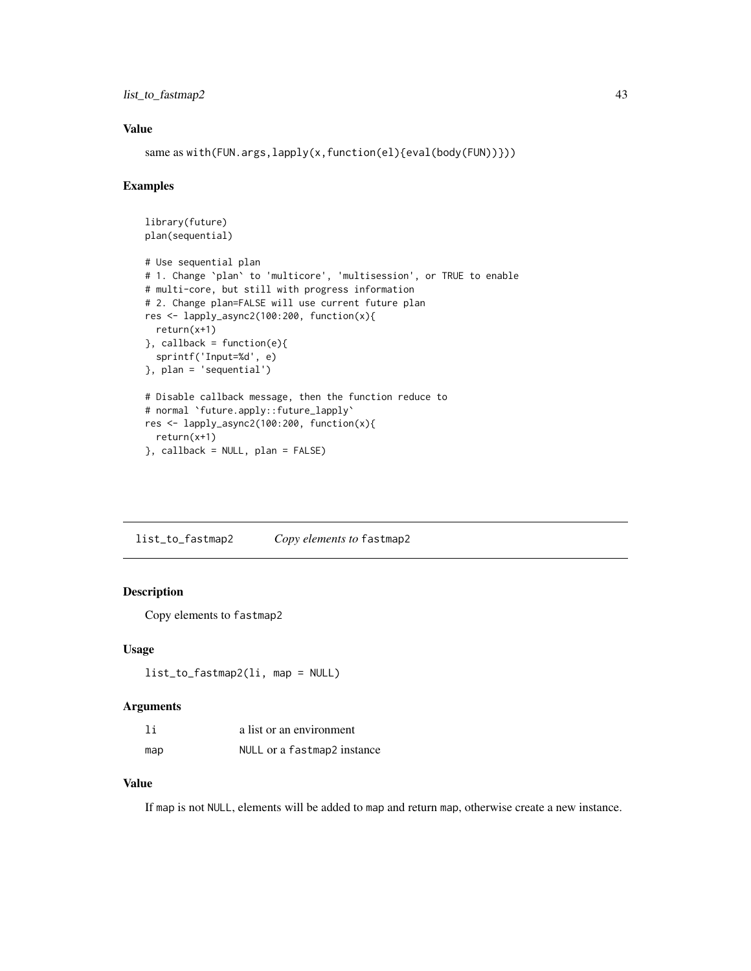# list\_to\_fastmap2 43

## Value

same as with(FUN.args,lapply(x,function(el){eval(body(FUN))}))

### Examples

```
library(future)
plan(sequential)
# Use sequential plan
# 1. Change `plan` to 'multicore', 'multisession', or TRUE to enable
# multi-core, but still with progress information
# 2. Change plan=FALSE will use current future plan
res <- lapply_async2(100:200, function(x){
  return(x+1)
}, callback = function(e){
  sprintf('Input=%d', e)
}, plan = 'sequential')
# Disable callback message, then the function reduce to
# normal `future.apply::future_lapply`
res <- lapply_async2(100:200, function(x){
  return(x+1)
}, callback = NULL, plan = FALSE)
```
list\_to\_fastmap2 *Copy elements to* fastmap2

## Description

Copy elements to fastmap2

#### Usage

```
list_to_fastmap2(li, map = NULL)
```
## Arguments

| 1i  | a list or an environment    |
|-----|-----------------------------|
| map | NULL or a fastmap2 instance |

## Value

If map is not NULL, elements will be added to map and return map, otherwise create a new instance.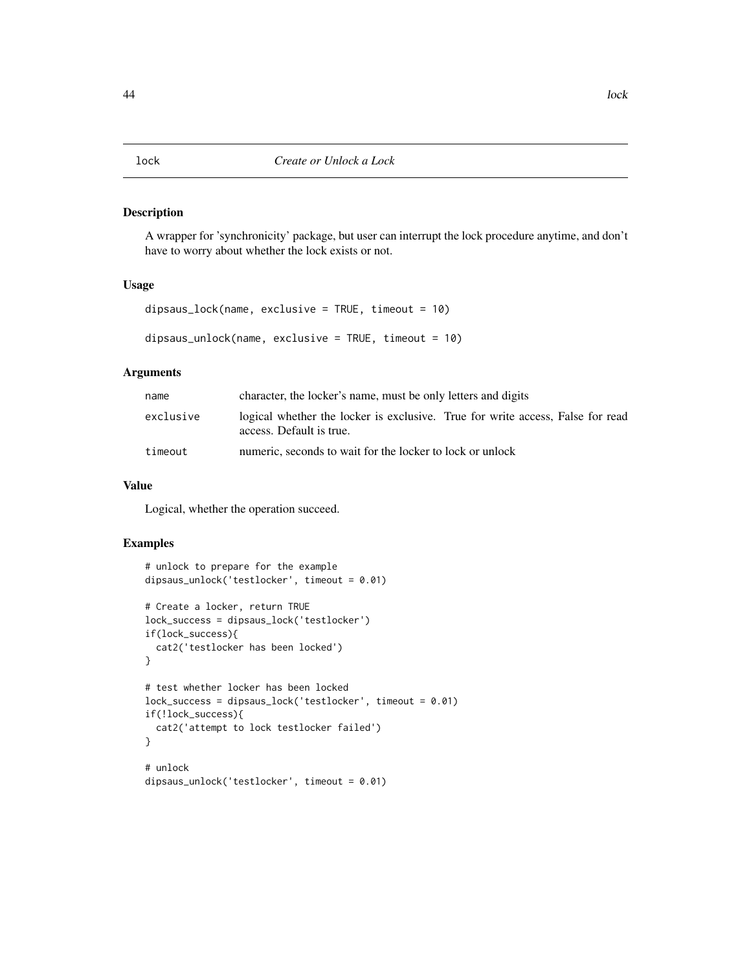#### Description

A wrapper for 'synchronicity' package, but user can interrupt the lock procedure anytime, and don't have to worry about whether the lock exists or not.

### Usage

```
dipsaus_lock(name, exclusive = TRUE, timeout = 10)
```

```
dipsaus_unlock(name, exclusive = TRUE, timeout = 10)
```
#### Arguments

| name      | character, the locker's name, must be only letters and digits                                              |  |
|-----------|------------------------------------------------------------------------------------------------------------|--|
| exclusive | logical whether the locker is exclusive. True for write access, False for read<br>access. Default is true. |  |
| timeout   | numeric, seconds to wait for the locker to lock or unlock                                                  |  |

## Value

Logical, whether the operation succeed.

## Examples

```
# unlock to prepare for the example
dipsaus_unlock('testlocker', timeout = 0.01)
# Create a locker, return TRUE
lock_success = dipsaus_lock('testlocker')
if(lock_success){
 cat2('testlocker has been locked')
}
# test whether locker has been locked
lock_success = dipsaus_lock('testlocker', timeout = 0.01)
if(!lock_success){
 cat2('attempt to lock testlocker failed')
}
# unlock
dipsaus_unlock('testlocker', timeout = 0.01)
```
#### 44 lock and the state of the state of the state of the state of the state of the state of the state of the state of the state of the state of the state of the state of the state of the state of the state of the state of th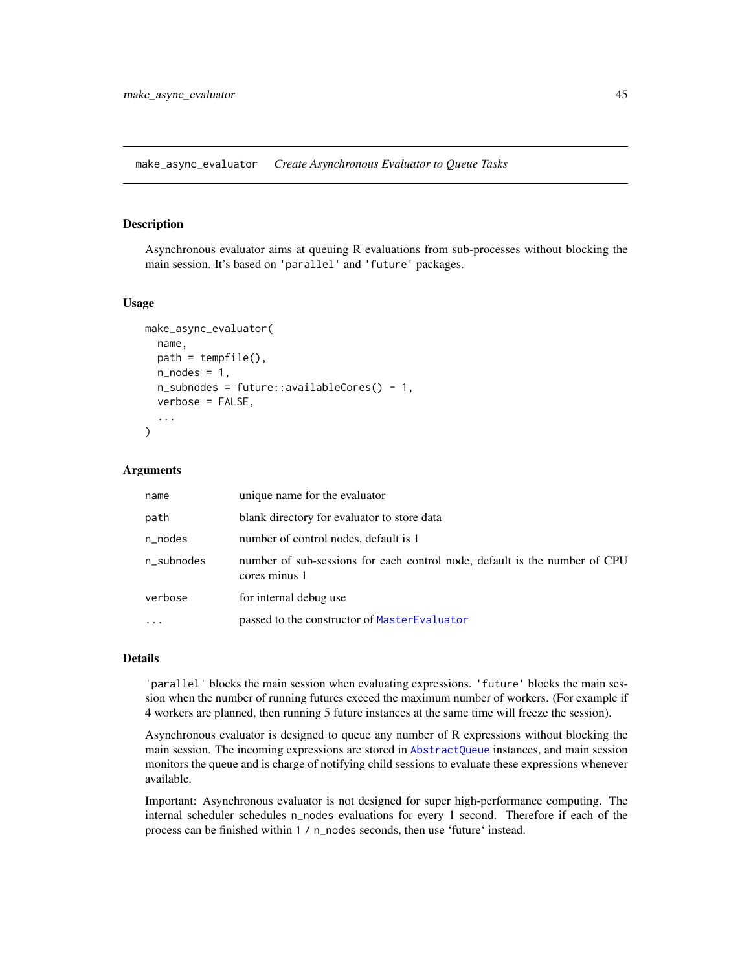make\_async\_evaluator *Create Asynchronous Evaluator to Queue Tasks*

#### Description

Asynchronous evaluator aims at queuing R evaluations from sub-processes without blocking the main session. It's based on 'parallel' and 'future' packages.

#### Usage

```
make_async_evaluator(
  name,
  path = tempfile(),
  n\_nodes = 1,
  n_subnodes = future::availableCores() - 1,
  verbose = FALSE,
  ...
\mathcal{L}
```
#### Arguments

| name       | unique name for the evaluator                                                               |
|------------|---------------------------------------------------------------------------------------------|
| path       | blank directory for evaluator to store data                                                 |
| n_nodes    | number of control nodes, default is 1                                                       |
| n_subnodes | number of sub-sessions for each control node, default is the number of CPU<br>cores minus 1 |
| verbose    | for internal debug use                                                                      |
|            | passed to the constructor of MasterEvaluator                                                |

## Details

'parallel' blocks the main session when evaluating expressions. 'future' blocks the main session when the number of running futures exceed the maximum number of workers. (For example if 4 workers are planned, then running 5 future instances at the same time will freeze the session).

Asynchronous evaluator is designed to queue any number of R expressions without blocking the main session. The incoming expressions are stored in [AbstractQueue](#page-3-0) instances, and main session monitors the queue and is charge of notifying child sessions to evaluate these expressions whenever available.

Important: Asynchronous evaluator is not designed for super high-performance computing. The internal scheduler schedules n\_nodes evaluations for every 1 second. Therefore if each of the process can be finished within 1 / n\_nodes seconds, then use 'future' instead.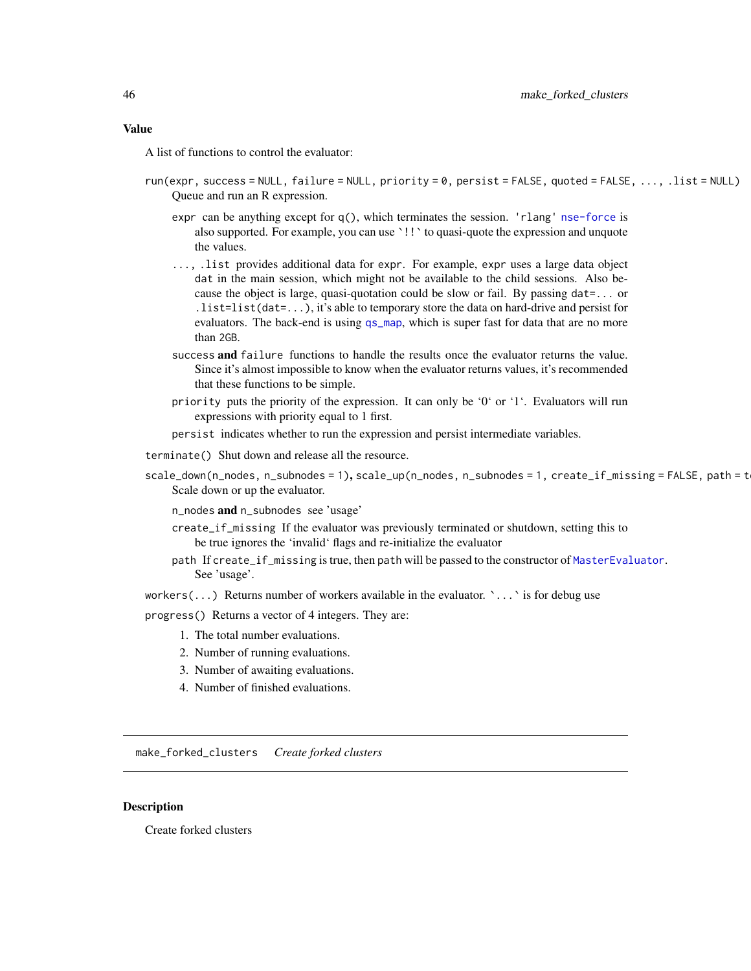#### Value

A list of functions to control the evaluator:

- run(expr, success = NULL, failure = NULL, priority = 0, persist = FALSE, quoted = FALSE, ..., .list = NULL) Queue and run an R expression.
	- expr can be anything except for  $q()$ , which terminates the session. 'rlang' [nse-force](#page-0-0) is also supported. For example, you can use `!!` to quasi-quote the expression and unquote the values.
	- ..., .list provides additional data for expr. For example, expr uses a large data object dat in the main session, which might not be available to the child sessions. Also because the object is large, quasi-quotation could be slow or fail. By passing dat=... or .list=list(dat=...), it's able to temporary store the data on hard-drive and persist for evaluators. The back-end is using [qs\\_map](#page-46-0), which is super fast for data that are no more than 2GB.
	- success and failure functions to handle the results once the evaluator returns the value. Since it's almost impossible to know when the evaluator returns values, it's recommended that these functions to be simple.
	- priority puts the priority of the expression. It can only be '0' or '1'. Evaluators will run expressions with priority equal to 1 first.
	- persist indicates whether to run the expression and persist intermediate variables.
- terminate() Shut down and release all the resource.
- scale\_down(n\_nodes, n\_subnodes = 1), scale\_up(n\_nodes, n\_subnodes = 1, create\_if\_missing = FALSE, path = t Scale down or up the evaluator.
	- n\_nodes and n\_subnodes see 'usage'
	- create\_if\_missing If the evaluator was previously terminated or shutdown, setting this to be true ignores the 'invalid' flags and re-initialize the evaluator
	- path If create\_if\_missing is true, then path will be passed to the constructor of [MasterEvaluator](#page-50-0). See 'usage'.
- workers(...) Returns number of workers available in the evaluator.  $\cdot \ldots \cdot$  is for debug use

progress() Returns a vector of 4 integers. They are:

- 1. The total number evaluations.
- 2. Number of running evaluations.
- 3. Number of awaiting evaluations.
- 4. Number of finished evaluations.

make\_forked\_clusters *Create forked clusters*

#### Description

Create forked clusters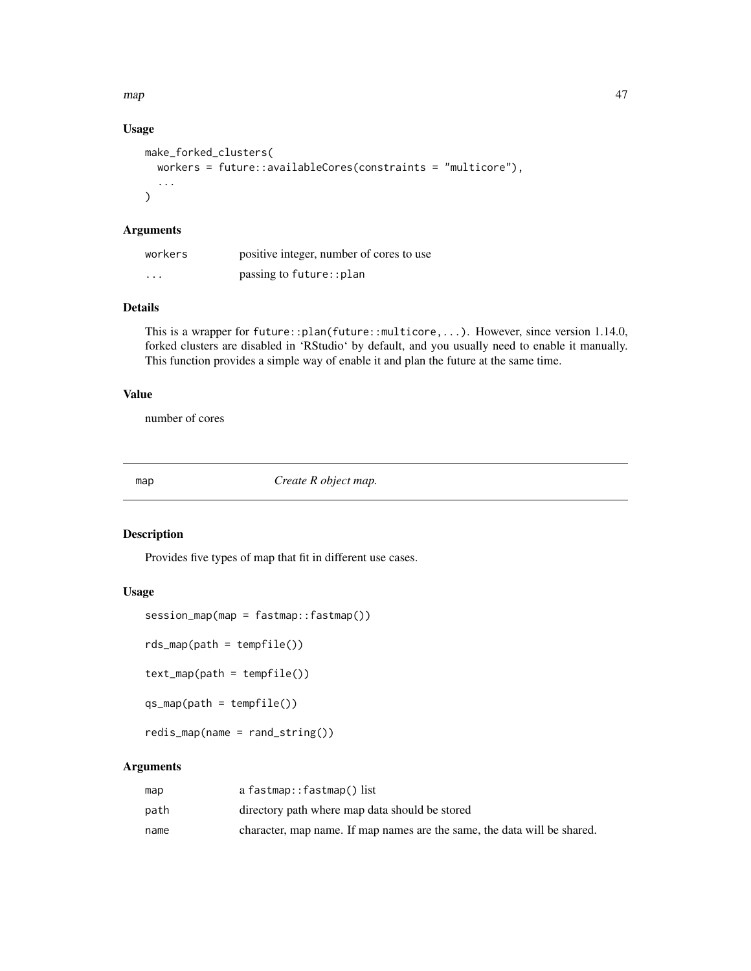$map$  and  $\frac{47}{2}$ 

# Usage

```
make_forked_clusters(
 workers = future::availableCores(constraints = "multicore"),
  ...
)
```
## Arguments

| workers  | positive integer, number of cores to use |
|----------|------------------------------------------|
| $\cdots$ | passing to future:: plan                 |

## Details

This is a wrapper for future::plan(future::multicore,...). However, since version 1.14.0, forked clusters are disabled in 'RStudio' by default, and you usually need to enable it manually. This function provides a simple way of enable it and plan the future at the same time.

#### Value

number of cores

<span id="page-46-1"></span>map *Create R object map.*

## <span id="page-46-0"></span>Description

Provides five types of map that fit in different use cases.

## Usage

```
session_map(map = fastmap::fastmap())
```

```
rds_map(path = tempfile())
```
text\_map(path = tempfile())

```
qs_map(path = tempfile())
```

```
redis_map(name = rand_string())
```
## Arguments

| map  | a fastmap::fastmap() list                                                |
|------|--------------------------------------------------------------------------|
| path | directory path where map data should be stored                           |
| name | character, map name. If map names are the same, the data will be shared. |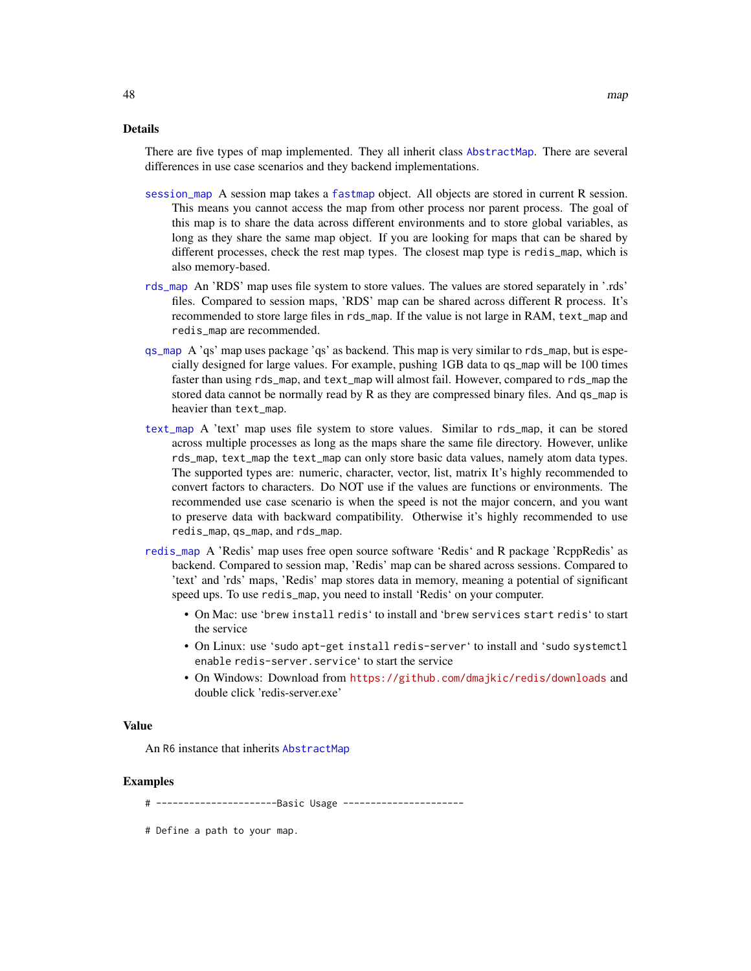There are five types of map implemented. They all inherit class [AbstractMap](#page-3-1). There are several differences in use case scenarios and they backend implementations.

- [session\\_map](#page-46-0) A session map takes a [fastmap](#page-0-0) object. All objects are stored in current R session. This means you cannot access the map from other process nor parent process. The goal of this map is to share the data across different environments and to store global variables, as long as they share the same map object. If you are looking for maps that can be shared by different processes, check the rest map types. The closest map type is redis\_map, which is also memory-based.
- [rds\\_map](#page-46-0) An 'RDS' map uses file system to store values. The values are stored separately in '.rds' files. Compared to session maps, 'RDS' map can be shared across different R process. It's recommended to store large files in rds\_map. If the value is not large in RAM, text\_map and redis\_map are recommended.
- [qs\\_map](#page-46-0) A 'qs' map uses package 'qs' as backend. This map is very similar to rds\_map, but is especially designed for large values. For example, pushing 1GB data to qs\_map will be 100 times faster than using rds\_map, and text\_map will almost fail. However, compared to rds\_map the stored data cannot be normally read by R as they are compressed binary files. And qs\_map is heavier than text\_map.
- [text\\_map](#page-46-0) A 'text' map uses file system to store values. Similar to rds\_map, it can be stored across multiple processes as long as the maps share the same file directory. However, unlike rds\_map, text\_map the text\_map can only store basic data values, namely atom data types. The supported types are: numeric, character, vector, list, matrix It's highly recommended to convert factors to characters. Do NOT use if the values are functions or environments. The recommended use case scenario is when the speed is not the major concern, and you want to preserve data with backward compatibility. Otherwise it's highly recommended to use redis\_map, qs\_map, and rds\_map.
- [redis\\_map](#page-46-0) A 'Redis' map uses free open source software 'Redis' and R package 'RcppRedis' as backend. Compared to session map, 'Redis' map can be shared across sessions. Compared to 'text' and 'rds' maps, 'Redis' map stores data in memory, meaning a potential of significant speed ups. To use redis\_map, you need to install 'Redis' on your computer.
	- On Mac: use 'brew install redis' to install and 'brew services start redis' to start the service
	- On Linux: use 'sudo apt-get install redis-server' to install and 'sudo systemctl enable redis-server.service' to start the service
	- On Windows: Download from <https://github.com/dmajkic/redis/downloads> and double click 'redis-server.exe'

#### Value

An R6 instance that inherits [AbstractMap](#page-3-1)

#### Examples

# ----------------------Basic Usage ----------------------

# Define a path to your map.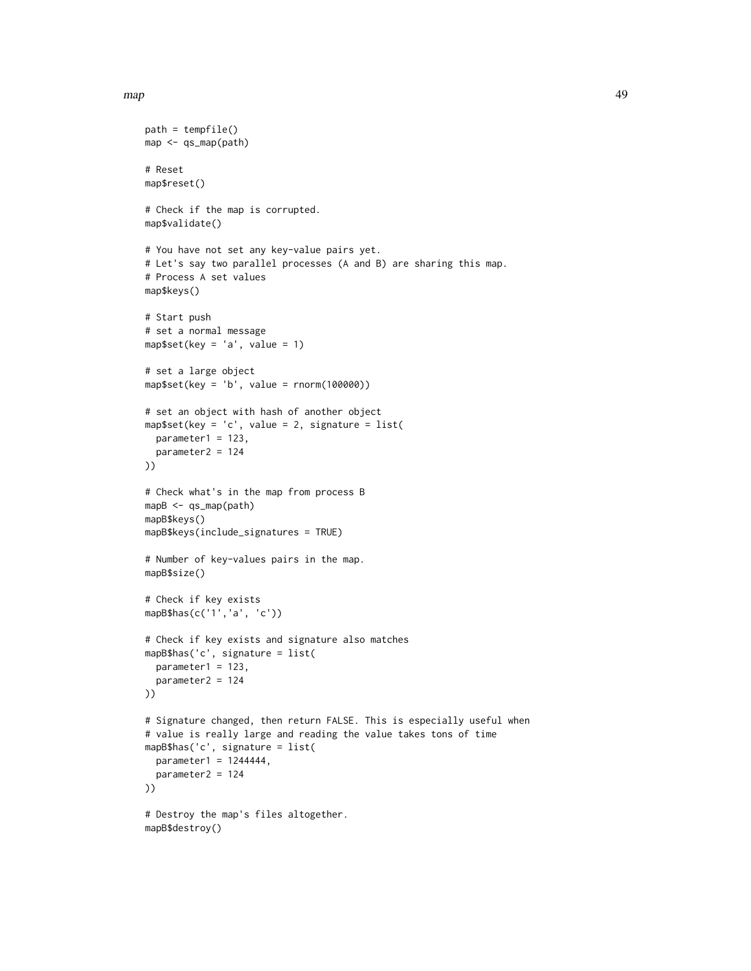#### map and the contract of the contract of the contract of the contract of the contract of the contract of the contract of the contract of the contract of the contract of the contract of the contract of the contract of the co

```
path = tempfile()
map <- qs_map(path)
# Reset
map$reset()
# Check if the map is corrupted.
map$validate()
# You have not set any key-value pairs yet.
# Let's say two parallel processes (A and B) are sharing this map.
# Process A set values
map$keys()
# Start push
# set a normal message
map$set(key = 'a', value = 1)
# set a large object
map$set(key = 'b', value = rnorm(100000))
# set an object with hash of another object
map$set(key = 'c', value = 2, signature = list(
  parameter1 = 123,
  parameter2 = 124
))
# Check what's in the map from process B
mapB <- qs_map(path)
mapB$keys()
mapB$keys(include_signatures = TRUE)
# Number of key-values pairs in the map.
mapB$size()
# Check if key exists
mapB$has(c('1','a', 'c'))
# Check if key exists and signature also matches
mapB$has('c', signature = list(
  parameter1 = 123,
  parameter2 = 124
))
# Signature changed, then return FALSE. This is especially useful when
# value is really large and reading the value takes tons of time
mapB$has('c', signature = list(
  parameter1 = 1244444,parameter2 = 124
))
# Destroy the map's files altogether.
mapB$destroy()
```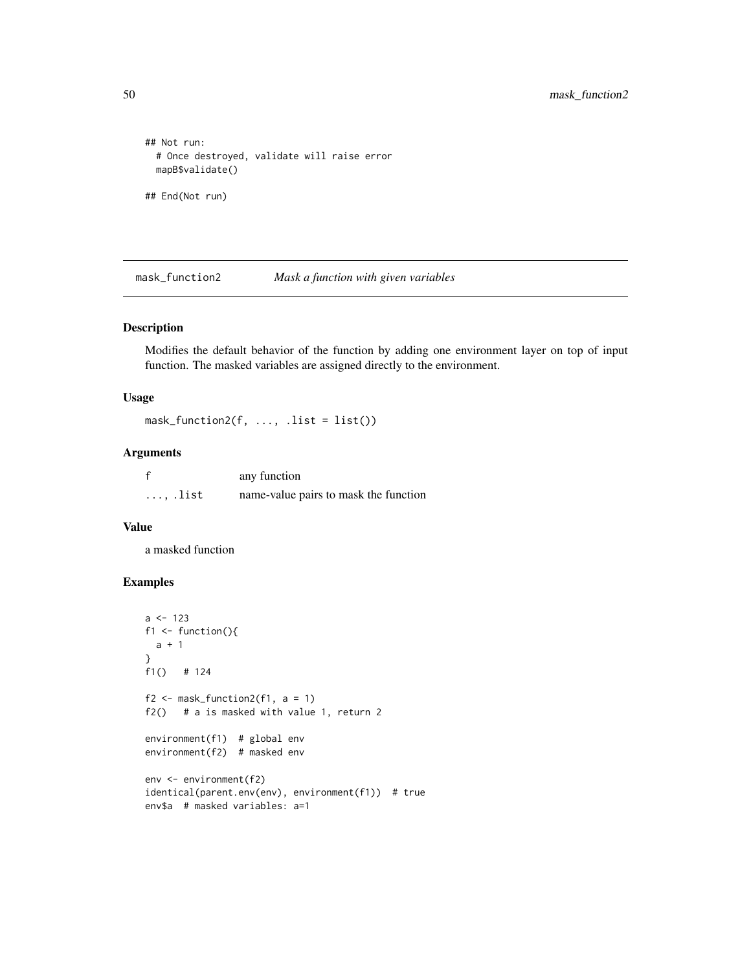```
## Not run:
 # Once destroyed, validate will raise error
 mapB$validate()
## End(Not run)
```
mask\_function2 *Mask a function with given variables*

# Description

Modifies the default behavior of the function by adding one environment layer on top of input function. The masked variables are assigned directly to the environment.

## Usage

 $mask_function2(f, ..., list = list())$ 

## Arguments

|                 | any function                          |
|-----------------|---------------------------------------|
| $\ldots$ , list | name-value pairs to mask the function |

## Value

a masked function

# Examples

```
a < -123f1 \le function(){
 a + 1}
f1() # 124
f2 \leq mask_function2(f1, a = 1)
f2() # a is masked with value 1, return 2
environment(f1) # global env
environment(f2) # masked env
env <- environment(f2)
identical(parent.env(env), environment(f1)) # true
env$a # masked variables: a=1
```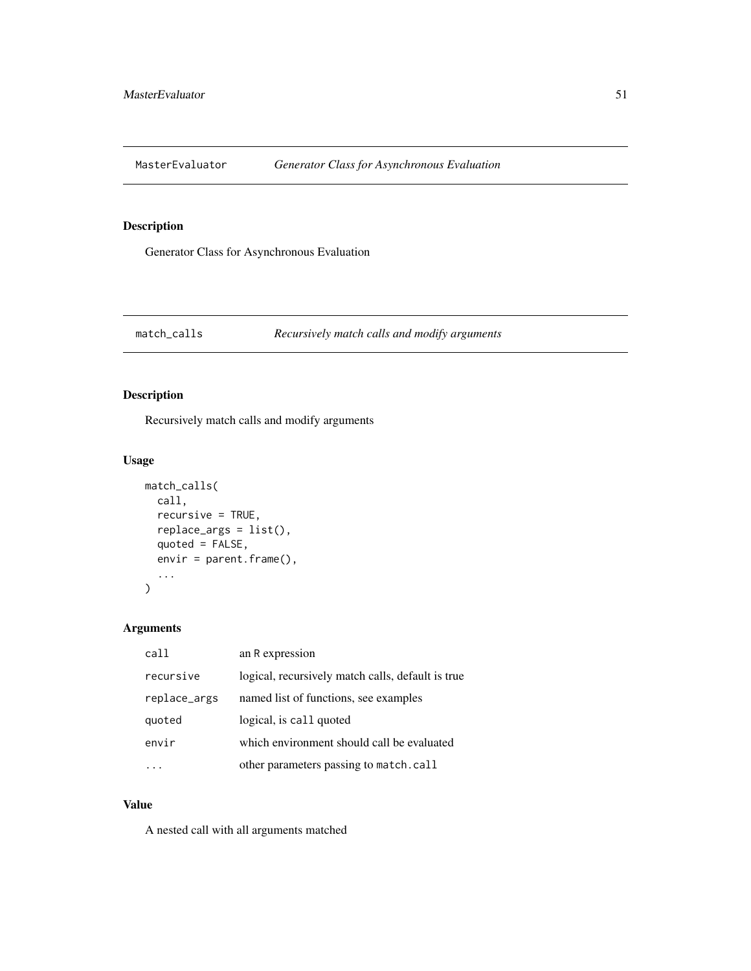<span id="page-50-0"></span>

# Description

Generator Class for Asynchronous Evaluation

## match\_calls *Recursively match calls and modify arguments*

# Description

Recursively match calls and modify arguments

# Usage

```
match_calls(
 call,
  recursive = TRUE,
  replace_args = list(),
  quoted = FALSE,envir = parent.frame(),
  ...
)
```
# Arguments

| call         | an R expression                                   |
|--------------|---------------------------------------------------|
| recursive    | logical, recursively match calls, default is true |
| replace_args | named list of functions, see examples             |
| quoted       | logical, is call quoted                           |
| envir        | which environment should call be evaluated        |
|              | other parameters passing to match.call            |

# Value

A nested call with all arguments matched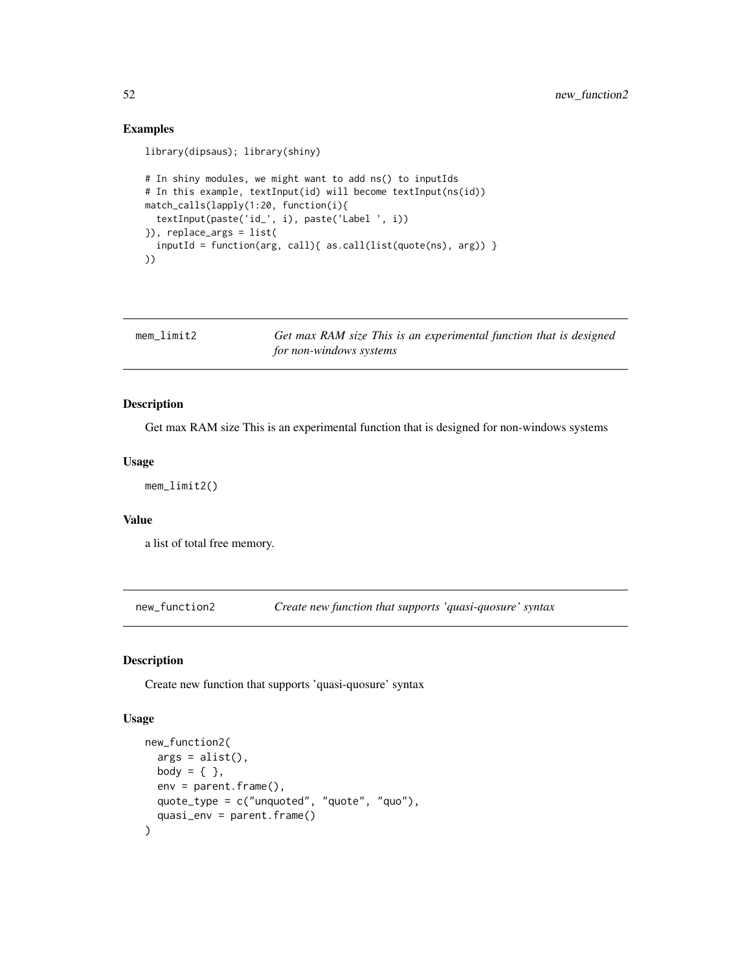## Examples

```
library(dipsaus); library(shiny)
# In shiny modules, we might want to add ns() to inputIds
# In this example, textInput(id) will become textInput(ns(id))
match_calls(lapply(1:20, function(i){
 textInput(paste('id_', i), paste('Label ', i))
}), replace_args = list(
  inputId = function(arg, call){ as.call(list(quote(ns), arg)) }
))
```

| mem limit2 | Get max RAM size This is an experimental function that is designed |
|------------|--------------------------------------------------------------------|
|            | for non-windows systems                                            |

# Description

Get max RAM size This is an experimental function that is designed for non-windows systems

#### Usage

mem\_limit2()

# Value

a list of total free memory.

new\_function2 *Create new function that supports 'quasi-quosure' syntax*

# Description

Create new function that supports 'quasi-quosure' syntax

## Usage

```
new_function2(
  args = alist(),
 body = \{ \},
 env = parent.Fname(),quote_type = c("unquoted", "quote", "quo"),
  quasi_env = parent.frame()
\mathcal{E}
```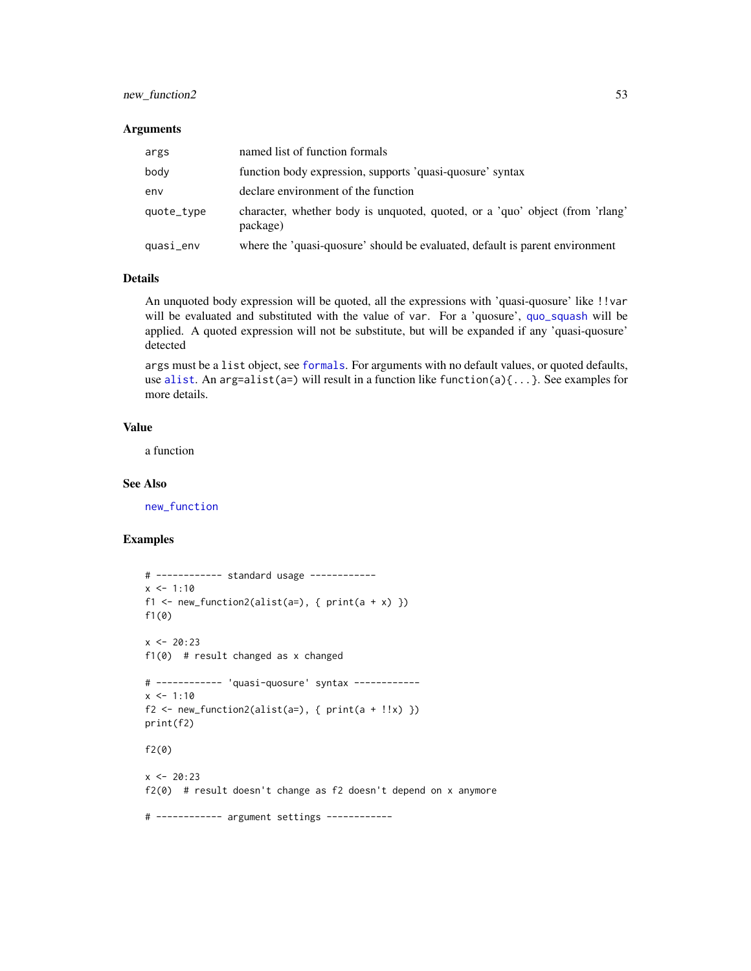## new\_function2 53

#### Arguments

| args       | named list of function formals                                                           |
|------------|------------------------------------------------------------------------------------------|
| body       | function body expression, supports 'quasi-quosure' syntax                                |
| env        | declare environment of the function                                                      |
| quote_type | character, whether body is unquoted, quoted, or a 'quo' object (from 'rlang'<br>package) |
| quasi_env  | where the 'quasi-quosure' should be evaluated, default is parent environment             |

#### Details

An unquoted body expression will be quoted, all the expressions with 'quasi-quosure' like !!var will be evaluated and substituted with the value of var. For a 'quosure', [quo\\_squash](#page-0-0) will be applied. A quoted expression will not be substitute, but will be expanded if any 'quasi-quosure' detected

args must be a list object, see [formals](#page-0-0). For arguments with no default values, or quoted defaults, use [alist](#page-0-0). An arg=alist(a=) will result in a function like function(a) $\{ \ldots \}$ . See examples for more details.

#### Value

a function

#### See Also

[new\\_function](#page-0-0)

## Examples

```
# ------------ standard usage ------------
x < -1:10f1 <- new_function2(alist(a=), { print(a + x) })
f1(0)
x < -20:23f1(0) # result changed as x changed
# ------------ 'quasi-quosure' syntax ------------
x < -1:10f2 \leftarrow new_function2(alist(a=), \{ print(a + !!x) \})print(f2)
f2(0)
x < -20:23f2(0) # result doesn't change as f2 doesn't depend on x anymore
# ------------ argument settings ------------
```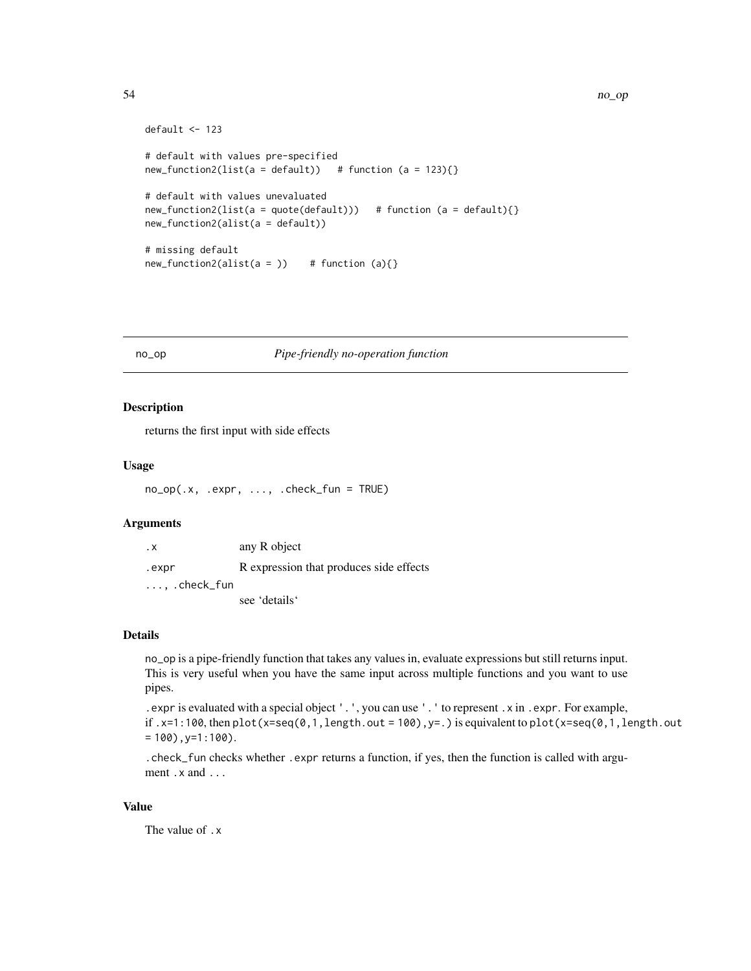```
default <- 123
# default with values pre-specified
new_function2(list(a = default)) # function (a = 123){}# default with values unevaluated
new_function2(list(a = quote(default))) # function (a = default){})new_function2(alist(a = default))
# missing default
new_function2(alist(a =)) # function (a){}
```
## no\_op *Pipe-friendly no-operation function*

#### Description

returns the first input with side effects

#### Usage

```
no_op(.x, .expr, ..., .check_fun = TRUE)
```
## Arguments

| . х                   | any R object                            |
|-----------------------|-----------------------------------------|
| .expr                 | R expression that produces side effects |
| $\ldots$ , .check_fun |                                         |
|                       | see 'details'                           |

#### Details

no\_op is a pipe-friendly function that takes any values in, evaluate expressions but still returns input. This is very useful when you have the same input across multiple functions and you want to use pipes.

```
.expr is evaluated with a special object '.', you can use '.' to represent .x in .expr. For example,
if .x=1:100, then plot(x=seq(0,1, length.out = 100), y=.) is equivalent to plot(x=seq(0,1, length.out= 100), y=1:100).
```
.check\_fun checks whether .expr returns a function, if yes, then the function is called with argument .x and ...

#### Value

The value of .x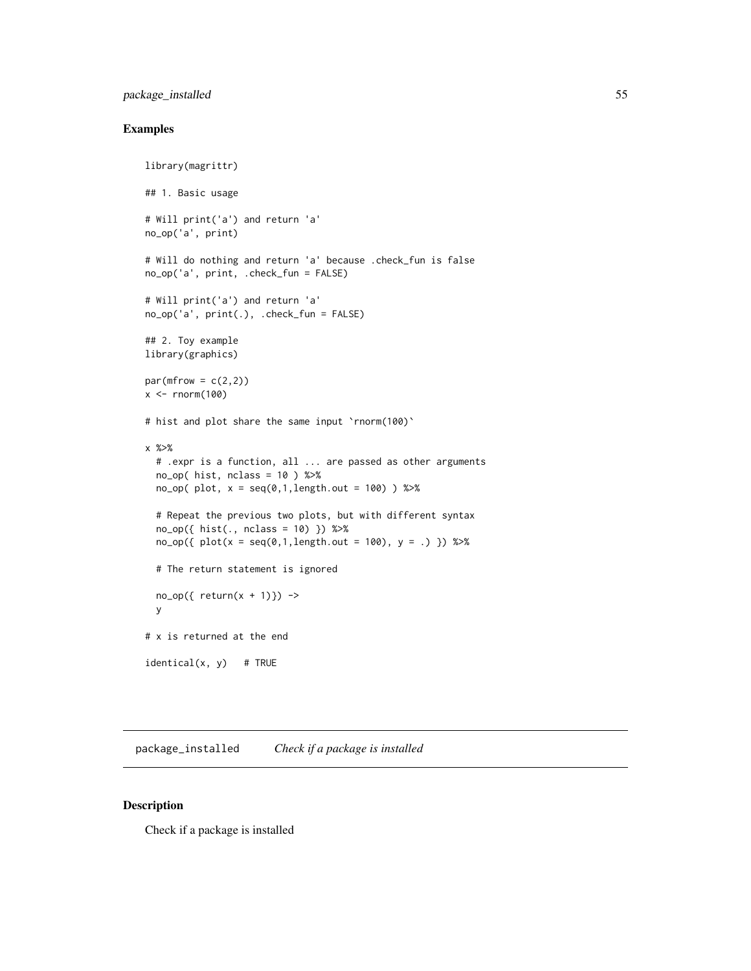# package\_installed 55

# Examples

```
library(magrittr)
## 1. Basic usage
# Will print('a') and return 'a'
no_op('a', print)
# Will do nothing and return 'a' because .check_fun is false
no_op('a', print, .check_fun = FALSE)
# Will print('a') and return 'a'
no_op('a', print(.), .check_fun = FALSE)
## 2. Toy example
library(graphics)
par(mfrow = c(2,2))x \le- rnorm(100)
# hist and plot share the same input 'rnorm(100)'
x %>%
  # .expr is a function, all ... are passed as other arguments
  no\_op( hist, nclass = 10 ) %>%
  no_op( plot, x = seq(0,1,length.out = 100) ) %>%
  # Repeat the previous two plots, but with different syntax
  no_op({ hist(., nclass = 10) }) %>%
  no\_op({\{ plot(x = seq(0,1,length.out = 100), y = .)}\}) %>%
  # The return statement is ignored
  no\_op({ return(x + 1)} ) ->
  y
# x is returned at the end
identical(x, y) # TRUE
```
package\_installed *Check if a package is installed*

#### Description

Check if a package is installed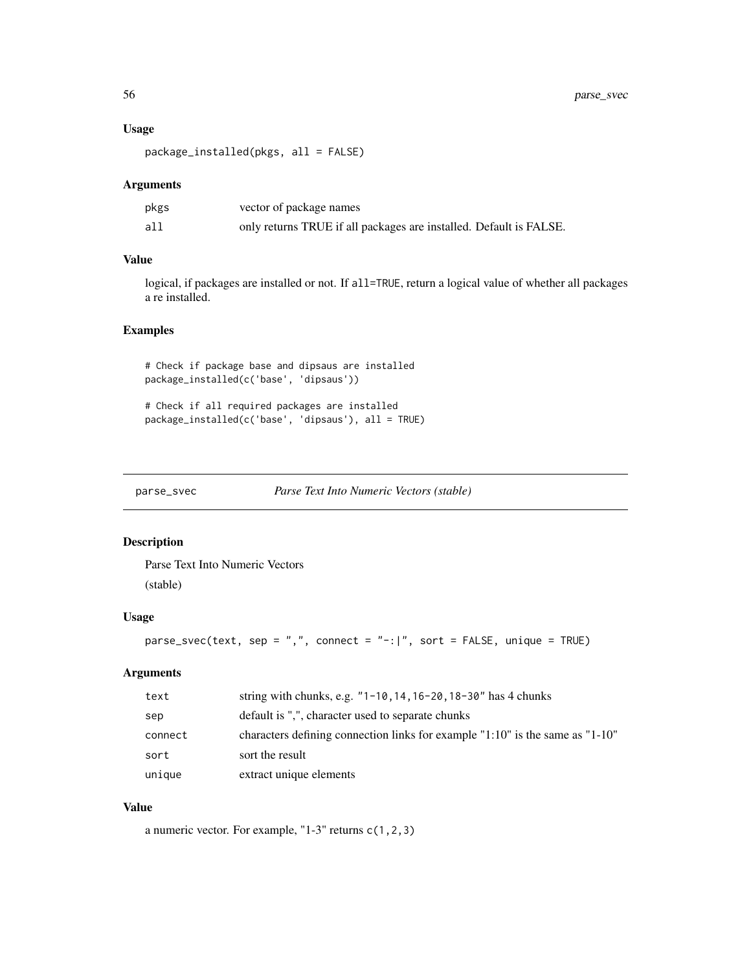#### Usage

package\_installed(pkgs, all = FALSE)

#### Arguments

| pkgs | vector of package names                                            |
|------|--------------------------------------------------------------------|
| all  | only returns TRUE if all packages are installed. Default is FALSE. |

## Value

logical, if packages are installed or not. If all=TRUE, return a logical value of whether all packages a re installed.

# Examples

# Check if package base and dipsaus are installed package\_installed(c('base', 'dipsaus'))

# Check if all required packages are installed package\_installed(c('base', 'dipsaus'), all = TRUE)

parse\_svec *Parse Text Into Numeric Vectors (stable)*

## Description

Parse Text Into Numeric Vectors (stable)

## Usage

```
parse\_svec(text, sep = ", ", count, connect = "-:]", sort = FALSE, unique = TRUE)
```
## Arguments

| text    | string with chunks, e.g. $"1-10, 14, 16-20, 18-30"$ has 4 chunks                |
|---------|---------------------------------------------------------------------------------|
| sep     | default is ",", character used to separate chunks                               |
| connect | characters defining connection links for example $1:10"$ is the same as $1:10"$ |
| sort    | sort the result                                                                 |
| unique  | extract unique elements                                                         |

## Value

a numeric vector. For example, "1-3" returns c(1,2,3)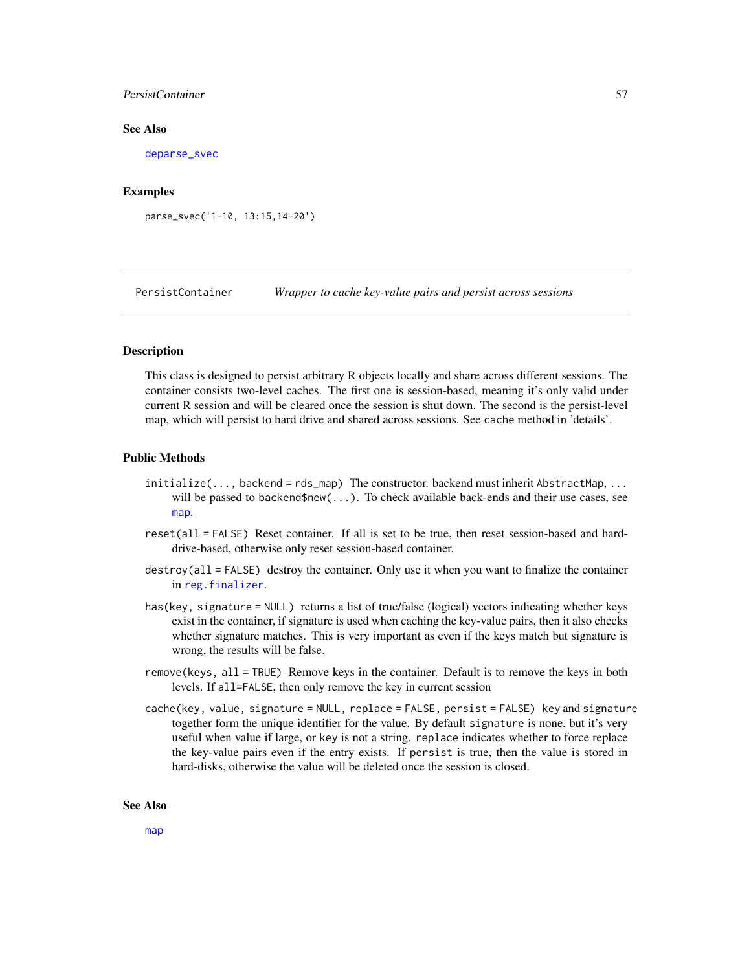## PersistContainer 57

#### See Also

[deparse\\_svec](#page-25-0)

## Examples

parse\_svec('1-10, 13:15,14-20')

PersistContainer *Wrapper to cache key-value pairs and persist across sessions*

# **Description**

This class is designed to persist arbitrary R objects locally and share across different sessions. The container consists two-level caches. The first one is session-based, meaning it's only valid under current R session and will be cleared once the session is shut down. The second is the persist-level map, which will persist to hard drive and shared across sessions. See cache method in 'details'.

## Public Methods

- initialize(..., backend = rds\_map) The constructor. backend must inherit AbstractMap, ... will be passed to backend\$new(...). To check available back-ends and their use cases, see [map](#page-46-1).
- reset(all = FALSE) Reset container. If all is set to be true, then reset session-based and harddrive-based, otherwise only reset session-based container.
- destroy(all = FALSE) destroy the container. Only use it when you want to finalize the container in [reg.finalizer](#page-0-0).
- has(key, signature = NULL) returns a list of true/false (logical) vectors indicating whether keys exist in the container, if signature is used when caching the key-value pairs, then it also checks whether signature matches. This is very important as even if the keys match but signature is wrong, the results will be false.
- remove(keys, all = TRUE) Remove keys in the container. Default is to remove the keys in both levels. If all=FALSE, then only remove the key in current session
- cache(key, value, signature = NULL, replace = FALSE, persist = FALSE) key and signature together form the unique identifier for the value. By default signature is none, but it's very useful when value if large, or key is not a string. replace indicates whether to force replace the key-value pairs even if the entry exists. If persist is true, then the value is stored in hard-disks, otherwise the value will be deleted once the session is closed.

#### See Also

[map](#page-46-1)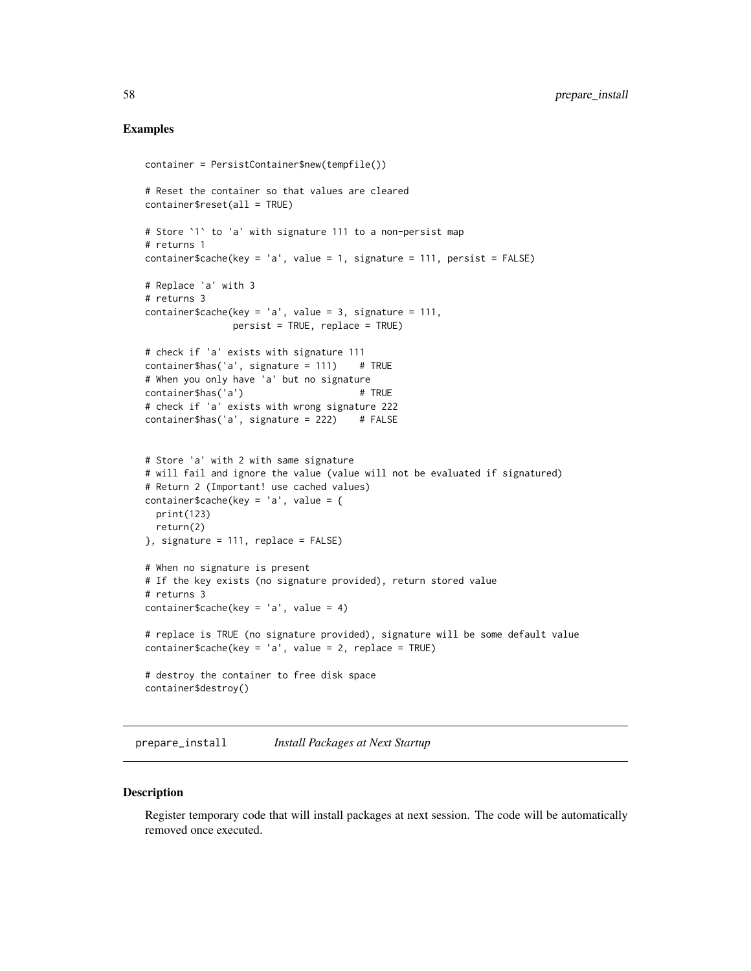## Examples

```
container = PersistContainer$new(tempfile())
# Reset the container so that values are cleared
container$reset(all = TRUE)
# Store `1` to 'a' with signature 111 to a non-persist map
# returns 1
container$cache(key = 'a', value = 1, signature = 111, persist = FALSE)
# Replace 'a' with 3
# returns 3
container$cache(key = 'a', value = 3, signature = 111,
               persist = TRUE, replace = TRUE)
# check if 'a' exists with signature 111
container$has('a', signature = 111) # TRUE
# When you only have 'a' but no signature
container$has('a') # TRUE
# check if 'a' exists with wrong signature 222
container$has('a', signature = 222) # FALSE
# Store 'a' with 2 with same signature
# will fail and ignore the value (value will not be evaluated if signatured)
# Return 2 (Important! use cached values)
container$cache(key = 'a', value = {
 print(123)
 return(2)
}, signature = 111, replace = FALSE)
# When no signature is present
# If the key exists (no signature provided), return stored value
# returns 3
container$cache(key = 'a', value = 4)
# replace is TRUE (no signature provided), signature will be some default value
container$cache(key = 'a', value = 2, replace = TRUE)
# destroy the container to free disk space
container$destroy()
```
prepare\_install *Install Packages at Next Startup*

#### **Description**

Register temporary code that will install packages at next session. The code will be automatically removed once executed.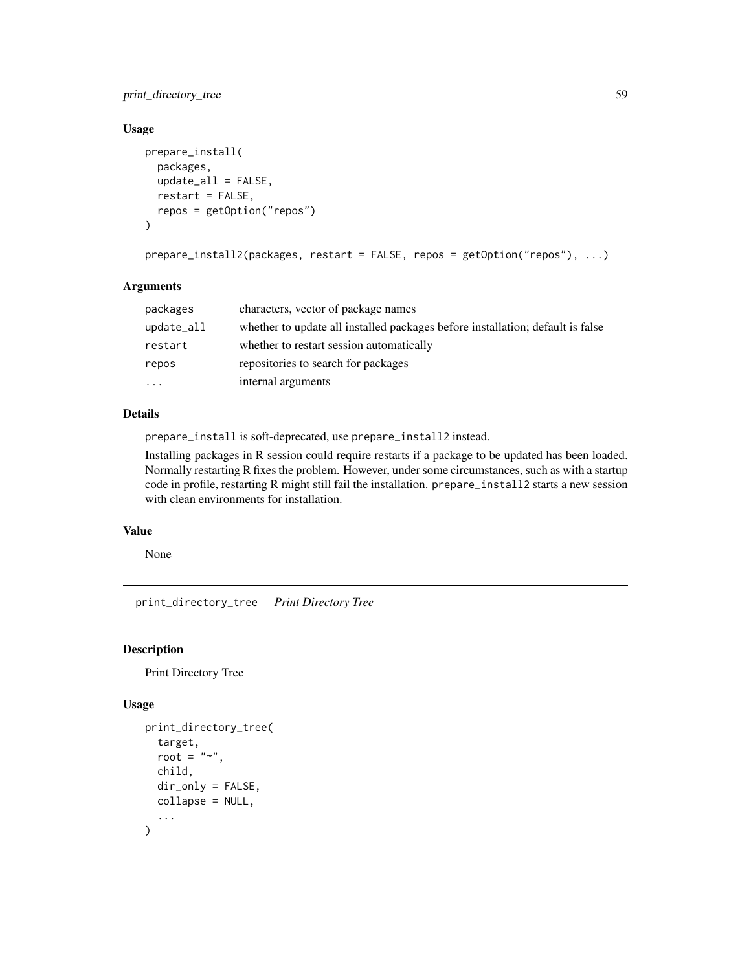# print\_directory\_tree 59

# Usage

```
prepare_install(
 packages,
  update_all = FALSE,
  restart = FALSE,
  repos = getOption("repos")
)
```

```
prepare_install2(packages, restart = FALSE, repos = getOption("repos"), ...)
```
## Arguments

| packages   | characters, vector of package names                                            |
|------------|--------------------------------------------------------------------------------|
| update_all | whether to update all installed packages before installation; default is false |
| restart    | whether to restart session automatically                                       |
| repos      | repositories to search for packages                                            |
| $\cdots$   | internal arguments                                                             |

# Details

prepare\_install is soft-deprecated, use prepare\_install2 instead.

Installing packages in R session could require restarts if a package to be updated has been loaded. Normally restarting R fixes the problem. However, under some circumstances, such as with a startup code in profile, restarting R might still fail the installation. prepare\_install2 starts a new session with clean environments for installation.

## Value

None

print\_directory\_tree *Print Directory Tree*

#### Description

Print Directory Tree

# Usage

```
print_directory_tree(
  target,
  root = "~~".
  child,
  dir_only = FALSE,
  collapse = NULL,
  ...
)
```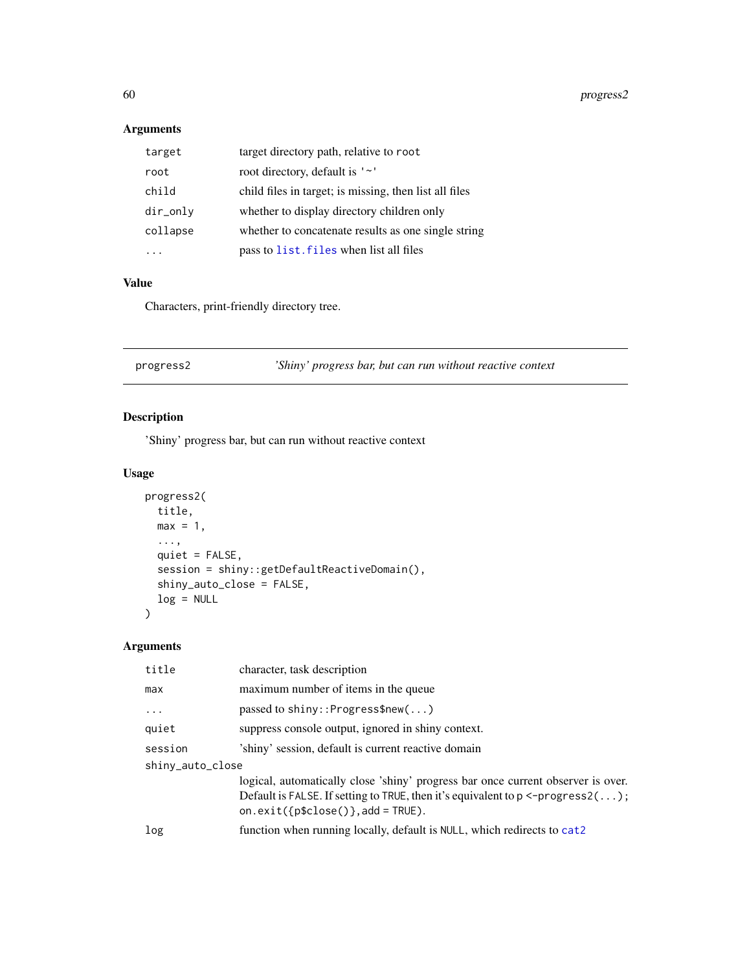# Arguments

| target   | target directory path, relative to root                |
|----------|--------------------------------------------------------|
| root     | root directory, default is '~'                         |
| child    | child files in target; is missing, then list all files |
| dir_only | whether to display directory children only             |
| collapse | whether to concatenate results as one single string    |
|          | pass to list. files when list all files                |

# Value

Characters, print-friendly directory tree.

<span id="page-59-0"></span>

| 'Shiny' progress bar, but can run without reactive context<br>progress2 |  |
|-------------------------------------------------------------------------|--|
|-------------------------------------------------------------------------|--|

# Description

'Shiny' progress bar, but can run without reactive context

# Usage

```
progress2(
 title,
 max = 1,
  ...,
 quiet = FALSE,
  session = shiny::getDefaultReactiveDomain(),
 shiny_auto_close = FALSE,
 log = NULL
)
```
# Arguments

| title            | character, task description                                                                                                                                                                                                     |  |
|------------------|---------------------------------------------------------------------------------------------------------------------------------------------------------------------------------------------------------------------------------|--|
| max              | maximum number of items in the queue                                                                                                                                                                                            |  |
| $\ddotsc$        | passed to shiny:: Progress $\text{Snew}(\dots)$                                                                                                                                                                                 |  |
| quiet            | suppress console output, ignored in shiny context.                                                                                                                                                                              |  |
| session          | 'shiny' session, default is current reactive domain                                                                                                                                                                             |  |
| shiny_auto_close |                                                                                                                                                                                                                                 |  |
|                  | logical, automatically close 'shiny' progress bar once current observer is over.<br>Default is FALSE. If setting to TRUE, then it's equivalent to $p \leq-p \text{rogress2}(\dots);$<br>on.exit( $\{p$close()}\$ , add = TRUE). |  |
| log              | function when running locally, default is NULL, which redirects to cat2                                                                                                                                                         |  |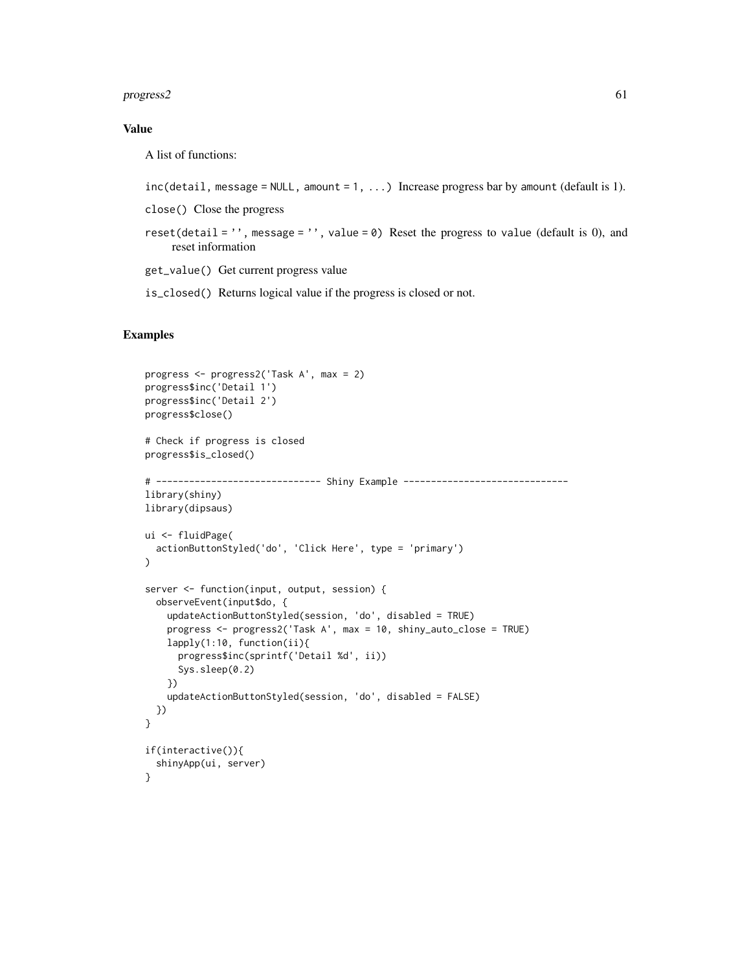#### progress2 61

## Value

A list of functions:

```
inc(detail, message = NULL, amount = 1, ...) Increase progress bar by amount (default is 1).
```
close() Close the progress

- reset(detail =  $'$ , message =  $'$ , value =  $\theta$ ) Reset the progress to value (default is 0), and reset information
- get\_value() Get current progress value

is\_closed() Returns logical value if the progress is closed or not.

## Examples

```
progress <- progress2('Task A', max = 2)
progress$inc('Detail 1')
progress$inc('Detail 2')
progress$close()
# Check if progress is closed
progress$is_closed()
# ------------------------------ Shiny Example ------------------------------
library(shiny)
library(dipsaus)
ui <- fluidPage(
  actionButtonStyled('do', 'Click Here', type = 'primary')
)
server <- function(input, output, session) {
  observeEvent(input$do, {
    updateActionButtonStyled(session, 'do', disabled = TRUE)
   progress <- progress2('Task A', max = 10, shiny_auto_close = TRUE)
   lapply(1:10, function(ii){
     progress$inc(sprintf('Detail %d', ii))
      Sys.sleep(0.2)
   })
    updateActionButtonStyled(session, 'do', disabled = FALSE)
  })
}
if(interactive()){
  shinyApp(ui, server)
}
```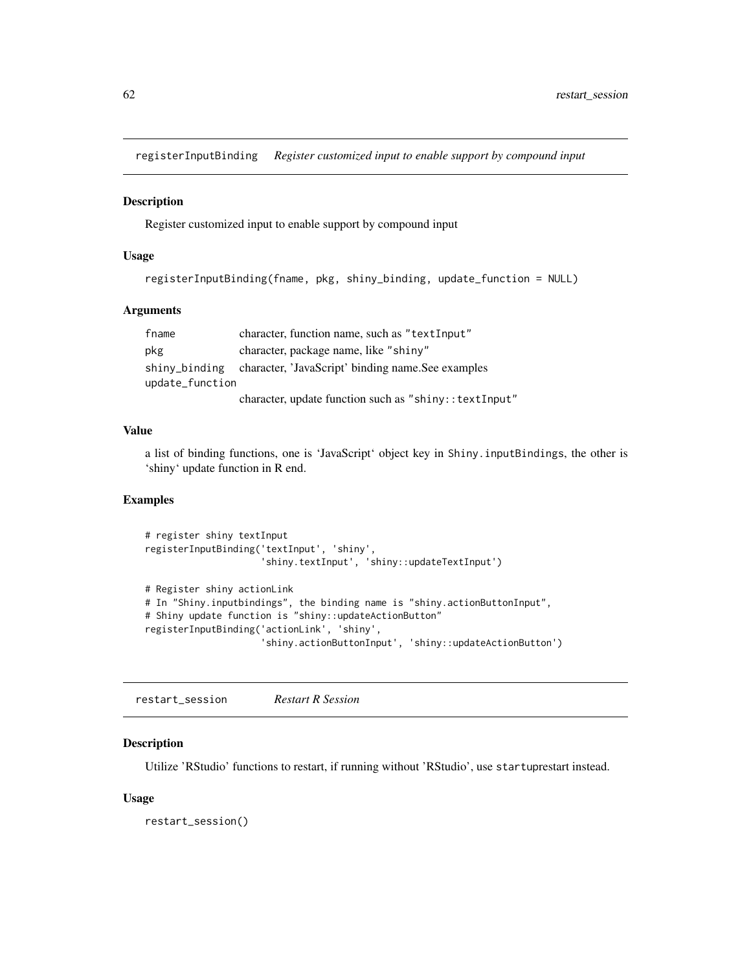registerInputBinding *Register customized input to enable support by compound input*

## Description

Register customized input to enable support by compound input

## Usage

```
registerInputBinding(fname, pkg, shiny_binding, update_function = NULL)
```
## Arguments

| fname           | character, function name, such as "textInput"          |
|-----------------|--------------------------------------------------------|
| pkg             | character, package name, like "shiny"                  |
| shiny_binding   | character, 'JavaScript' binding name. See examples     |
| update_function |                                                        |
|                 | character, update function such as "shiny:: textInput" |

## Value

a list of binding functions, one is 'JavaScript' object key in Shiny.inputBindings, the other is 'shiny' update function in R end.

## Examples

```
# register shiny textInput
registerInputBinding('textInput', 'shiny',
                     'shiny.textInput', 'shiny::updateTextInput')
# Register shiny actionLink
# In "Shiny.inputbindings", the binding name is "shiny.actionButtonInput",
# Shiny update function is "shiny::updateActionButton"
registerInputBinding('actionLink', 'shiny',
                     'shiny.actionButtonInput', 'shiny::updateActionButton')
```
restart\_session *Restart R Session*

#### Description

Utilize 'RStudio' functions to restart, if running without 'RStudio', use startuprestart instead.

#### Usage

restart\_session()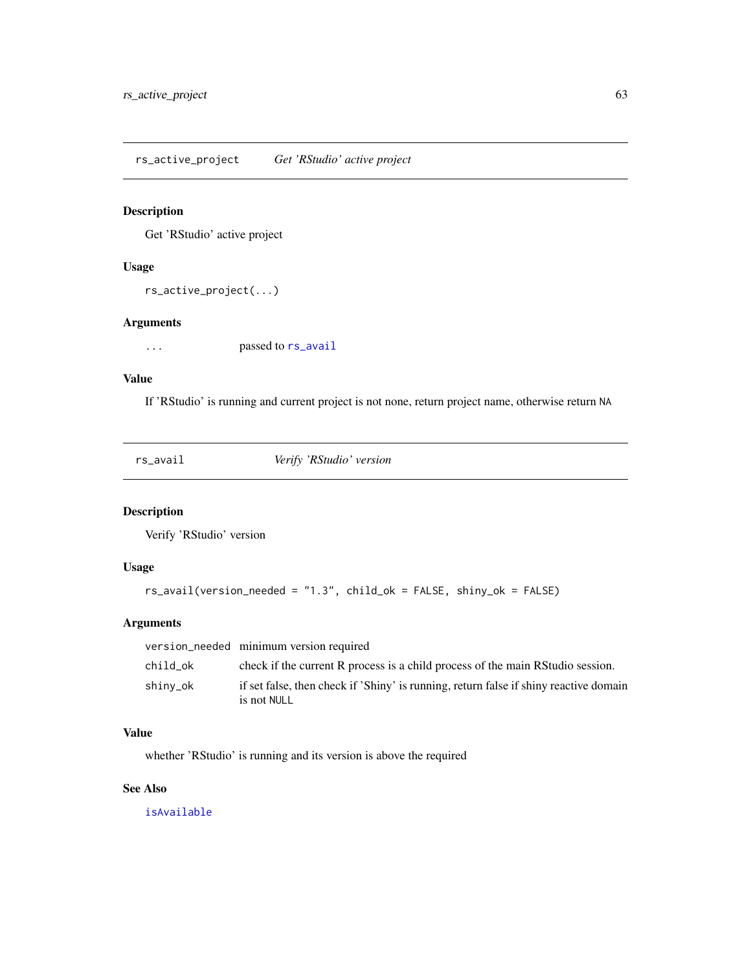rs\_active\_project *Get 'RStudio' active project*

# Description

Get 'RStudio' active project

## Usage

```
rs_active_project(...)
```
## Arguments

... passed to [rs\\_avail](#page-62-0)

## Value

If 'RStudio' is running and current project is not none, return project name, otherwise return NA

<span id="page-62-0"></span>rs\_avail *Verify 'RStudio' version*

# Description

Verify 'RStudio' version

# Usage

rs\_avail(version\_needed = "1.3", child\_ok = FALSE, shiny\_ok = FALSE)

## Arguments

|          | version_needed minimum version required                                                              |
|----------|------------------------------------------------------------------------------------------------------|
| child ok | check if the current R process is a child process of the main RStudio session.                       |
| shiny_ok | if set false, then check if 'Shiny' is running, return false if shiny reactive domain<br>is not NULL |

# Value

whether 'RStudio' is running and its version is above the required

# See Also

[isAvailable](#page-0-0)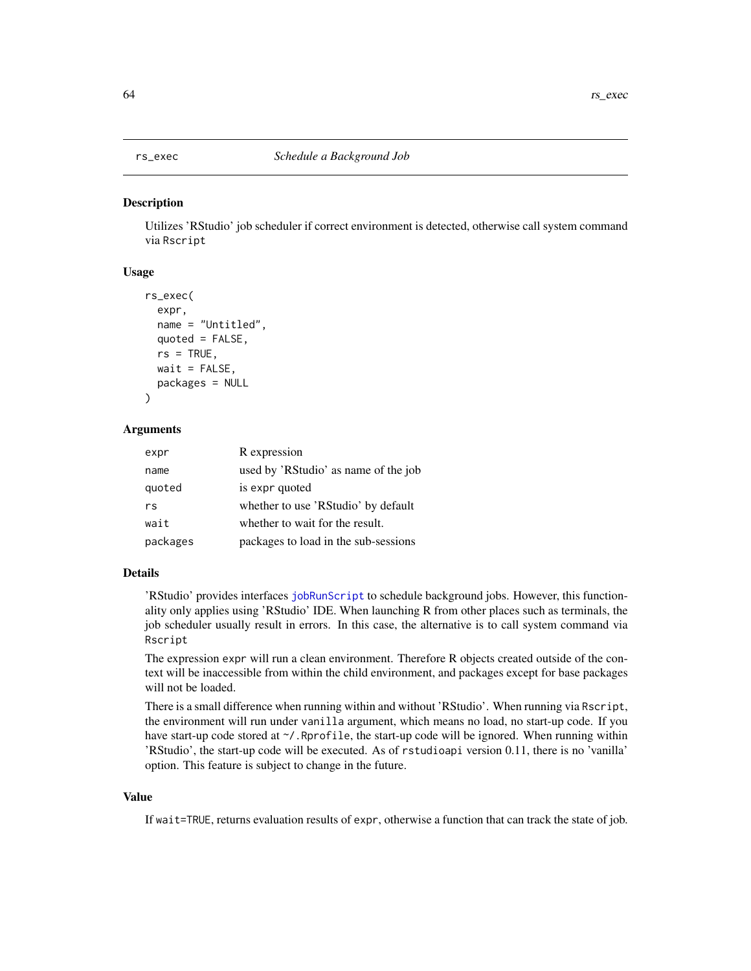#### Description

Utilizes 'RStudio' job scheduler if correct environment is detected, otherwise call system command via Rscript

#### Usage

```
rs_exec(
  expr,
  name = "Untitled",
 quoted = FALSE,rs = TRUE,wait = FALSE,packages = NULL
)
```
# Arguments

| expr     | R expression                         |
|----------|--------------------------------------|
| name     | used by 'RStudio' as name of the job |
| quoted   | is expr quoted                       |
| rs       | whether to use 'RStudio' by default  |
| wait     | whether to wait for the result.      |
| packages | packages to load in the sub-sessions |

#### Details

'RStudio' provides interfaces [jobRunScript](#page-0-0) to schedule background jobs. However, this functionality only applies using 'RStudio' IDE. When launching R from other places such as terminals, the job scheduler usually result in errors. In this case, the alternative is to call system command via Rscript

The expression expr will run a clean environment. Therefore R objects created outside of the context will be inaccessible from within the child environment, and packages except for base packages will not be loaded.

There is a small difference when running within and without 'RStudio'. When running via Rscript, the environment will run under vanilla argument, which means no load, no start-up code. If you have start-up code stored at  $\gamma'$ . Rprofile, the start-up code will be ignored. When running within 'RStudio', the start-up code will be executed. As of rstudioapi version 0.11, there is no 'vanilla' option. This feature is subject to change in the future.

# Value

If wait=TRUE, returns evaluation results of expr, otherwise a function that can track the state of job.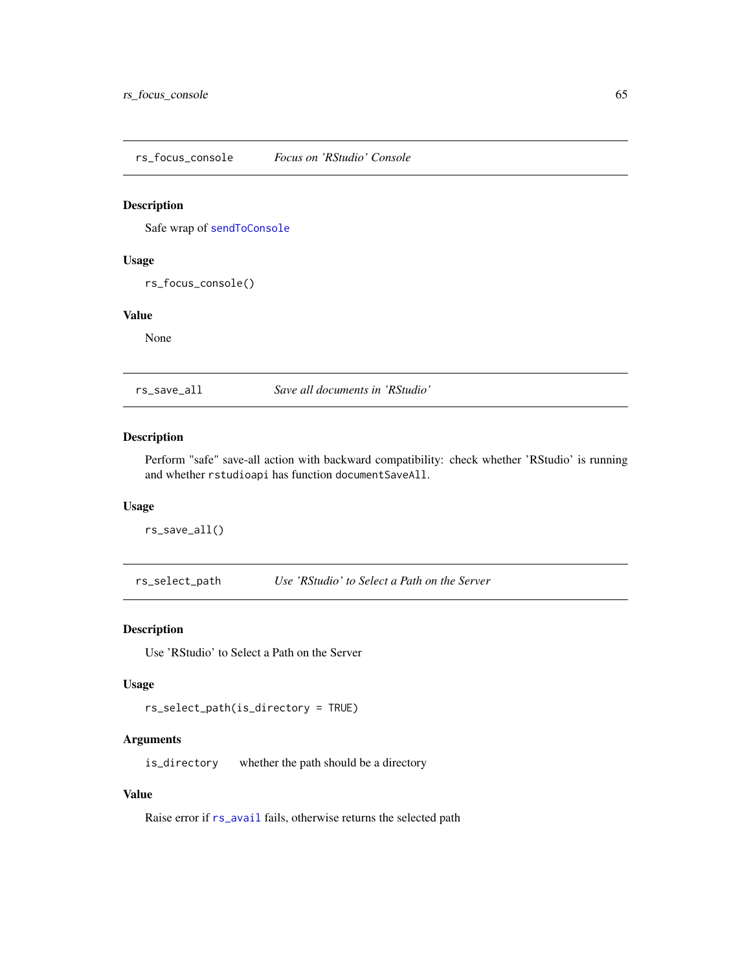rs\_focus\_console *Focus on 'RStudio' Console*

## Description

Safe wrap of [sendToConsole](#page-0-0)

#### Usage

rs\_focus\_console()

## Value

None

rs\_save\_all *Save all documents in 'RStudio'*

# Description

Perform "safe" save-all action with backward compatibility: check whether 'RStudio' is running and whether rstudioapi has function documentSaveAll.

## Usage

rs\_save\_all()

rs\_select\_path *Use 'RStudio' to Select a Path on the Server*

## Description

Use 'RStudio' to Select a Path on the Server

## Usage

rs\_select\_path(is\_directory = TRUE)

## Arguments

is\_directory whether the path should be a directory

## Value

Raise error if  $rs$ <sub>avail</sub> fails, otherwise returns the selected path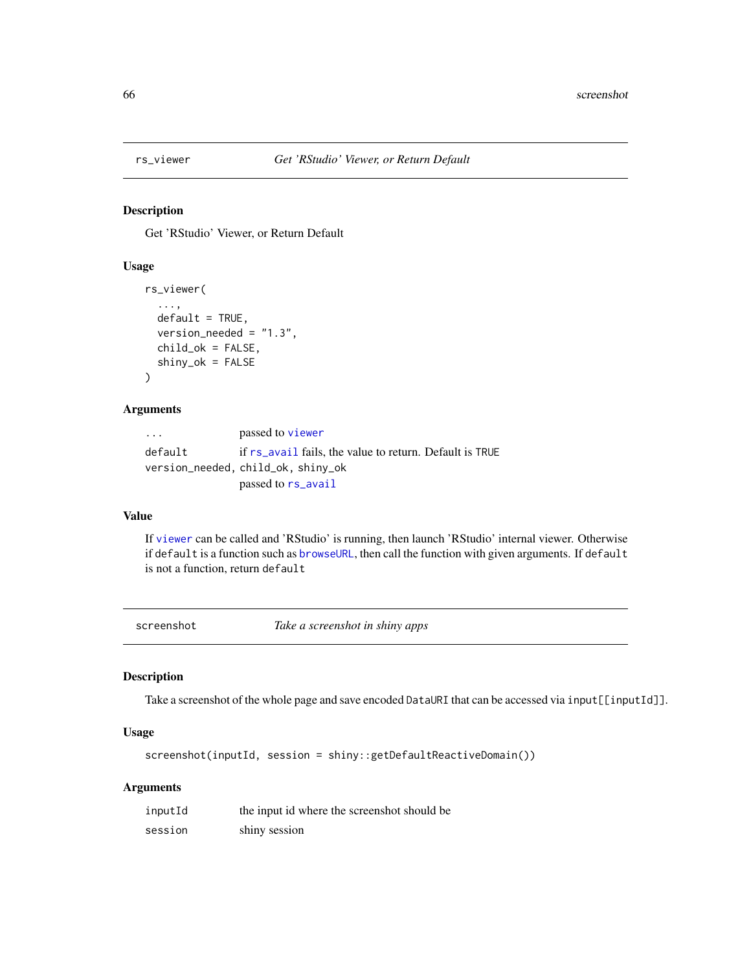# Description

Get 'RStudio' Viewer, or Return Default

## Usage

```
rs_viewer(
  ...,
  default = TRUE,version_needed = "1.3",
  child_ok = FALSE,
  shiny_ok = FALSE
\mathcal{L}
```
#### Arguments

| $\cdot$ $\cdot$ $\cdot$ | passed to viewer                                        |
|-------------------------|---------------------------------------------------------|
| default                 | if rs_avail fails, the value to return. Default is TRUE |
|                         | version_needed, child_ok, shiny_ok                      |
|                         | passed to rs_avail                                      |

## Value

If [viewer](#page-0-0) can be called and 'RStudio' is running, then launch 'RStudio' internal viewer. Otherwise if default is a function such as [browseURL](#page-0-0), then call the function with given arguments. If default is not a function, return default

screenshot *Take a screenshot in shiny apps*

# Description

Take a screenshot of the whole page and save encoded DataURI that can be accessed via input[[inputId]].

# Usage

screenshot(inputId, session = shiny::getDefaultReactiveDomain())

# Arguments

| inputId | the input id where the screenshot should be |
|---------|---------------------------------------------|
| session | shiny session                               |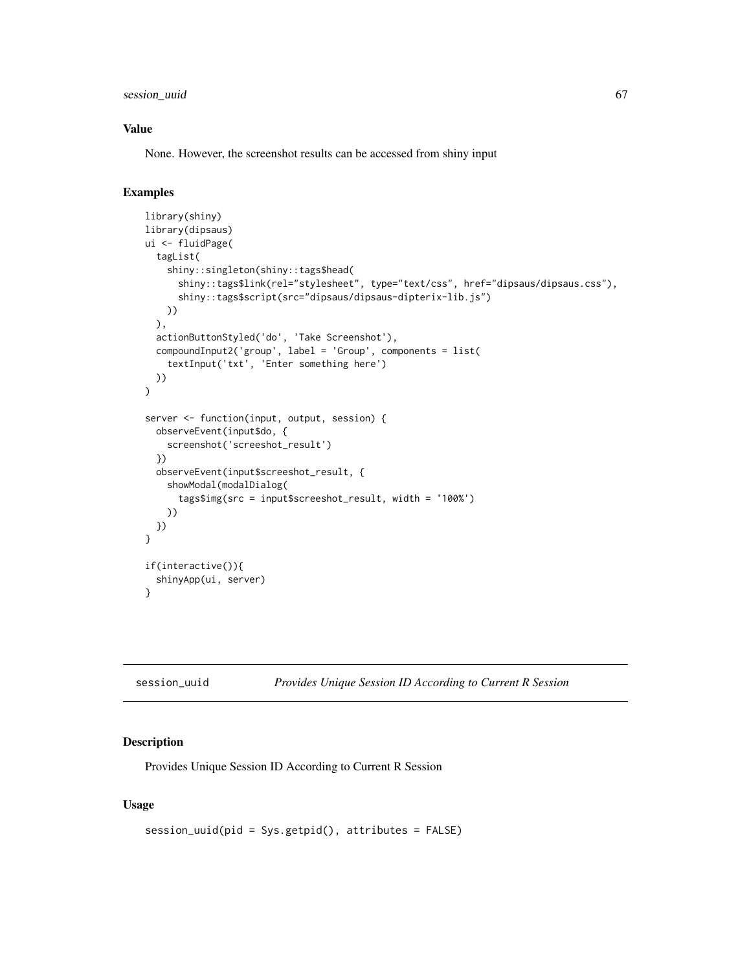session\_uuid 67

## Value

None. However, the screenshot results can be accessed from shiny input

# Examples

```
library(shiny)
library(dipsaus)
ui <- fluidPage(
  tagList(
    shiny::singleton(shiny::tags$head(
      shiny::tags$link(rel="stylesheet", type="text/css", href="dipsaus/dipsaus.css"),
      shiny::tags$script(src="dipsaus/dipsaus-dipterix-lib.js")
   ))
  ),
  actionButtonStyled('do', 'Take Screenshot'),
  compoundInput2('group', label = 'Group', components = list(
    textInput('txt', 'Enter something here')
  ))
)
server <- function(input, output, session) {
  observeEvent(input$do, {
    screenshot('screeshot_result')
  })
  observeEvent(input$screeshot_result, {
    showModal(modalDialog(
      tags$img(src = input$screeshot_result, width = '100%')
   ))
  })
}
if(interactive()){
  shinyApp(ui, server)
}
```
session\_uuid *Provides Unique Session ID According to Current R Session*

## Description

Provides Unique Session ID According to Current R Session

#### Usage

```
session_uuid(pid = Sys.getpid(), attributes = FALSE)
```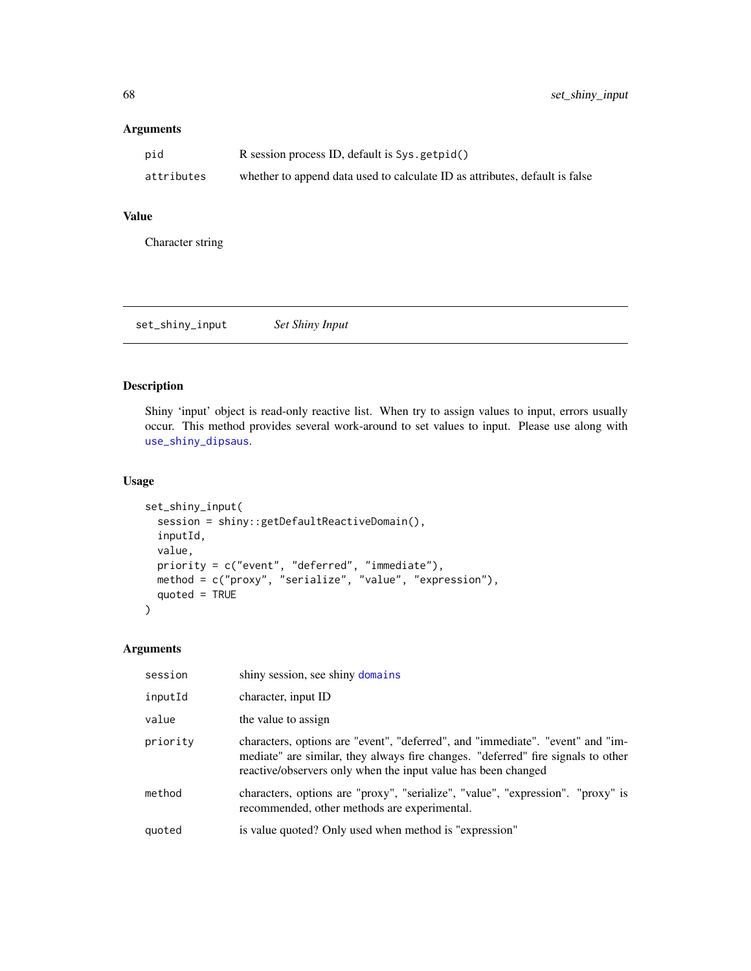## Arguments

| pid        | R session process ID, default is Sys.getpid()                               |
|------------|-----------------------------------------------------------------------------|
| attributes | whether to append data used to calculate ID as attributes, default is false |

# Value

Character string

| set_shiny_input | <b>Set Shiny Input</b> |  |
|-----------------|------------------------|--|
|-----------------|------------------------|--|

# Description

Shiny 'input' object is read-only reactive list. When try to assign values to input, errors usually occur. This method provides several work-around to set values to input. Please use along with [use\\_shiny\\_dipsaus](#page-79-0).

# Usage

```
set_shiny_input(
  session = shiny::getDefaultReactiveDomain(),
  inputId,
  value,
  priority = c("event", "deferred", "immediate"),
 method = c("proxy", "serialize", "value", "expression"),
  quoted = TRUE\mathcal{E}
```
## Arguments

| session  | shiny session, see shiny domains                                                                                                                                                                                                    |
|----------|-------------------------------------------------------------------------------------------------------------------------------------------------------------------------------------------------------------------------------------|
| inputId  | character, input ID                                                                                                                                                                                                                 |
| value    | the value to assign                                                                                                                                                                                                                 |
| priority | characters, options are "event", "deferred", and "immediate". "event" and "im-<br>mediate" are similar, they always fire changes. "deferred" fire signals to other<br>reactive/observers only when the input value has been changed |
| method   | characters, options are "proxy", "serialize", "value", "expression". "proxy" is<br>recommended, other methods are experimental.                                                                                                     |
| quoted   | is value quoted? Only used when method is "expression"                                                                                                                                                                              |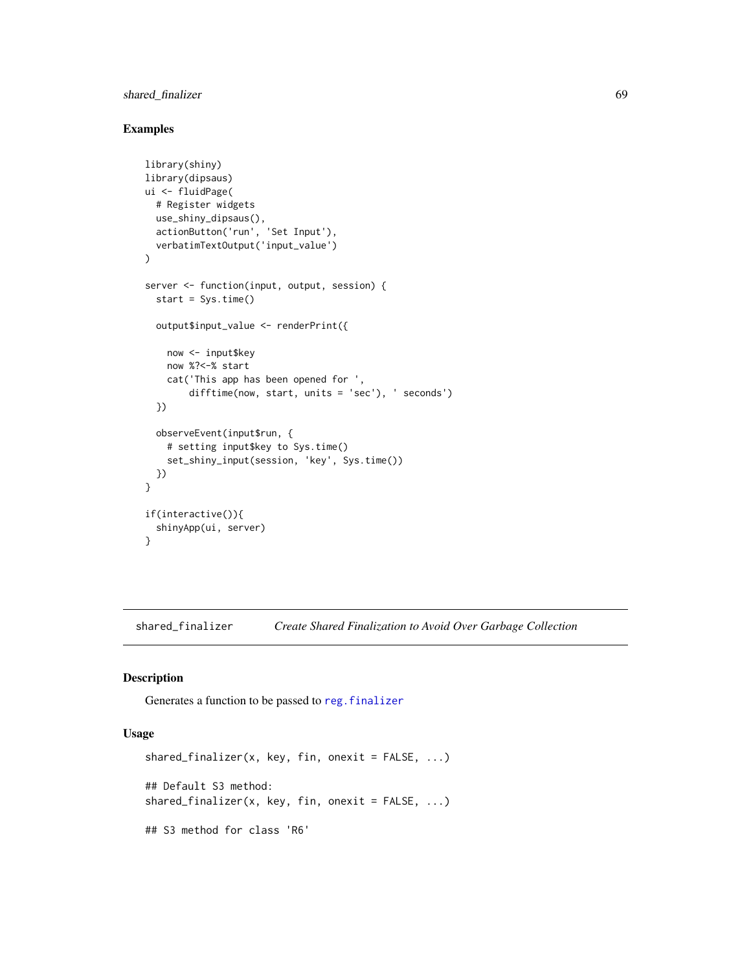# shared\_finalizer 69

## Examples

```
library(shiny)
library(dipsaus)
ui <- fluidPage(
  # Register widgets
  use_shiny_dipsaus(),
  actionButton('run', 'Set Input'),
  verbatimTextOutput('input_value')
)
server <- function(input, output, session) {
  start = Sys.time()
  output$input_value <- renderPrint({
   now <- input$key
   now %?<-% start
   cat('This app has been opened for ',
        difftime(now, start, units = 'sec'), ' seconds')
  })
  observeEvent(input$run, {
    # setting input$key to Sys.time()
    set_shiny_input(session, 'key', Sys.time())
  })
}
if(interactive()){
  shinyApp(ui, server)
}
```
shared\_finalizer *Create Shared Finalization to Avoid Over Garbage Collection*

#### Description

Generates a function to be passed to [reg.finalizer](#page-0-0)

## Usage

```
shared_finalizer(x, key, fin, onexit = FALSE, ...)
## Default S3 method:
shared_finalizer(x, key, fin, onexit = FALSE, ...)
## S3 method for class 'R6'
```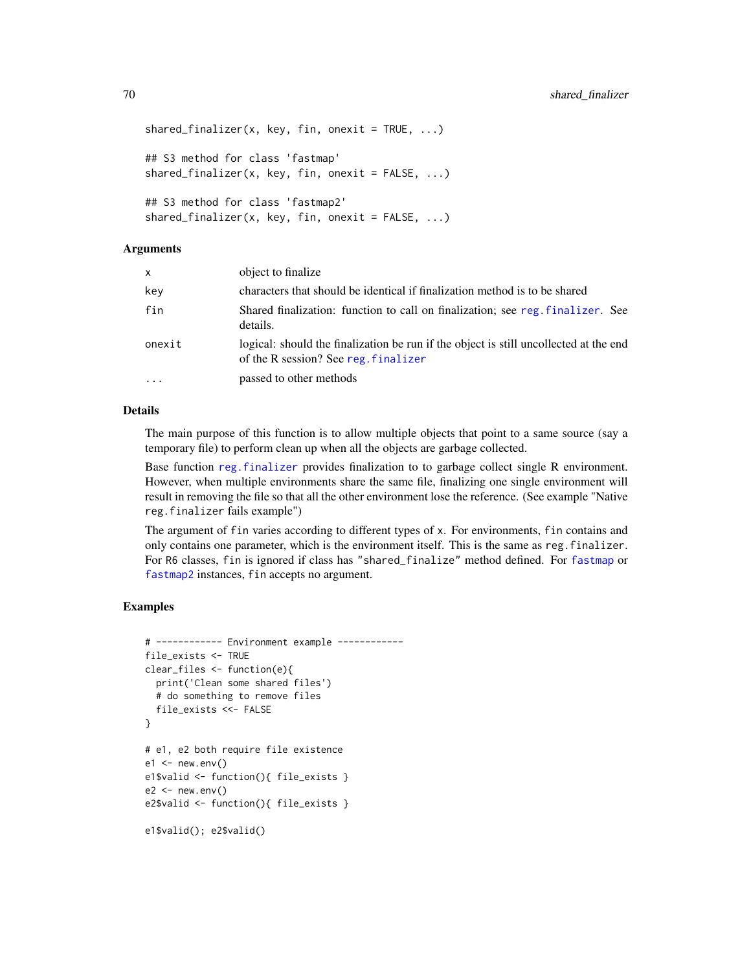```
shared_finalizer(x, key, fin, onexit = TRUE, ...)## S3 method for class 'fastmap'
shared_finalizer(x, key, fin, onexit = FALSE, ...)
## S3 method for class 'fastmap2'
shared_finalizer(x, key, fin, onexit = FALSE, ...)
```
#### Arguments

| $\mathsf{x}$            | object to finalize                                                                                                            |
|-------------------------|-------------------------------------------------------------------------------------------------------------------------------|
| key                     | characters that should be identical if finalization method is to be shared                                                    |
| fin                     | Shared finalization: function to call on finalization; see reg. finalizer. See<br>details.                                    |
| onexit                  | logical: should the finalization be run if the object is still uncollected at the end<br>of the R session? See reg. finalizer |
| $\cdot$ $\cdot$ $\cdot$ | passed to other methods                                                                                                       |

## Details

The main purpose of this function is to allow multiple objects that point to a same source (say a temporary file) to perform clean up when all the objects are garbage collected.

Base function [reg.finalizer](#page-0-0) provides finalization to to garbage collect single R environment. However, when multiple environments share the same file, finalizing one single environment will result in removing the file so that all the other environment lose the reference. (See example "Native reg.finalizer fails example")

The argument of fin varies according to different types of x. For environments, fin contains and only contains one parameter, which is the environment itself. This is the same as reg.finalizer. For R6 classes, fin is ignored if class has "shared\_finalize" method defined. For [fastmap](#page-0-0) or [fastmap2](#page-29-0) instances, fin accepts no argument.

# Examples

```
# ------------ Environment example ------------
file_exists <- TRUE
clear_files <- function(e){
  print('Clean some shared files')
  # do something to remove files
  file_exists <<- FALSE
}
# e1, e2 both require file existence
e1 \le - new.env()
e1$valid <- function(){ file_exists }
e2 < - new.env()
e2$valid <- function(){ file_exists }
e1$valid(); e2$valid()
```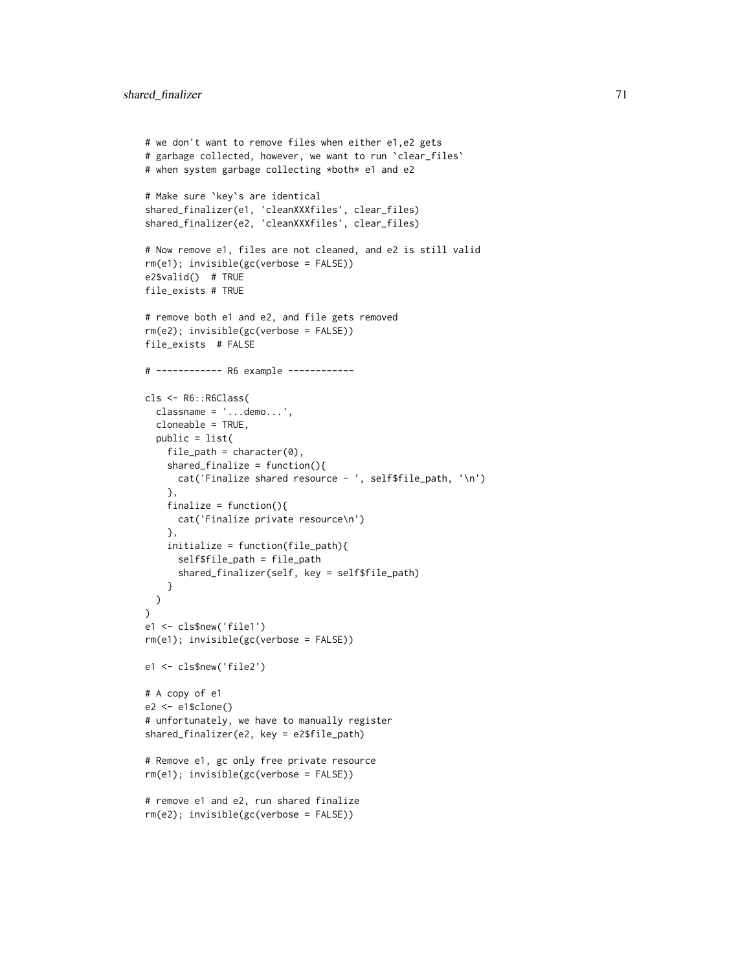```
# we don't want to remove files when either e1,e2 gets
# garbage collected, however, we want to run `clear_files`
# when system garbage collecting *both* e1 and e2
# Make sure `key`s are identical
shared_finalizer(e1, 'cleanXXXfiles', clear_files)
shared_finalizer(e2, 'cleanXXXfiles', clear_files)
# Now remove e1, files are not cleaned, and e2 is still valid
rm(e1); invisible(gc(verbose = FALSE))
e2$valid() # TRUE
file_exists # TRUE
# remove both e1 and e2, and file gets removed
rm(e2); invisible(gc(verbose = FALSE))
file_exists # FALSE
# ------------ R6 example ------------
cls <- R6::R6Class(
  classname = '...demo...',
  cloneable = TRUE,
  public = list(
   file\_path = character(0),
    shared_finalize = function()cat('Finalize shared resource - ', self$file_path, '\n')
    },
    finalize = function()cat('Finalize private resource\n')
    },
    initialize = function(file_path){
      self$file_path = file_path
      shared_finalizer(self, key = self$file_path)
   }
  )
\lambdae1 <- cls$new('file1')
rm(e1); invisible(gc(verbose = FALSE))
e1 <- cls$new('file2')
# A copy of e1
e2 <- e1$clone()
# unfortunately, we have to manually register
shared_finalizer(e2, key = e2$file_path)
# Remove e1, gc only free private resource
rm(e1); invisible(gc(verbose = FALSE))
# remove e1 and e2, run shared finalize
rm(e2); invisible(gc(verbose = FALSE))
```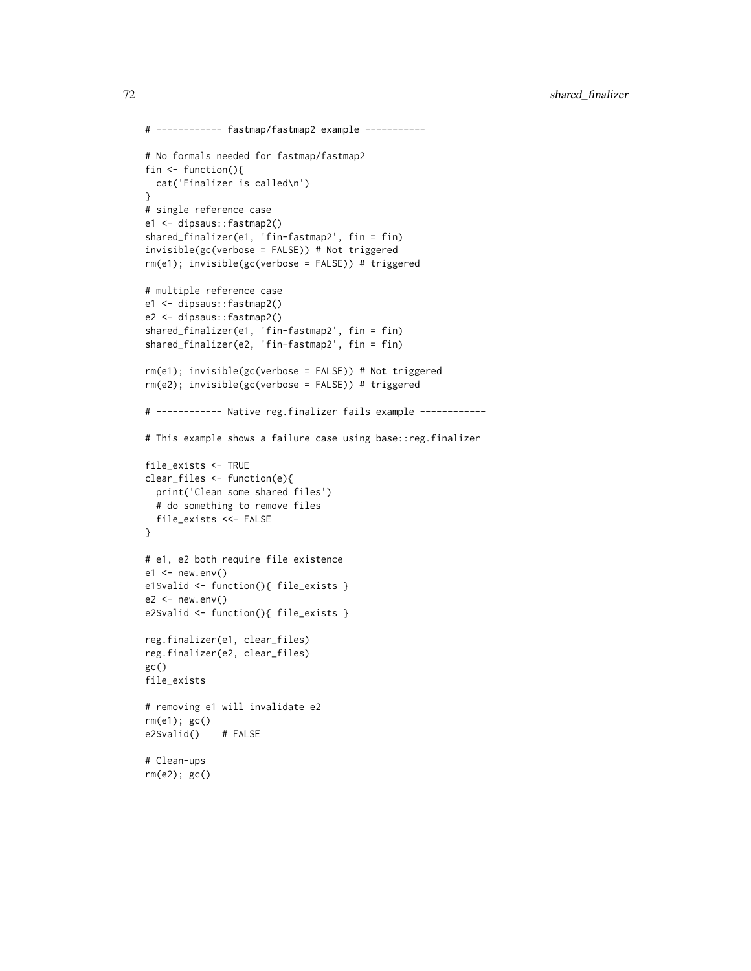```
# ------------ fastmap/fastmap2 example -----------
# No formals needed for fastmap/fastmap2
fin <- function(){
 cat('Finalizer is called\n')
}
# single reference case
e1 <- dipsaus::fastmap2()
shared_finalizer(e1, 'fin-fastmap2', fin = fin)
invisible(gc(verbose = FALSE)) # Not triggered
rm(e1); invisible(gc(verbose = FALSE)) # triggered
# multiple reference case
e1 <- dipsaus::fastmap2()
e2 <- dipsaus::fastmap2()
shared_finalizer(e1, 'fin-fastmap2', fin = fin)
shared_finalizer(e2, 'fin-fastmap2', fin = fin)
rm(e1); invisible(gc(verbose = FALSE)) # Not triggered
rm(e2); invisible(gc(verbose = FALSE)) # triggered
# ------------ Native reg.finalizer fails example ------------
# This example shows a failure case using base::reg.finalizer
file_exists <- TRUE
clear_files <- function(e){
  print('Clean some shared files')
  # do something to remove files
  file_exists <<- FALSE
}
# e1, e2 both require file existence
e1 \le - new.env()
e1$valid <- function(){ file_exists }
e2 < - new.env()
e2$valid <- function(){ file_exists }
reg.finalizer(e1, clear_files)
reg.finalizer(e2, clear_files)
gc()file_exists
# removing e1 will invalidate e2
rm(e1); gc()
e2$valid() # FALSE
# Clean-ups
rm(e2); gc()
```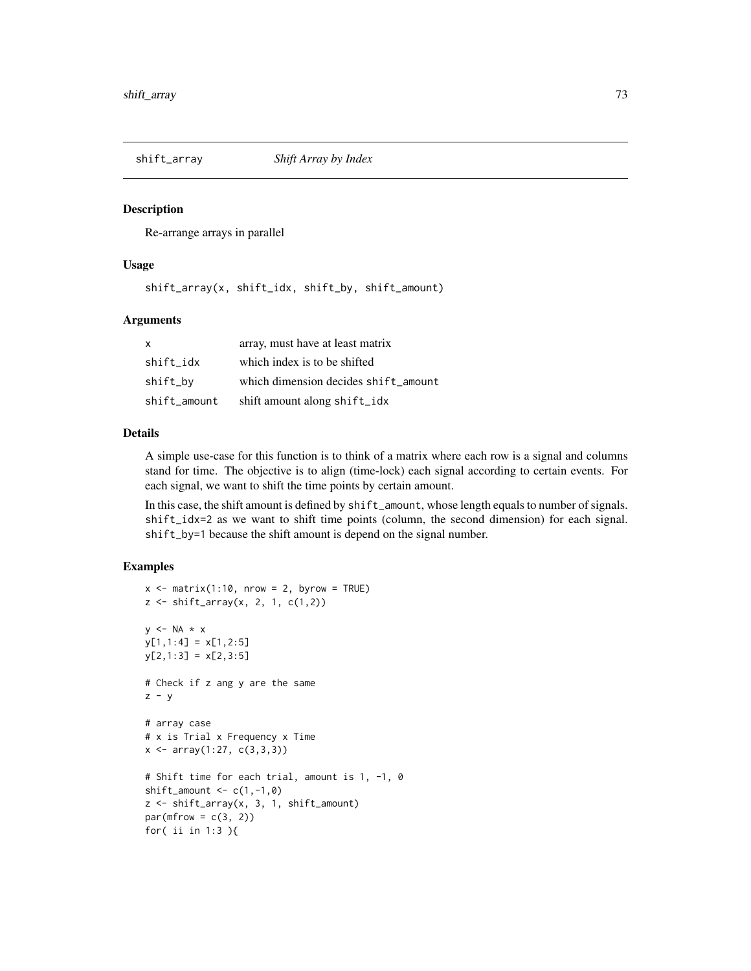<span id="page-72-0"></span>

#### Description

Re-arrange arrays in parallel

#### Usage

shift\_array(x, shift\_idx, shift\_by, shift\_amount)

#### Arguments

| $\mathsf{x}$ | array, must have at least matrix     |
|--------------|--------------------------------------|
| shift idx    | which index is to be shifted         |
| shift_by     | which dimension decides shift_amount |
| shift_amount | shift amount along shift_idx         |

#### Details

A simple use-case for this function is to think of a matrix where each row is a signal and columns stand for time. The objective is to align (time-lock) each signal according to certain events. For each signal, we want to shift the time points by certain amount.

In this case, the shift amount is defined by shift\_amount, whose length equals to number of signals. shift\_idx=2 as we want to shift time points (column, the second dimension) for each signal. shift\_by=1 because the shift amount is depend on the signal number.

```
x \le - matrix(1:10, nrow = 2, byrow = TRUE)
z \le shift_array(x, 2, 1, c(1,2))
y \leq -NA \times xy[1,1:4] = x[1,2:5]y[2,1:3] = x[2,3:5]# Check if z ang y are the same
z - y# array case
# x is Trial x Frequency x Time
x \leftarrow \text{array}(1:27, c(3,3,3))# Shift time for each trial, amount is 1, -1, 0
shift_amount \leq c(1,-1,0)z <- shift_array(x, 3, 1, shift_amount)
par(mfrow = c(3, 2))for( ii in 1:3 ){
```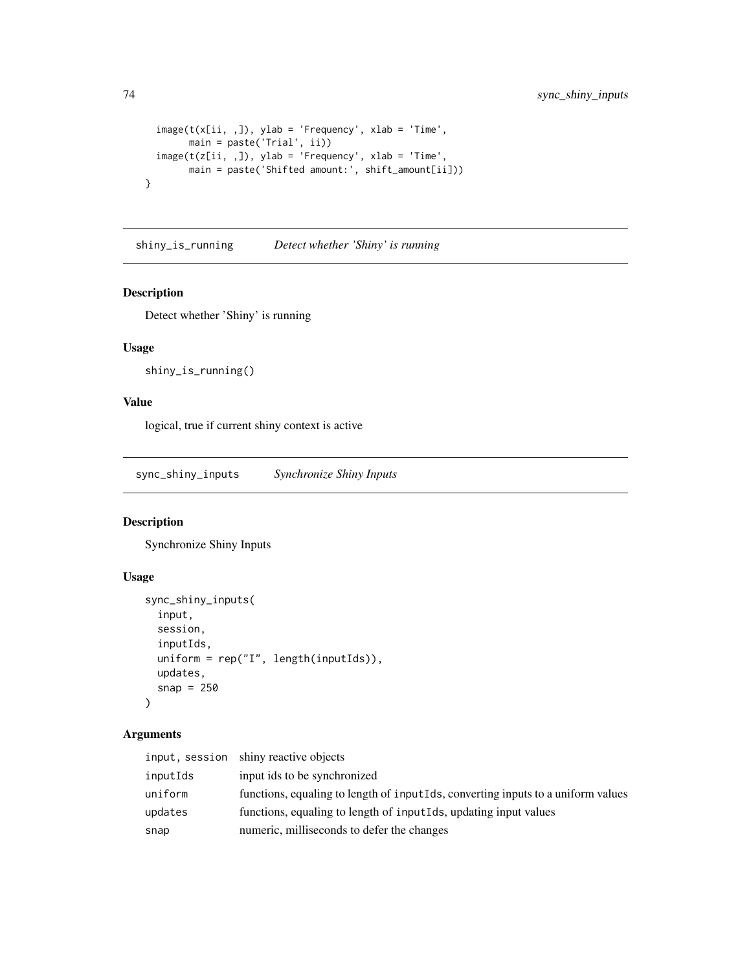```
image(t(x[ii, 1), ylab = 'Frequency', xlab = 'Time',main = paste('Trial', ii))
 image(t(z[ii, 1), ylab = 'Frequency', xlab = 'Time',main = paste('Shifted amount:', shift_amount[ii]))
}
```
shiny\_is\_running *Detect whether 'Shiny' is running*

#### Description

Detect whether 'Shiny' is running

# Usage

```
shiny_is_running()
```
# Value

logical, true if current shiny context is active

sync\_shiny\_inputs *Synchronize Shiny Inputs*

#### Description

Synchronize Shiny Inputs

### Usage

```
sync_shiny_inputs(
 input,
 session,
 inputIds,
 uniform = rep("I", length(inputIds)),
 updates,
  snap = 250)
```
# Arguments

|          | input, session shiny reactive objects                                            |
|----------|----------------------------------------------------------------------------------|
| inputIds | input ids to be synchronized                                                     |
| uniform  | functions, equaling to length of inputIds, converting inputs to a uniform values |
| updates  | functions, equaling to length of inputiles, updating input values                |
| snap     | numeric, milliseconds to defer the changes                                       |

<span id="page-73-0"></span>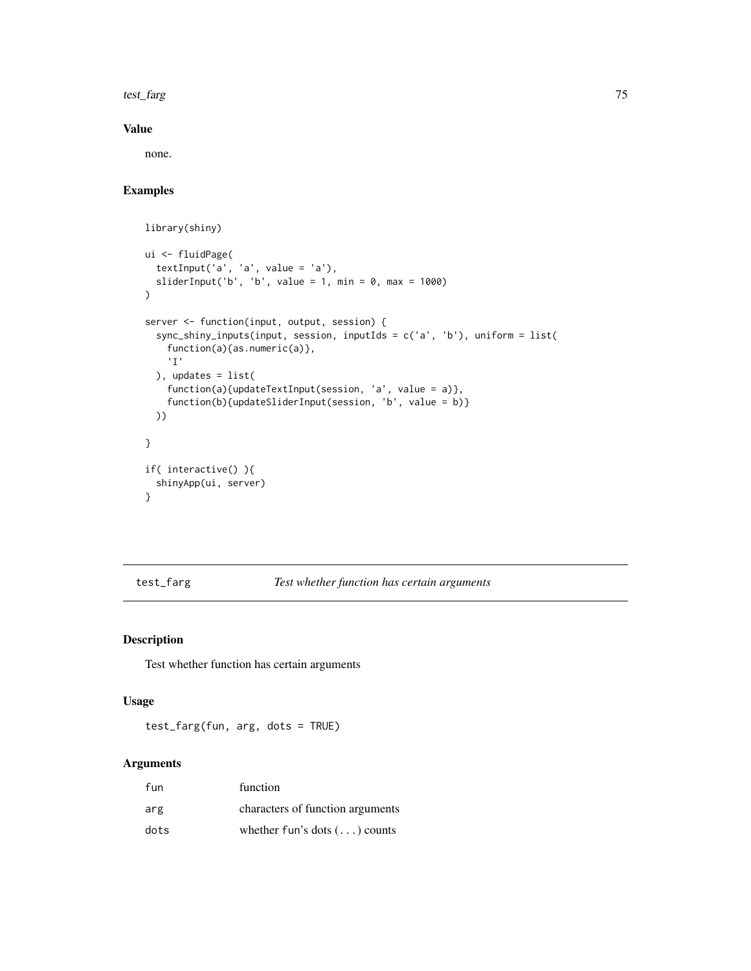<span id="page-74-0"></span>test\_farg 75

# Value

none.

# Examples

library(shiny)

```
ui <- fluidPage(
  textInput('a', 'a', value = 'a'),sliderInput('b', 'b', value = 1, min = 0, max = 1000)
\lambdaserver <- function(input, output, session) {
  sync_shiny_inputs(input, session, inputIds = c('a', 'b'), uniform = list(
   function(a){as.numeric(a)},
    'I'
  ), updates = list(
    function(a){updateTextInput(session, 'a', value = a)},
    function(b){updateSliderInput(session, 'b', value = b)}
  ))
}
if( interactive() ){
  shinyApp(ui, server)
}
```
test\_farg *Test whether function has certain arguments*

# Description

Test whether function has certain arguments

#### Usage

test\_farg(fun, arg, dots = TRUE)

#### Arguments

| fun  | function                             |
|------|--------------------------------------|
| arg  | characters of function arguments     |
| dots | whether fun's dots $(\ldots)$ counts |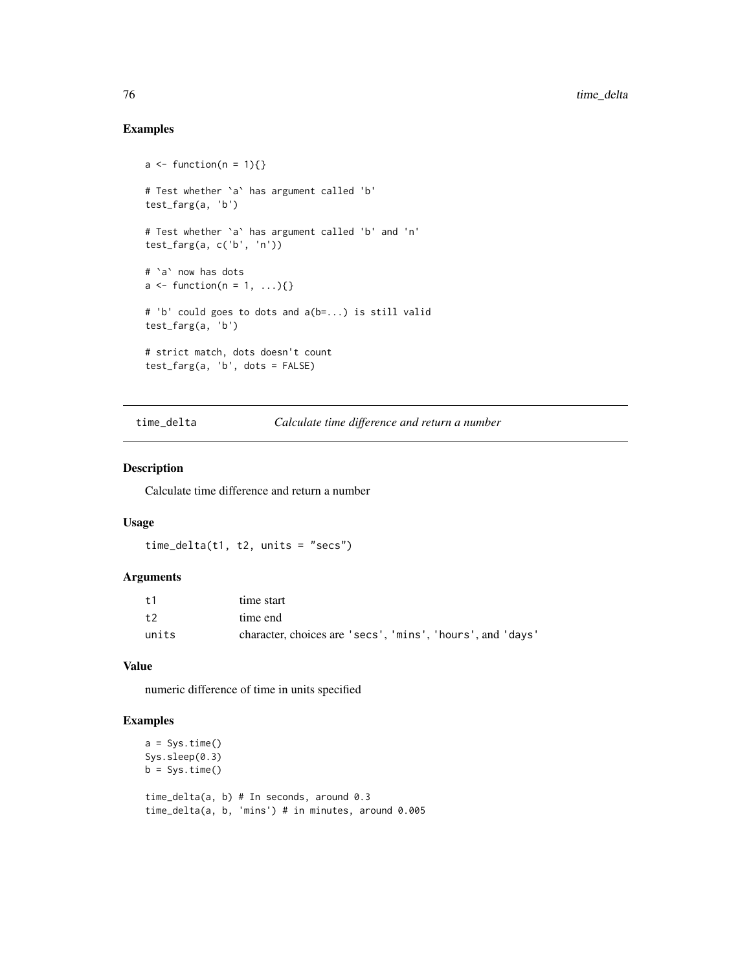# Examples

```
a \leftarrow function(n = 1)\# Test whether `a` has argument called 'b'
test_farg(a, 'b')
# Test whether `a` has argument called 'b' and 'n'
test_farg(a, c('b', 'n'))
# `a` now has dots
a \leftarrow function(n = 1, \ldots)# 'b' could goes to dots and a(b=...) is still valid
test_farg(a, 'b')
# strict match, dots doesn't count
test_farg(a, 'b', dots = FALSE)
```
time\_delta *Calculate time difference and return a number*

#### Description

Calculate time difference and return a number

#### Usage

```
time_delta(t1, t2, units = "secs")
```
# Arguments

| $+1$  | time start                                                 |
|-------|------------------------------------------------------------|
| t2    | time end                                                   |
| units | character, choices are 'secs', 'mins', 'hours', and 'days' |

#### Value

numeric difference of time in units specified

```
a = Sys.time()Sys.sleep(0.3)
b = Sys.time()time_delta(a, b) # In seconds, around 0.3
time_delta(a, b, 'mins') # in minutes, around 0.005
```
<span id="page-75-0"></span>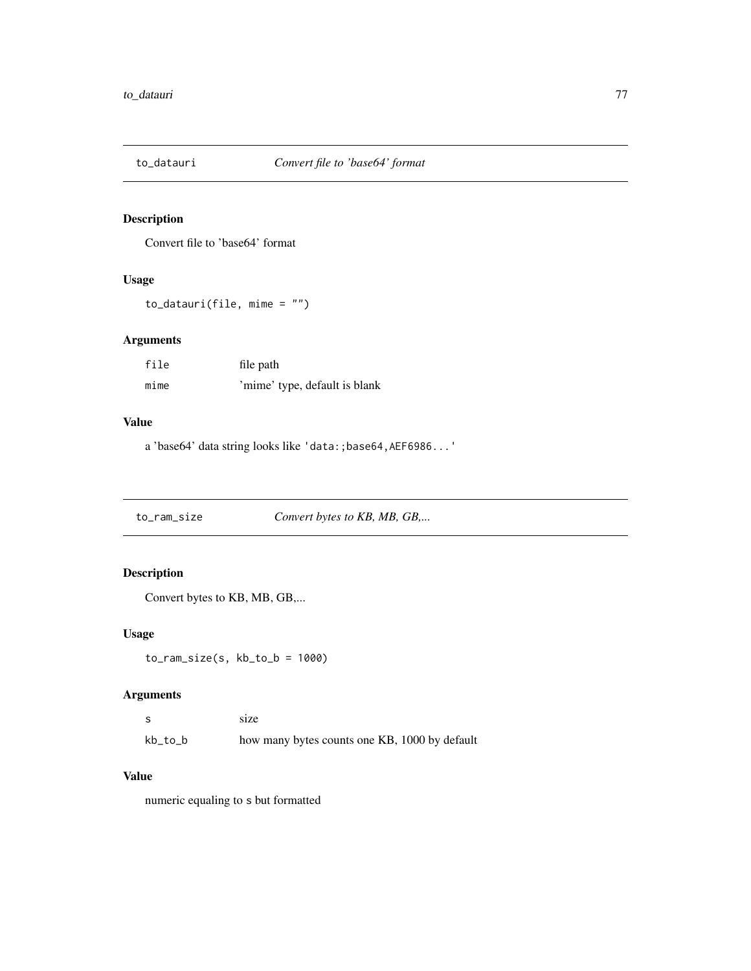<span id="page-76-0"></span>

# Description

Convert file to 'base64' format

#### Usage

to\_datauri(file, mime = "")

# Arguments

| file | file path                     |
|------|-------------------------------|
| mime | 'mime' type, default is blank |

#### Value

a 'base64' data string looks like 'data:;base64,AEF6986...'

to\_ram\_size *Convert bytes to KB, MB, GB,...*

# Description

Convert bytes to KB, MB, GB,...

#### Usage

 $to_ram\_size(s, kb_to_b = 1000)$ 

# Arguments

| - S     | size                                          |
|---------|-----------------------------------------------|
| kb_to_b | how many bytes counts one KB, 1000 by default |

## Value

numeric equaling to s but formatted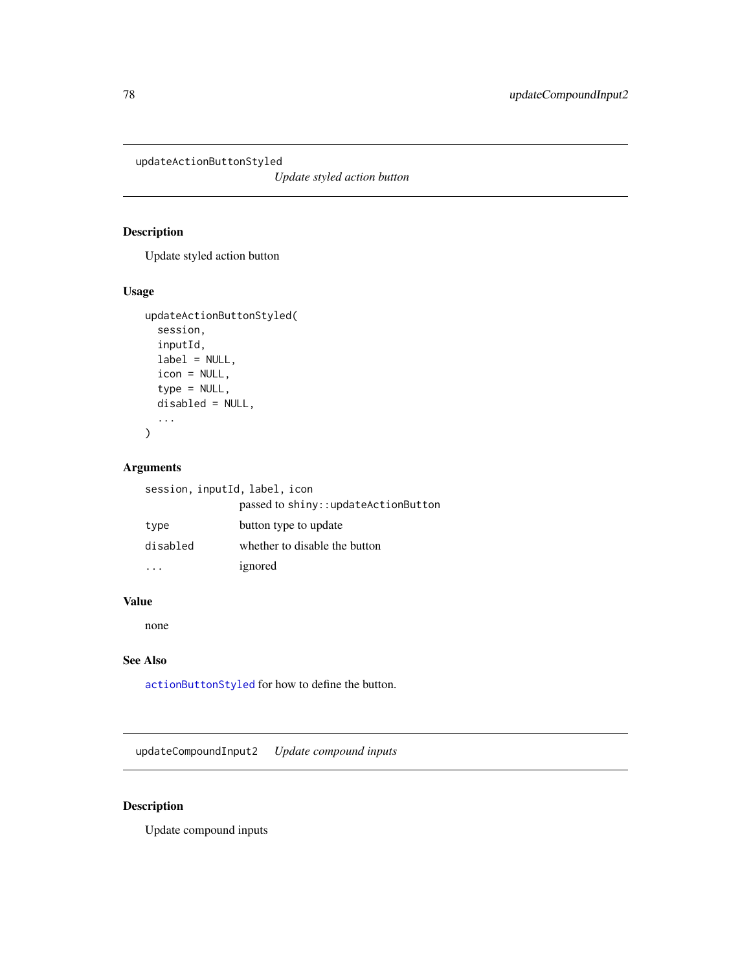<span id="page-77-0"></span>updateActionButtonStyled

*Update styled action button*

# Description

Update styled action button

# Usage

```
updateActionButtonStyled(
  session,
  inputId,
 label = NULL,
  icon = NULL,
  type = NULL,
  disabled = NULL,
  ...
)
```
# Arguments

| session, inputId, label, icon |  |  |  |
|-------------------------------|--|--|--|
|-------------------------------|--|--|--|

|          | passed to shiny::updateActionButton |
|----------|-------------------------------------|
| type     | button type to update               |
| disabled | whether to disable the button       |
|          | ignored                             |

# Value

none

# See Also

[actionButtonStyled](#page-5-0) for how to define the button.

updateCompoundInput2 *Update compound inputs*

# Description

Update compound inputs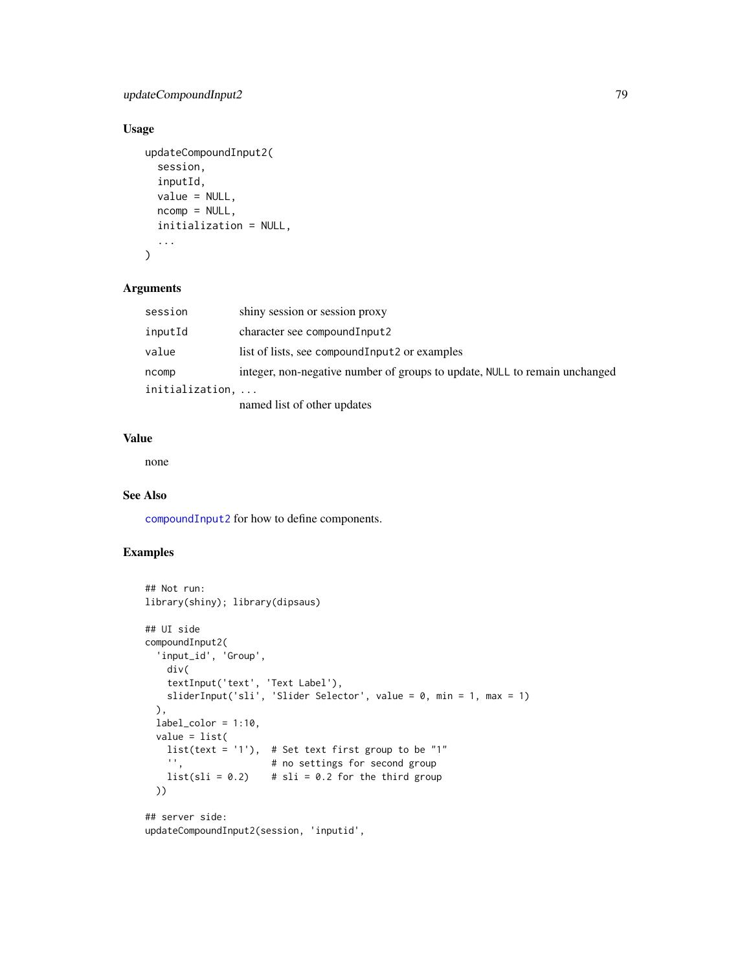# <span id="page-78-0"></span>updateCompoundInput2 79

# Usage

```
updateCompoundInput2(
  session,
  inputId,
  value = NULL,
  ncomp = NULL,initialization = NULL,
  ...
\mathcal{L}
```
#### Arguments

| session         | shiny session or session proxy                                             |
|-----------------|----------------------------------------------------------------------------|
| inputId         | character see compound Input2                                              |
| value           | list of lists, see compound Input 2 or examples                            |
| ncomp           | integer, non-negative number of groups to update, NULL to remain unchanged |
| initialization, |                                                                            |
|                 | named list of other updates                                                |

# Value

none

#### See Also

[compoundInput2](#page-21-0) for how to define components.

```
## Not run:
library(shiny); library(dipsaus)
## UI side
compoundInput2(
  'input_id', 'Group',
   div(
    textInput('text', 'Text Label'),
   sliderInput('sli', 'Slider Selector', value = 0, min = 1, max = 1)
  ),
  label\_color = 1:10,value = list(
   list(text = '1'), # Set text first group to be "1"
                      # no settings for second group
   list( s1i = 0.2) # s1i = 0.2 for the third group
  ))
## server side:
updateCompoundInput2(session, 'inputid',
```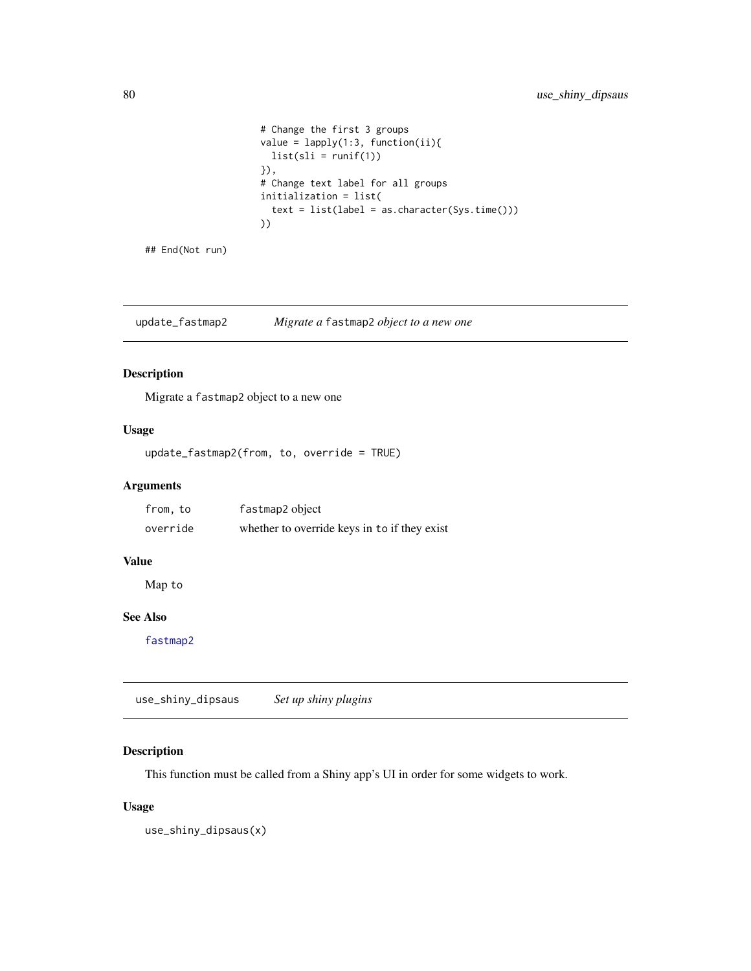```
# Change the first 3 groups
value = lapply(1:3, function(ii))list(sli = runif(1))}),
# Change text label for all groups
initialization = list(
 text = list(label = as.character(Sys.time()))
))
```
## End(Not run)

update\_fastmap2 *Migrate a* fastmap2 *object to a new one*

### Description

Migrate a fastmap2 object to a new one

#### Usage

update\_fastmap2(from, to, override = TRUE)

### Arguments

| from, to | fastmap2 object                              |
|----------|----------------------------------------------|
| override | whether to override keys in to if they exist |

#### Value

Map to

# See Also

[fastmap2](#page-29-0)

use\_shiny\_dipsaus *Set up shiny plugins*

# Description

This function must be called from a Shiny app's UI in order for some widgets to work.

## Usage

use\_shiny\_dipsaus(x)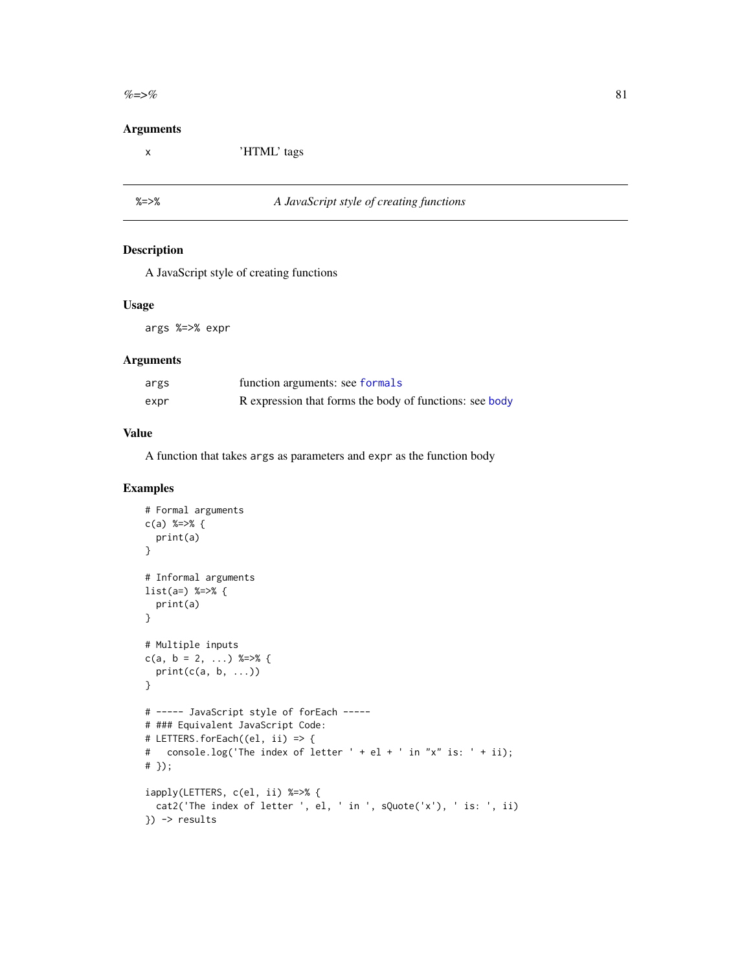<span id="page-80-0"></span> $\% = >\%$  81

#### Arguments

x 'HTML' tags

# %=>% *A JavaScript style of creating functions*

# Description

A JavaScript style of creating functions

#### Usage

args %=>% expr

#### Arguments

| args | function arguments: see formals                         |
|------|---------------------------------------------------------|
| expr | R expression that forms the body of functions: see body |

#### Value

A function that takes args as parameters and expr as the function body

```
# Formal arguments
c(a) %=>% {
  print(a)
}
# Informal arguments
list(a=) %=>% {
  print(a)
}
# Multiple inputs
c(a, b = 2, ...) %=>% {
  print(c(a, b, ...))
}
# ----- JavaScript style of forEach -----
# ### Equivalent JavaScript Code:
# LETTERS.forEach((el, ii) => {
# console.log('The index of letter ' + el + ' in "x" is: ' + ii);
# });
iapply(LETTERS, c(el, ii) %=>% {
 cat2('The index of letter ', el, ' in ', sQuote('x'), ' is: ', ii)
}) -> results
```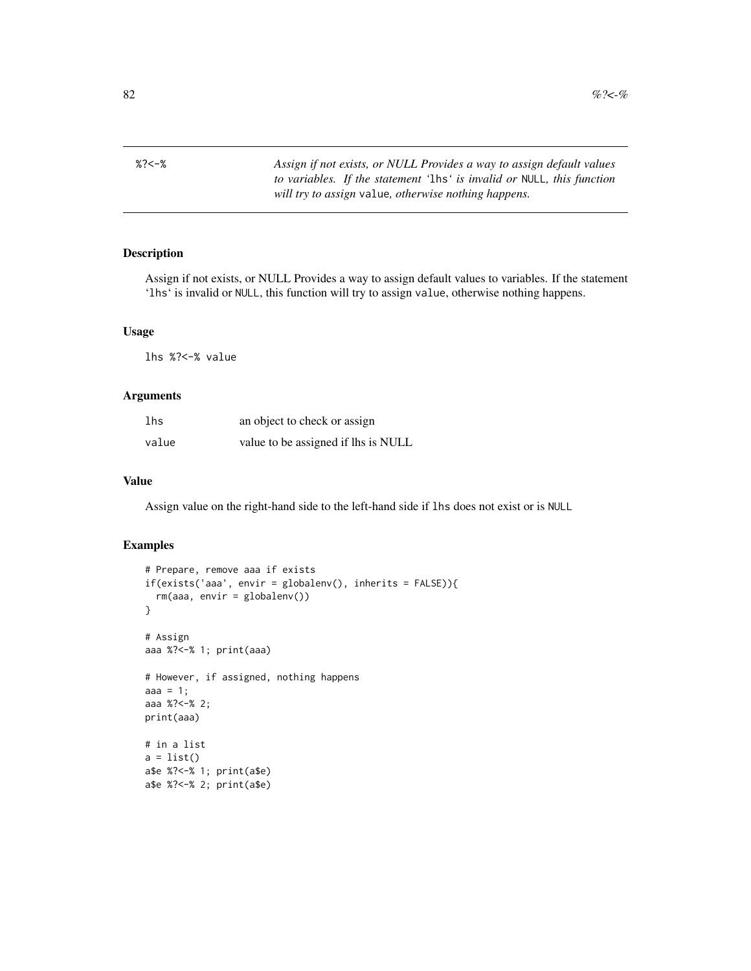<span id="page-81-0"></span>

%?<-% *Assign if not exists, or NULL Provides a way to assign default values to variables. If the statement '*lhs*' is invalid or* NULL*, this function will try to assign* value*, otherwise nothing happens.*

#### Description

Assign if not exists, or NULL Provides a way to assign default values to variables. If the statement 'lhs' is invalid or NULL, this function will try to assign value, otherwise nothing happens.

#### Usage

lhs %?<-% value

#### Arguments

| lhs   | an object to check or assign        |
|-------|-------------------------------------|
| value | value to be assigned if lhs is NULL |

#### Value

Assign value on the right-hand side to the left-hand side if lhs does not exist or is NULL

```
# Prepare, remove aaa if exists
if(exists('aaa', envir = globalenv(), inherits = FALSE)){
 rm(aaa, envir = globalenv())
}
# Assign
aaa %?<-% 1; print(aaa)
# However, if assigned, nothing happens
aaa = 1;
aaa %?<-% 2;
print(aaa)
# in a list
a = list()a$e %?<-% 1; print(a$e)
a$e %?<-% 2; print(a$e)
```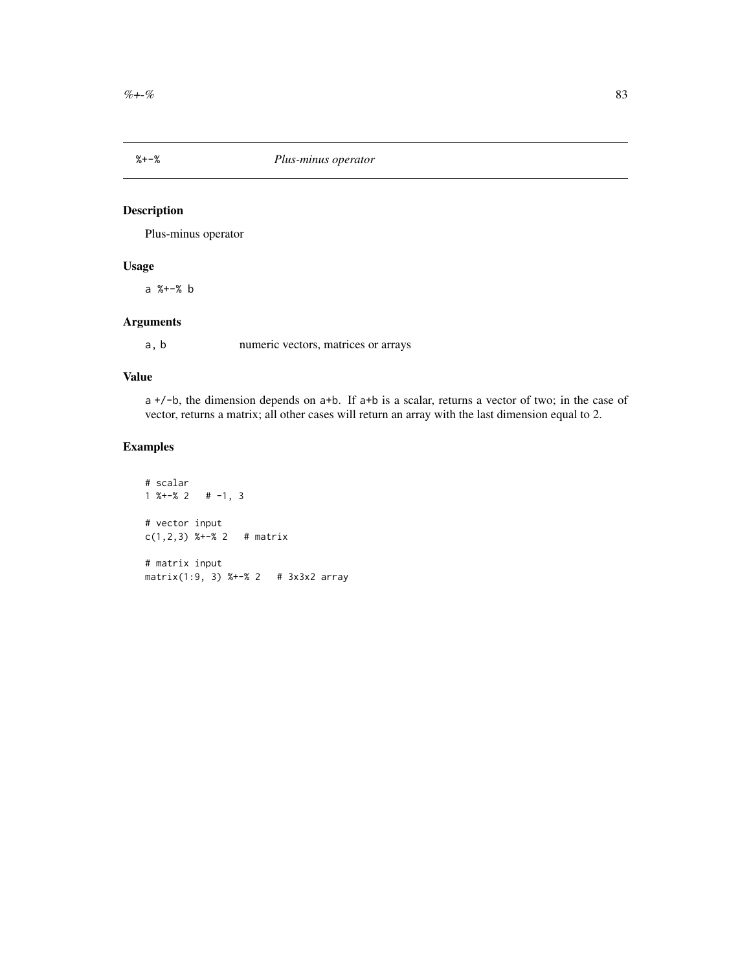<span id="page-82-0"></span>

# Description

Plus-minus operator

# Usage

a %+-% b

# Arguments

a, b numeric vectors, matrices or arrays

#### Value

a +/-b, the dimension depends on a+b. If a+b is a scalar, returns a vector of two; in the case of vector, returns a matrix; all other cases will return an array with the last dimension equal to 2.

```
# scalar
1 \frac{8+2}{8} 2 # -1, 3
# vector input
c(1,2,3) %+-% 2 # matrix
# matrix input
matrix(1:9, 3) %+-% 2 # 3x3x2 array
```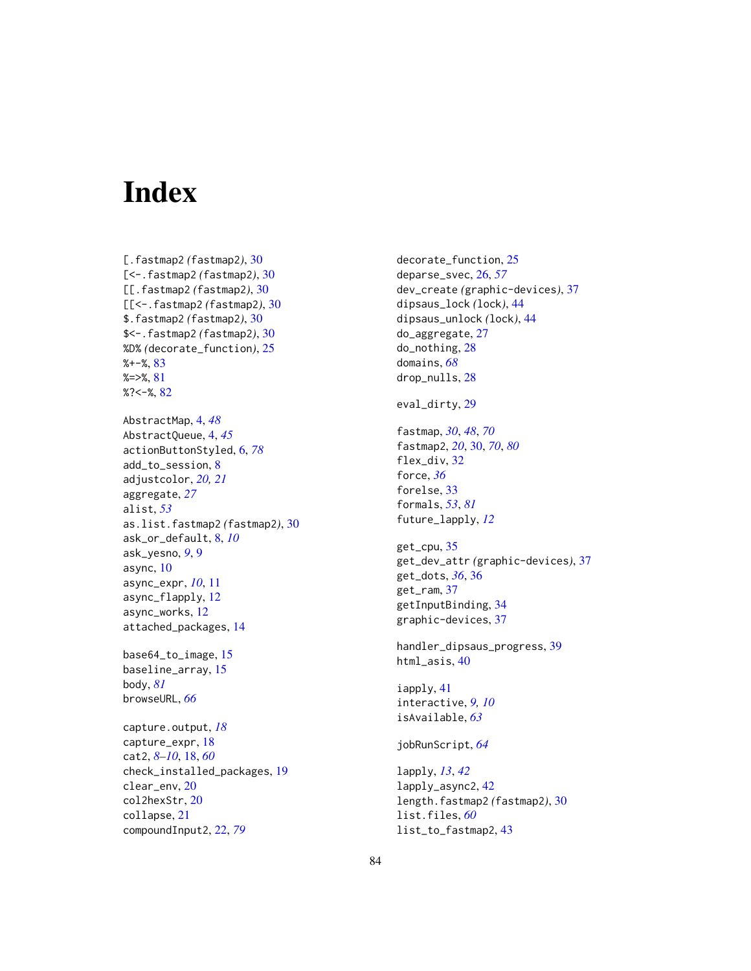# **Index**

[.fastmap2 *(*fastmap2*)*, [30](#page-29-1) [<-.fastmap2 *(*fastmap2*)*, [30](#page-29-1) [[.fastmap2 *(*fastmap2*)*, [30](#page-29-1) [[<-.fastmap2 *(*fastmap2*)*, [30](#page-29-1) \$.fastmap2 *(*fastmap2*)*, [30](#page-29-1) \$<-.fastmap2 *(*fastmap2*)*, [30](#page-29-1) %D% *(*decorate\_function*)*, [25](#page-24-0) %+-%, [83](#page-82-0) %=>%, [81](#page-80-0)  $%2<-$ %,  $82$ AbstractMap, [4,](#page-3-0) *[48](#page-47-0)* AbstractQueue, [4,](#page-3-0) *[45](#page-44-0)* actionButtonStyled, [6,](#page-5-1) *[78](#page-77-0)* add\_to\_session, [8](#page-7-0) adjustcolor, *[20,](#page-19-0) [21](#page-20-0)* aggregate, *[27](#page-26-0)* alist, *[53](#page-52-0)* as.list.fastmap2 *(*fastmap2*)*, [30](#page-29-1) ask\_or\_default, [8,](#page-7-0) *[10](#page-9-0)* ask\_yesno, *[9](#page-8-0)*, [9](#page-8-0) async, [10](#page-9-0) async\_expr, *[10](#page-9-0)*, [11](#page-10-0) async\_flapply, [12](#page-11-0) async\_works, [12](#page-11-0) attached\_packages, [14](#page-13-0) base64\_to\_image, [15](#page-14-0) baseline\_array, [15](#page-14-0) body, *[81](#page-80-0)* browseURL, *[66](#page-65-0)* capture.output, *[18](#page-17-0)* capture\_expr, [18](#page-17-0) cat2, *[8](#page-7-0)[–10](#page-9-0)*, [18,](#page-17-0) *[60](#page-59-0)* check\_installed\_packages, [19](#page-18-0) clear\_env, [20](#page-19-0) col2hexStr, [20](#page-19-0) collapse, [21](#page-20-0) compoundInput2, [22,](#page-21-1) *[79](#page-78-0)*

decorate\_function, [25](#page-24-0) deparse\_svec, [26,](#page-25-0) *[57](#page-56-0)* dev\_create *(*graphic-devices*)*, [37](#page-36-0) dipsaus\_lock *(*lock*)*, [44](#page-43-0) dipsaus\_unlock *(*lock*)*, [44](#page-43-0) do\_aggregate, [27](#page-26-0) do\_nothing, [28](#page-27-0) domains, *[68](#page-67-0)* drop\_nulls, [28](#page-27-0) eval\_dirty, [29](#page-28-0) fastmap, *[30](#page-29-1)*, *[48](#page-47-0)*, *[70](#page-69-0)* fastmap2, *[20](#page-19-0)*, [30,](#page-29-1) *[70](#page-69-0)*, *[80](#page-79-0)* flex\_div, [32](#page-31-0) force, *[36](#page-35-0)* forelse, [33](#page-32-0) formals, *[53](#page-52-0)*, *[81](#page-80-0)* future\_lapply, *[12](#page-11-0)* get\_cpu, [35](#page-34-0) get\_dev\_attr *(*graphic-devices*)*, [37](#page-36-0) get\_dots, *[36](#page-35-0)*, [36](#page-35-0) get\_ram, [37](#page-36-0) getInputBinding, [34](#page-33-0) graphic-devices, [37](#page-36-0) handler\_dipsaus\_progress, [39](#page-38-0) html\_asis, [40](#page-39-0) iapply, [41](#page-40-0) interactive, *[9,](#page-8-0) [10](#page-9-0)* isAvailable, *[63](#page-62-0)* jobRunScript, *[64](#page-63-0)* lapply, *[13](#page-12-0)*, *[42](#page-41-0)* lapply\_async2, [42](#page-41-0) length.fastmap2 *(*fastmap2*)*, [30](#page-29-1) list.files, *[60](#page-59-0)* list\_to\_fastmap2, [43](#page-42-0)